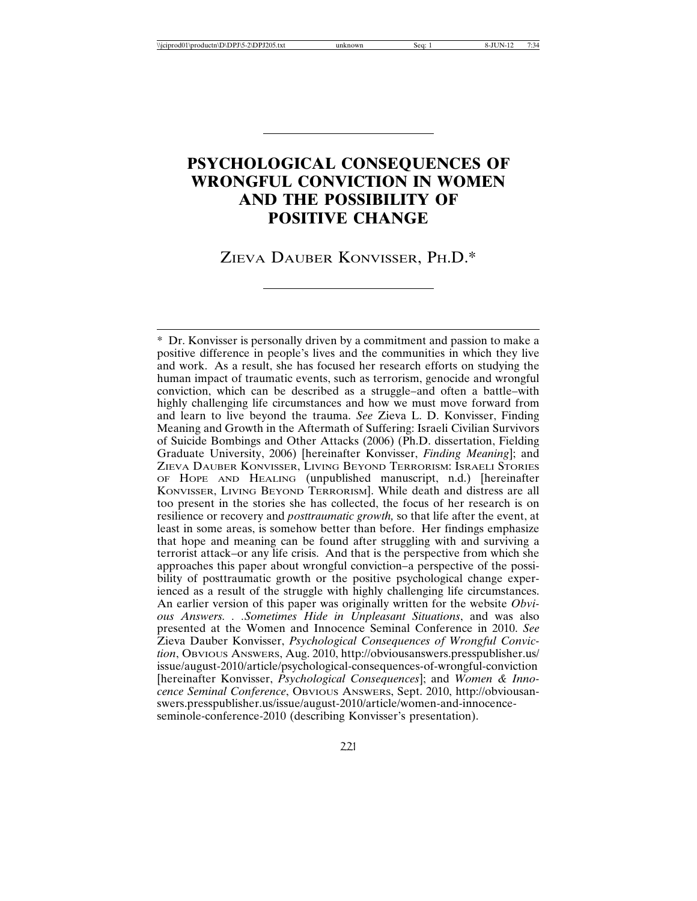# **PSYCHOLOGICAL CONSEQUENCES OF WRONGFUL CONVICTION IN WOMEN AND THE POSSIBILITY OF POSITIVE CHANGE**

#### ZIEVA DAUBER KONVISSER, PH.D.\*

\* Dr. Konvisser is personally driven by a commitment and passion to make a positive difference in people's lives and the communities in which they live and work. As a result, she has focused her research efforts on studying the human impact of traumatic events, such as terrorism, genocide and wrongful conviction, which can be described as a struggle–and often a battle–with highly challenging life circumstances and how we must move forward from and learn to live beyond the trauma. *See* Zieva L. D. Konvisser, Finding Meaning and Growth in the Aftermath of Suffering: Israeli Civilian Survivors of Suicide Bombings and Other Attacks (2006) (Ph.D. dissertation, Fielding Graduate University, 2006) [hereinafter Konvisser, *Finding Meaning*]; and ZIEVA DAUBER KONVISSER, LIVING BEYOND TERRORISM: ISRAELI STORIES OF HOPE AND HEALING (unpublished manuscript, n.d.) [hereinafter KONVISSER, LIVING BEYOND TERRORISM]. While death and distress are all too present in the stories she has collected, the focus of her research is on resilience or recovery and *posttraumatic growth,* so that life after the event, at least in some areas, is somehow better than before. Her findings emphasize that hope and meaning can be found after struggling with and surviving a terrorist attack–or any life crisis. And that is the perspective from which she approaches this paper about wrongful conviction–a perspective of the possibility of posttraumatic growth or the positive psychological change experienced as a result of the struggle with highly challenging life circumstances. An earlier version of this paper was originally written for the website *Obvious Answers. . .Sometimes Hide in Unpleasant Situations*, and was also presented at the Women and Innocence Seminal Conference in 2010. *See* Zieva Dauber Konvisser, *Psychological Consequences of Wrongful Conviction*, OBVIOUS ANSWERS, Aug. 2010, http://obviousanswers.presspublisher.us/ issue/august-2010/article/psychological-consequences-of-wrongful-conviction [hereinafter Konvisser, *Psychological Consequences*]; and *Women & Innocence Seminal Conference*, OBVIOUS ANSWERS, Sept. 2010, http://obviousanswers.presspublisher.us/issue/august-2010/article/women-and-innocenceseminole-conference-2010 (describing Konvisser's presentation).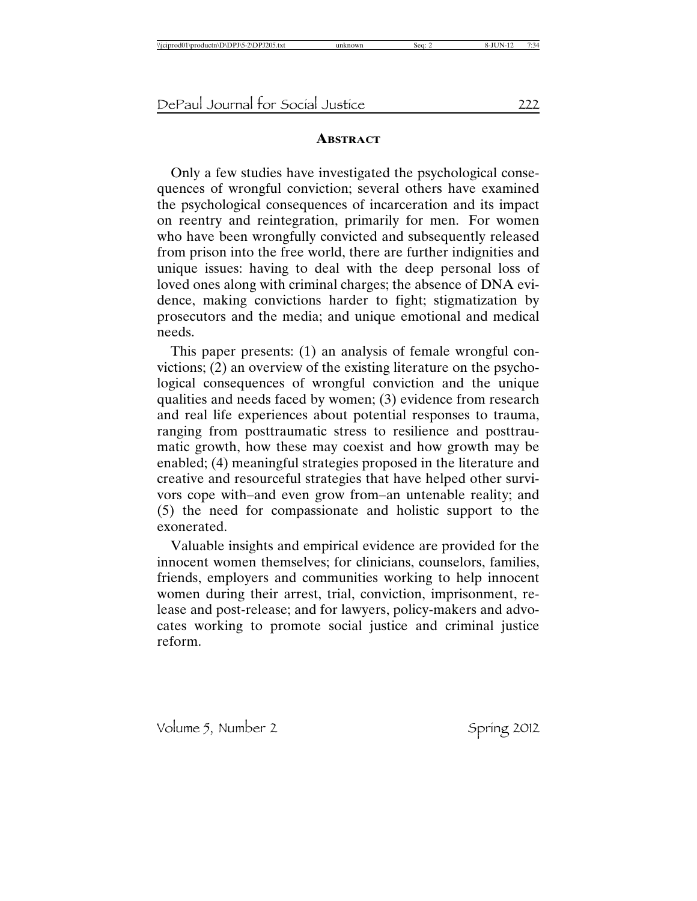#### **ABSTRACT**

Only a few studies have investigated the psychological consequences of wrongful conviction; several others have examined the psychological consequences of incarceration and its impact on reentry and reintegration, primarily for men. For women who have been wrongfully convicted and subsequently released from prison into the free world, there are further indignities and unique issues: having to deal with the deep personal loss of loved ones along with criminal charges; the absence of DNA evidence, making convictions harder to fight; stigmatization by prosecutors and the media; and unique emotional and medical needs.

This paper presents: (1) an analysis of female wrongful convictions; (2) an overview of the existing literature on the psychological consequences of wrongful conviction and the unique qualities and needs faced by women; (3) evidence from research and real life experiences about potential responses to trauma, ranging from posttraumatic stress to resilience and posttraumatic growth, how these may coexist and how growth may be enabled; (4) meaningful strategies proposed in the literature and creative and resourceful strategies that have helped other survivors cope with–and even grow from–an untenable reality; and (5) the need for compassionate and holistic support to the exonerated.

Valuable insights and empirical evidence are provided for the innocent women themselves; for clinicians, counselors, families, friends, employers and communities working to help innocent women during their arrest, trial, conviction, imprisonment, release and post-release; and for lawyers, policy-makers and advocates working to promote social justice and criminal justice reform.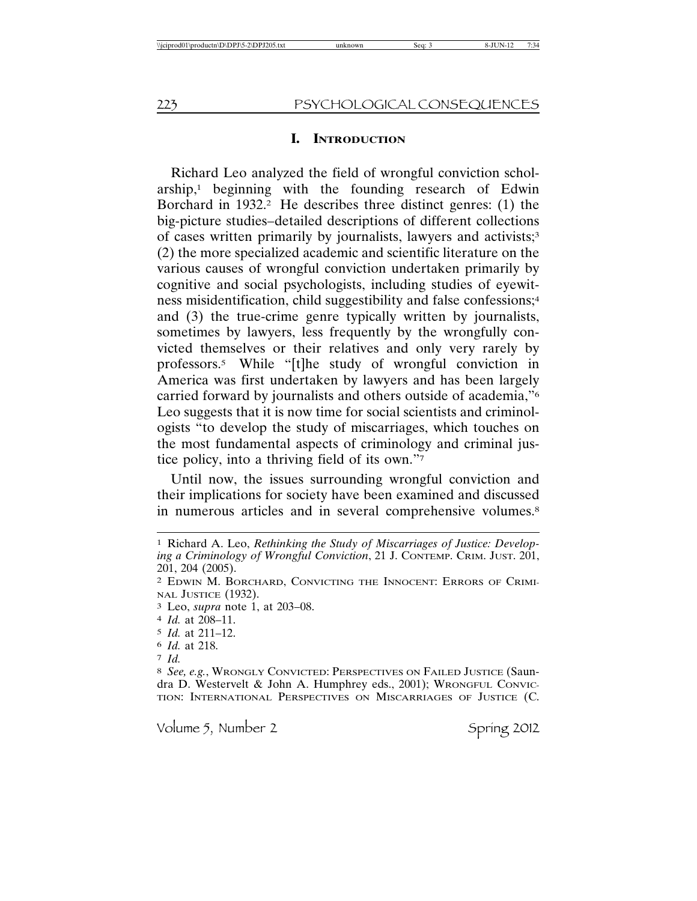#### **I. INTRODUCTION**

Richard Leo analyzed the field of wrongful conviction schol $arship<sub>1</sub>$  beginning with the founding research of Edwin Borchard in  $1932.2$  He describes three distinct genres: (1) the big-picture studies–detailed descriptions of different collections of cases written primarily by journalists, lawyers and activists;3 (2) the more specialized academic and scientific literature on the various causes of wrongful conviction undertaken primarily by cognitive and social psychologists, including studies of eyewitness misidentification, child suggestibility and false confessions;4 and (3) the true-crime genre typically written by journalists, sometimes by lawyers, less frequently by the wrongfully convicted themselves or their relatives and only very rarely by professors.5 While "[t]he study of wrongful conviction in America was first undertaken by lawyers and has been largely carried forward by journalists and others outside of academia,"6 Leo suggests that it is now time for social scientists and criminologists "to develop the study of miscarriages, which touches on the most fundamental aspects of criminology and criminal justice policy, into a thriving field of its own."7

Until now, the issues surrounding wrongful conviction and their implications for society have been examined and discussed in numerous articles and in several comprehensive volumes.<sup>8</sup>

3 Leo, *supra* note 1, at 203–08.

- 5 *Id.* at 211–12.
- 6 *Id.* at 218.
- 7 *Id.*

<sup>1</sup> Richard A. Leo, *Rethinking the Study of Miscarriages of Justice: Developing a Criminology of Wrongful Conviction*, 21 J. CONTEMP. CRIM. JUST. 201, 201, 204 (2005).

<sup>2</sup> EDWIN M. BORCHARD, CONVICTING THE INNOCENT: ERRORS OF CRIMI-NAL JUSTICE (1932).

<sup>4</sup> *Id.* at 208–11.

<sup>8</sup> *See, e.g.*, WRONGLY CONVICTED: PERSPECTIVES ON FAILED JUSTICE (Saundra D. Westervelt & John A. Humphrey eds., 2001); WRONGFUL CONVIC-TION: INTERNATIONAL PERSPECTIVES ON MISCARRIAGES OF JUSTICE (C.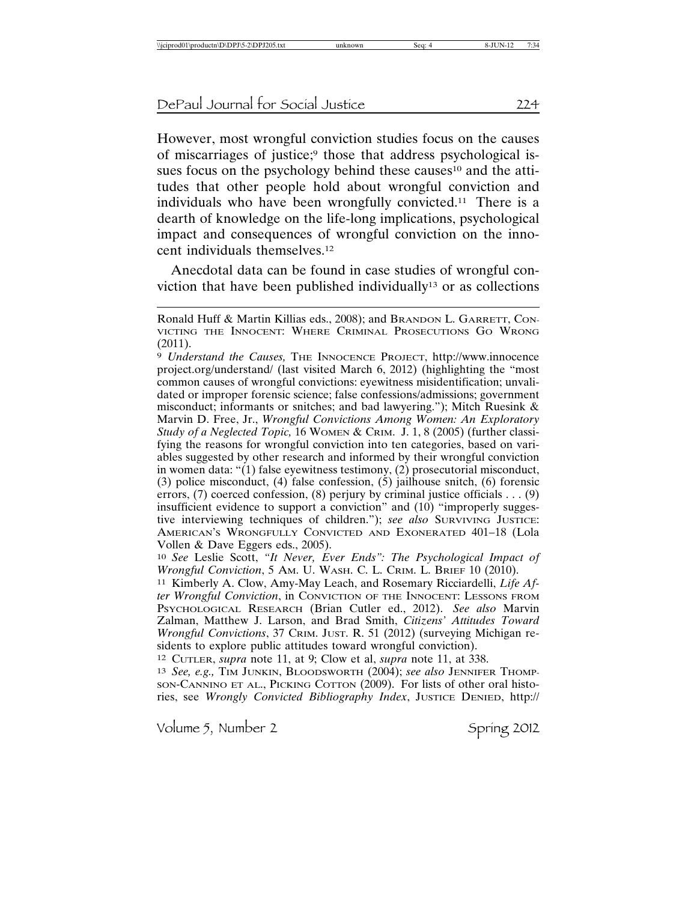However, most wrongful conviction studies focus on the causes of miscarriages of justice;9 those that address psychological issues focus on the psychology behind these causes<sup>10</sup> and the attitudes that other people hold about wrongful conviction and individuals who have been wrongfully convicted.11 There is a dearth of knowledge on the life-long implications, psychological impact and consequences of wrongful conviction on the innocent individuals themselves.12

Anecdotal data can be found in case studies of wrongful conviction that have been published individually13 or as collections

10 *See* Leslie Scott, *"It Never, Ever Ends": The Psychological Impact of Wrongful Conviction*, 5 AM. U. WASH. C. L. CRIM. L. BRIEF 10 (2010).

11 Kimberly A. Clow, Amy-May Leach, and Rosemary Ricciardelli, *Life After Wrongful Conviction*, in CONVICTION OF THE INNOCENT: LESSONS FROM PSYCHOLOGICAL RESEARCH (Brian Cutler ed., 2012). *See also* Marvin Zalman, Matthew J. Larson, and Brad Smith, *Citizens' Attitudes Toward Wrongful Convictions*, 37 CRIM. JUST. R. 51 (2012) (surveying Michigan residents to explore public attitudes toward wrongful conviction).

12 CUTLER, *supra* note 11, at 9; Clow et al, *supra* note 11, at 338.

13 *See, e.g.,* TIM JUNKIN, BLOODSWORTH (2004); *see also* JENNIFER THOMP-SON-CANNINO ET AL., PICKING COTTON (2009). For lists of other oral histories, see *Wrongly Convicted Bibliography Index*, JUSTICE DENIED, http://

Ronald Huff & Martin Killias eds., 2008); and BRANDON L. GARRETT, CON-VICTING THE INNOCENT: WHERE CRIMINAL PROSECUTIONS GO WRONG (2011).

<sup>9</sup> *Understand the Causes,* THE INNOCENCE PROJECT, http://www.innocence project.org/understand/ (last visited March 6, 2012) (highlighting the "most common causes of wrongful convictions: eyewitness misidentification; unvalidated or improper forensic science; false confessions/admissions; government misconduct; informants or snitches; and bad lawyering."); Mitch Ruesink & Marvin D. Free, Jr., *Wrongful Convictions Among Women: An Exploratory Study of a Neglected Topic,* 16 WOMEN & CRIM. J. 1, 8 (2005) (further classifying the reasons for wrongful conviction into ten categories, based on variables suggested by other research and informed by their wrongful conviction in women data: "(1) false eyewitness testimony, (2) prosecutorial misconduct, (3) police misconduct, (4) false confession, (5) jailhouse snitch, (6) forensic errors, (7) coerced confession, (8) perjury by criminal justice officials . . . (9) insufficient evidence to support a conviction" and (10) "improperly suggestive interviewing techniques of children."); *see also* SURVIVING JUSTICE: AMERICAN'S WRONGFULLY CONVICTED AND EXONERATED 401–18 (Lola Vollen & Dave Eggers eds., 2005).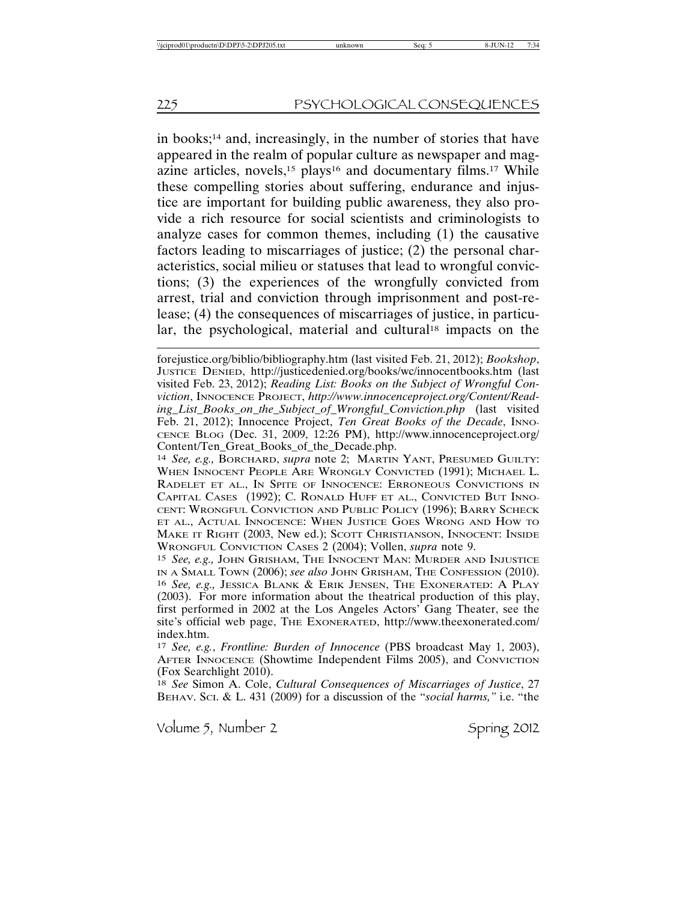in books;14 and, increasingly, in the number of stories that have appeared in the realm of popular culture as newspaper and magazine articles, novels,<sup>15</sup> plays<sup>16</sup> and documentary films.<sup>17</sup> While these compelling stories about suffering, endurance and injustice are important for building public awareness, they also provide a rich resource for social scientists and criminologists to analyze cases for common themes, including (1) the causative factors leading to miscarriages of justice; (2) the personal characteristics, social milieu or statuses that lead to wrongful convictions; (3) the experiences of the wrongfully convicted from arrest, trial and conviction through imprisonment and post-release; (4) the consequences of miscarriages of justice, in particular, the psychological, material and cultural<sup>18</sup> impacts on the

18 *See* Simon A. Cole, *Cultural Consequences of Miscarriages of Justice*, 27 BEHAV. SCI. & L. 431 (2009) for a discussion of the "*social harms,"* i.e. "the

forejustice.org/biblio/bibliography.htm (last visited Feb. 21, 2012); *Bookshop*, JUSTICE DENIED, http://justicedenied.org/books/wc/innocentbooks.htm (last visited Feb. 23, 2012); *Reading List: Books on the Subject of Wrongful Conviction*, INNOCENCE PROJECT, *http://www.innocenceproject.org/Content/Reading\_List\_Books\_on\_the\_Subject\_of\_Wrongful\_Conviction.php* (last visited Feb. 21, 2012); Innocence Project, *Ten Great Books of the Decade*, INNO-CENCE BLOG (Dec. 31, 2009, 12:26 PM), http://www.innocenceproject.org/ Content/Ten\_Great\_Books\_of\_the\_Decade.php.

<sup>14</sup> *See, e.g.,* BORCHARD, *supra* note 2; MARTIN YANT, PRESUMED GUILTY: WHEN INNOCENT PEOPLE ARE WRONGLY CONVICTED (1991); MICHAEL L. RADELET ET AL., IN SPITE OF INNOCENCE: ERRONEOUS CONVICTIONS IN CAPITAL CASES (1992); C. RONALD HUFF ET AL., CONVICTED BUT INNO-CENT: WRONGFUL CONVICTION AND PUBLIC POLICY (1996); BARRY SCHECK ET AL., ACTUAL INNOCENCE: WHEN JUSTICE GOES WRONG AND HOW TO MAKE IT RIGHT (2003, New ed.); SCOTT CHRISTIANSON, INNOCENT: INSIDE WRONGFUL CONVICTION CASES 2 (2004); Vollen, *supra* note 9.

<sup>15</sup> *See, e.g.,* JOHN GRISHAM, THE INNOCENT MAN: MURDER AND INJUSTICE IN A SMALL TOWN (2006); *see also* JOHN GRISHAM, THE CONFESSION (2010). 16 *See, e.g.,* JESSICA BLANK & ERIK JENSEN, THE EXONERATED: A PLAY (2003). For more information about the theatrical production of this play, first performed in 2002 at the Los Angeles Actors' Gang Theater, see the site's official web page, THE EXONERATED, http://www.theexonerated.com/ index.htm.

<sup>17</sup> *See, e.g.*, *Frontline: Burden of Innocence* (PBS broadcast May 1, 2003), AFTER INNOCENCE (Showtime Independent Films 2005), and CONVICTION (Fox Searchlight 2010).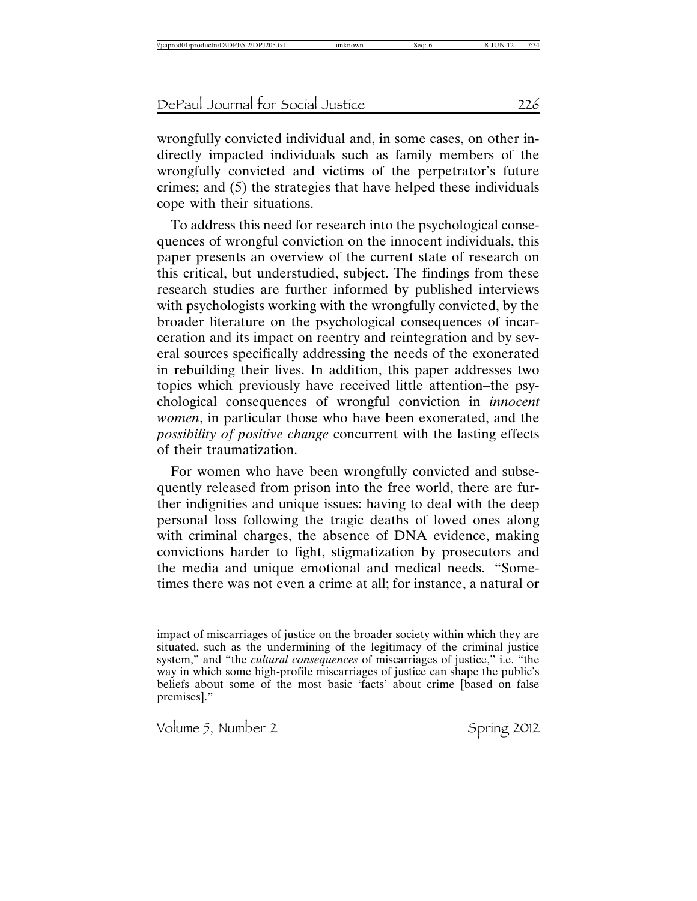wrongfully convicted individual and, in some cases, on other indirectly impacted individuals such as family members of the wrongfully convicted and victims of the perpetrator's future crimes; and (5) the strategies that have helped these individuals cope with their situations.

To address this need for research into the psychological consequences of wrongful conviction on the innocent individuals, this paper presents an overview of the current state of research on this critical, but understudied, subject. The findings from these research studies are further informed by published interviews with psychologists working with the wrongfully convicted, by the broader literature on the psychological consequences of incarceration and its impact on reentry and reintegration and by several sources specifically addressing the needs of the exonerated in rebuilding their lives. In addition, this paper addresses two topics which previously have received little attention–the psychological consequences of wrongful conviction in *innocent women*, in particular those who have been exonerated, and the *possibility of positive change* concurrent with the lasting effects of their traumatization.

For women who have been wrongfully convicted and subsequently released from prison into the free world, there are further indignities and unique issues: having to deal with the deep personal loss following the tragic deaths of loved ones along with criminal charges, the absence of DNA evidence, making convictions harder to fight, stigmatization by prosecutors and the media and unique emotional and medical needs. "Sometimes there was not even a crime at all; for instance, a natural or

impact of miscarriages of justice on the broader society within which they are situated, such as the undermining of the legitimacy of the criminal justice system," and "the *cultural consequences* of miscarriages of justice," i.e. "the way in which some high-profile miscarriages of justice can shape the public's beliefs about some of the most basic 'facts' about crime [based on false premises]."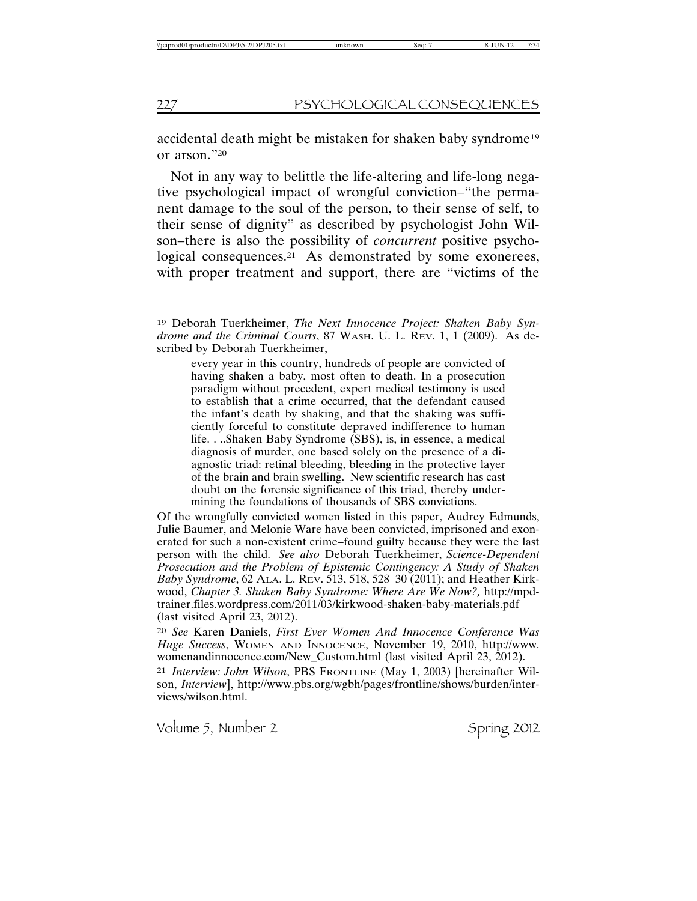accidental death might be mistaken for shaken baby syndrome19 or arson."20

Not in any way to belittle the life-altering and life-long negative psychological impact of wrongful conviction–"the permanent damage to the soul of the person, to their sense of self, to their sense of dignity" as described by psychologist John Wilson–there is also the possibility of *concurrent* positive psychological consequences.<sup>21</sup> As demonstrated by some exonerees, with proper treatment and support, there are "victims of the

every year in this country, hundreds of people are convicted of having shaken a baby, most often to death. In a prosecution paradigm without precedent, expert medical testimony is used to establish that a crime occurred, that the defendant caused the infant's death by shaking, and that the shaking was sufficiently forceful to constitute depraved indifference to human life. . ..Shaken Baby Syndrome (SBS), is, in essence, a medical diagnosis of murder, one based solely on the presence of a diagnostic triad: retinal bleeding, bleeding in the protective layer of the brain and brain swelling. New scientific research has cast doubt on the forensic significance of this triad, thereby undermining the foundations of thousands of SBS convictions.

Of the wrongfully convicted women listed in this paper, Audrey Edmunds, Julie Baumer, and Melonie Ware have been convicted, imprisoned and exonerated for such a non-existent crime–found guilty because they were the last person with the child. *See also* Deborah Tuerkheimer, *Science-Dependent Prosecution and the Problem of Epistemic Contingency: A Study of Shaken Baby Syndrome*, 62 ALA. L. REV. 513, 518, 528–30 (2011); and Heather Kirkwood, *Chapter 3. Shaken Baby Syndrome: Where Are We Now?,* http://mpdtrainer.files.wordpress.com/2011/03/kirkwood-shaken-baby-materials.pdf (last visited April 23, 2012).

20 *See* Karen Daniels, *First Ever Women And Innocence Conference Was Huge Success*, WOMEN AND INNOCENCE, November 19, 2010, http://www. womenandinnocence.com/New\_Custom.html (last visited April 23, 2012).

21 *Interview: John Wilson*, PBS FRONTLINE (May 1, 2003) [hereinafter Wilson, *Interview*], http://www.pbs.org/wgbh/pages/frontline/shows/burden/interviews/wilson.html.

<sup>19</sup> Deborah Tuerkheimer, *The Next Innocence Project: Shaken Baby Syndrome and the Criminal Courts*, 87 WASH. U. L. REV. 1, 1 (2009). As described by Deborah Tuerkheimer,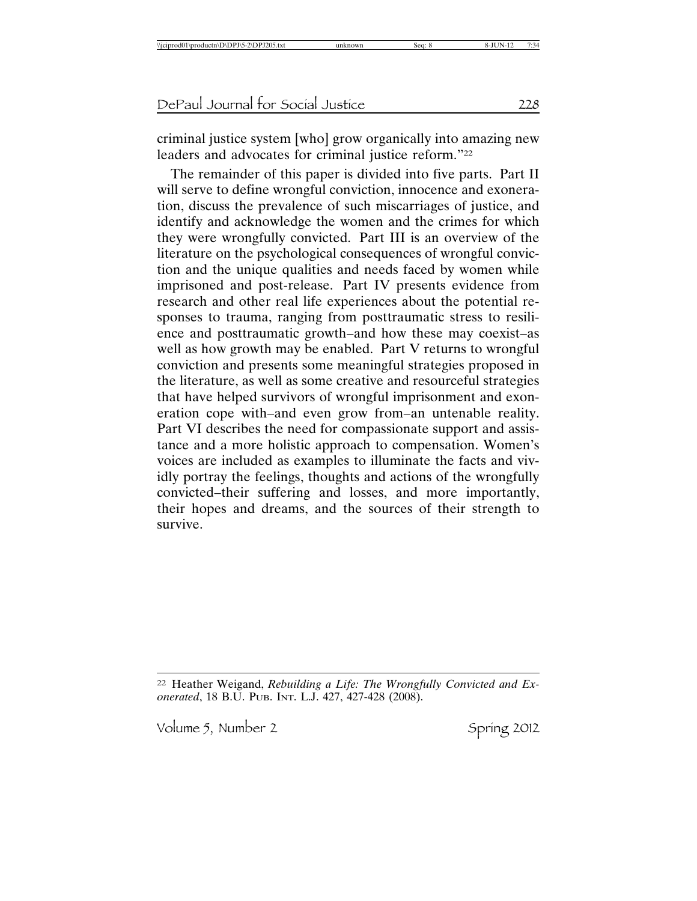criminal justice system [who] grow organically into amazing new leaders and advocates for criminal justice reform."22

The remainder of this paper is divided into five parts. Part II will serve to define wrongful conviction, innocence and exoneration, discuss the prevalence of such miscarriages of justice, and identify and acknowledge the women and the crimes for which they were wrongfully convicted. Part III is an overview of the literature on the psychological consequences of wrongful conviction and the unique qualities and needs faced by women while imprisoned and post-release. Part IV presents evidence from research and other real life experiences about the potential responses to trauma, ranging from posttraumatic stress to resilience and posttraumatic growth–and how these may coexist–as well as how growth may be enabled. Part V returns to wrongful conviction and presents some meaningful strategies proposed in the literature, as well as some creative and resourceful strategies that have helped survivors of wrongful imprisonment and exoneration cope with–and even grow from–an untenable reality. Part VI describes the need for compassionate support and assistance and a more holistic approach to compensation. Women's voices are included as examples to illuminate the facts and vividly portray the feelings, thoughts and actions of the wrongfully convicted–their suffering and losses, and more importantly, their hopes and dreams, and the sources of their strength to survive.

<sup>22</sup> Heather Weigand, *Rebuilding a Life: The Wrongfully Convicted and Exonerated*, 18 B.U. PUB. INT. L.J. 427, 427-428 (2008).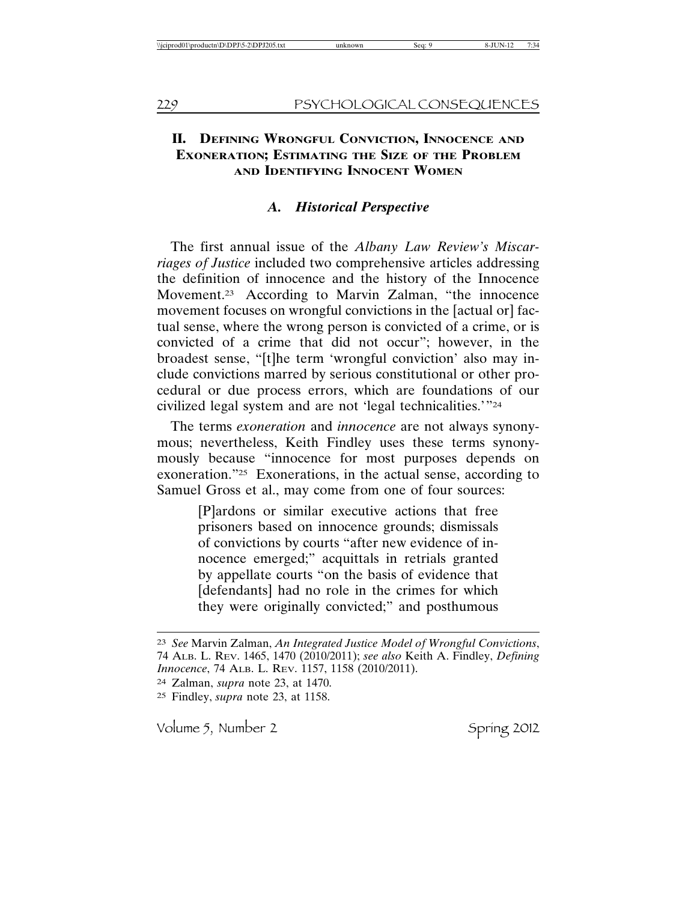### **II. DEFINING WRONGFUL CONVICTION, INNOCENCE AND EXONERATION; ESTIMATING THE SIZE OF THE PROBLEM AND IDENTIFYING INNOCENT WOMEN**

### *A. Historical Perspective*

The first annual issue of the *Albany Law Review's Miscarriages of Justice* included two comprehensive articles addressing the definition of innocence and the history of the Innocence Movement.23 According to Marvin Zalman, "the innocence movement focuses on wrongful convictions in the [actual or] factual sense, where the wrong person is convicted of a crime, or is convicted of a crime that did not occur"; however, in the broadest sense, "[t]he term 'wrongful conviction' also may include convictions marred by serious constitutional or other procedural or due process errors, which are foundations of our civilized legal system and are not 'legal technicalities.'"24

The terms *exoneration* and *innocence* are not always synonymous; nevertheless, Keith Findley uses these terms synonymously because "innocence for most purposes depends on exoneration."25 Exonerations, in the actual sense, according to Samuel Gross et al., may come from one of four sources:

> [P]ardons or similar executive actions that free prisoners based on innocence grounds; dismissals of convictions by courts "after new evidence of innocence emerged;" acquittals in retrials granted by appellate courts "on the basis of evidence that [defendants] had no role in the crimes for which they were originally convicted;" and posthumous

<sup>23</sup> *See* Marvin Zalman, *An Integrated Justice Model of Wrongful Convictions*, 74 ALB. L. REV. 1465, 1470 (2010/2011); *see also* Keith A. Findley, *Defining Innocence*, 74 ALB. L. REV. 1157, 1158 (2010/2011).

<sup>24</sup> Zalman, *supra* note 23, at 1470.

<sup>25</sup> Findley, *supra* note 23, at 1158.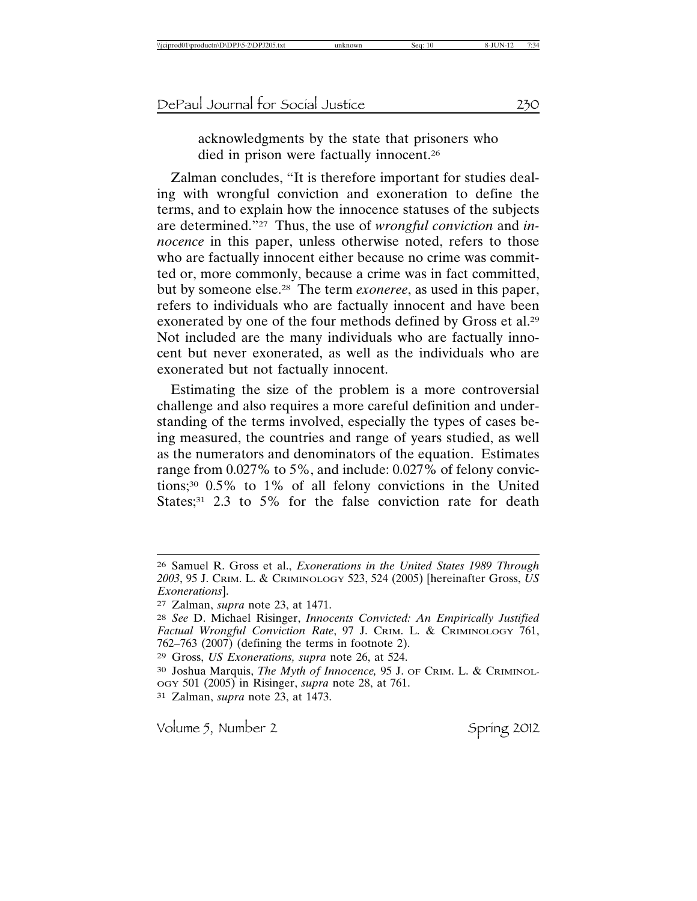acknowledgments by the state that prisoners who died in prison were factually innocent.26

Zalman concludes, "It is therefore important for studies dealing with wrongful conviction and exoneration to define the terms, and to explain how the innocence statuses of the subjects are determined."27 Thus, the use of *wrongful conviction* and *innocence* in this paper, unless otherwise noted, refers to those who are factually innocent either because no crime was committed or, more commonly, because a crime was in fact committed, but by someone else.28 The term *exoneree*, as used in this paper, refers to individuals who are factually innocent and have been exonerated by one of the four methods defined by Gross et al.29 Not included are the many individuals who are factually innocent but never exonerated, as well as the individuals who are exonerated but not factually innocent.

Estimating the size of the problem is a more controversial challenge and also requires a more careful definition and understanding of the terms involved, especially the types of cases being measured, the countries and range of years studied, as well as the numerators and denominators of the equation. Estimates range from 0.027% to 5%, and include: 0.027% of felony convictions;30 0.5% to 1% of all felony convictions in the United States;<sup>31</sup> 2.3 to 5% for the false conviction rate for death

31 Zalman, *supra* note 23, at 1473.

<sup>26</sup> Samuel R. Gross et al., *Exonerations in the United States 1989 Through 2003*, 95 J. CRIM. L. & CRIMINOLOGY 523, 524 (2005) [hereinafter Gross, *US Exonerations*].

<sup>27</sup> Zalman, *supra* note 23, at 1471.

<sup>28</sup> *See* D. Michael Risinger, *Innocents Convicted: An Empirically Justified Factual Wrongful Conviction Rate*, 97 J. CRIM. L. & CRIMINOLOGY 761, 762–763 (2007) (defining the terms in footnote 2).

<sup>29</sup> Gross, *US Exonerations, supra* note 26, at 524.

<sup>30</sup> Joshua Marquis, *The Myth of Innocence,* 95 J. OF CRIM. L. & CRIMINOL-OGY 501 (2005) in Risinger, *supra* note 28, at 761.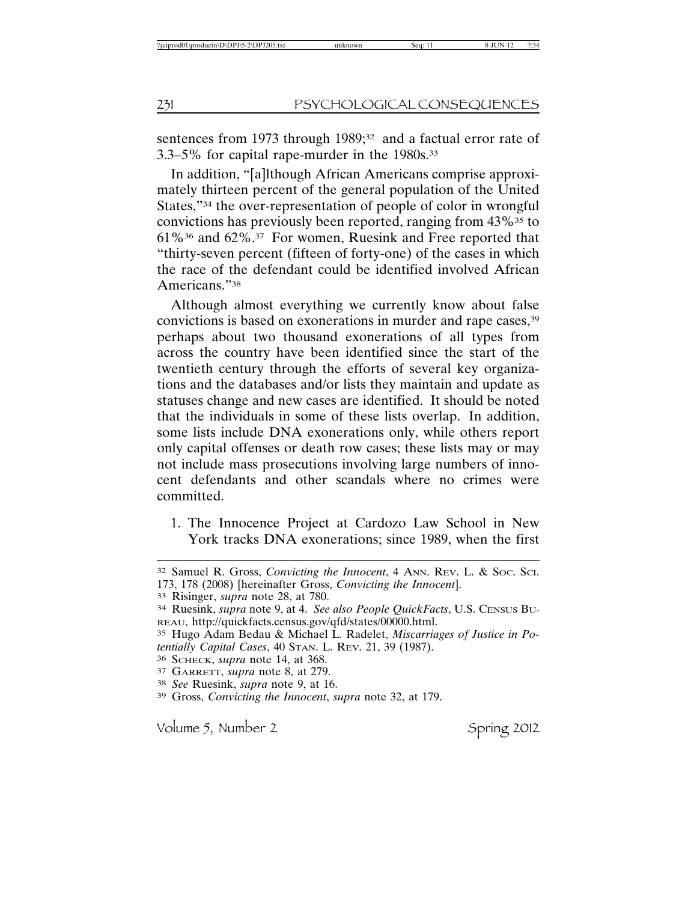sentences from 1973 through 1989;<sup>32</sup> and a factual error rate of 3.3–5% for capital rape-murder in the 1980s.33

In addition, "[a]lthough African Americans comprise approximately thirteen percent of the general population of the United States,"34 the over-representation of people of color in wrongful convictions has previously been reported, ranging from 43%<sup>35</sup> to 61%36 and 62%.37 For women, Ruesink and Free reported that "thirty-seven percent (fifteen of forty-one) of the cases in which the race of the defendant could be identified involved African Americans."38

Although almost everything we currently know about false convictions is based on exonerations in murder and rape cases,<sup>39</sup> perhaps about two thousand exonerations of all types from across the country have been identified since the start of the twentieth century through the efforts of several key organizations and the databases and/or lists they maintain and update as statuses change and new cases are identified. It should be noted that the individuals in some of these lists overlap. In addition, some lists include DNA exonerations only, while others report only capital offenses or death row cases; these lists may or may not include mass prosecutions involving large numbers of innocent defendants and other scandals where no crimes were committed.

1. The Innocence Project at Cardozo Law School in New York tracks DNA exonerations; since 1989, when the first

<sup>32</sup> Samuel R. Gross, *Convicting the Innocent*, 4 ANN. REV. L. & SOC. SCI. 173, 178 (2008) [hereinafter Gross, *Convicting the Innocent*].

<sup>33</sup> Risinger, *supra* note 28, at 780.

<sup>34</sup> Ruesink, *supra* note 9, at 4. *See also People QuickFacts*, U.S. CENSUS BU-REAU, http://quickfacts.census.gov/qfd/states/00000.html.

<sup>35</sup> Hugo Adam Bedau & Michael L. Radelet, *Miscarriages of Justice in Potentially Capital Cases*, 40 STAN. L. REV. 21, 39 (1987).

<sup>36</sup> SCHECK, *supra* note 14, at 368.

<sup>37</sup> GARRETT, *supra* note 8, at 279.

<sup>38</sup> *See* Ruesink, *supra* note 9, at 16.

<sup>39</sup> Gross, *Convicting the Innocent*, *supra* note 32, at 179.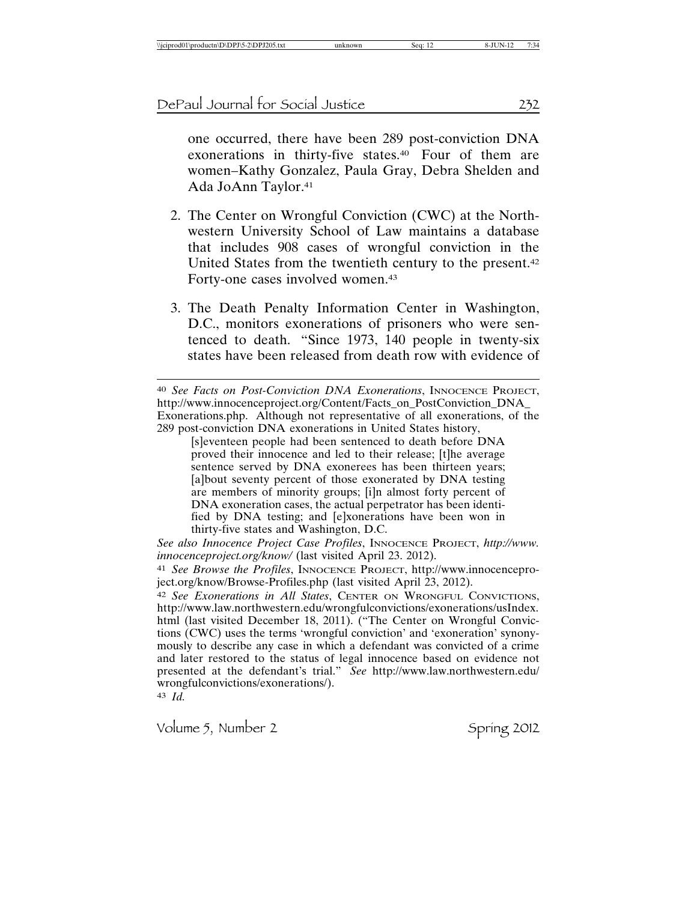one occurred, there have been 289 post-conviction DNA exonerations in thirty-five states.40 Four of them are women–Kathy Gonzalez, Paula Gray, Debra Shelden and Ada JoAnn Taylor.41

- 2. The Center on Wrongful Conviction (CWC) at the Northwestern University School of Law maintains a database that includes 908 cases of wrongful conviction in the United States from the twentieth century to the present.42 Forty-one cases involved women.43
- 3. The Death Penalty Information Center in Washington, D.C., monitors exonerations of prisoners who were sentenced to death. "Since 1973, 140 people in twenty-six states have been released from death row with evidence of

[s]eventeen people had been sentenced to death before DNA proved their innocence and led to their release; [t]he average sentence served by DNA exonerees has been thirteen years; [a]bout seventy percent of those exonerated by DNA testing are members of minority groups; [i]n almost forty percent of DNA exoneration cases, the actual perpetrator has been identified by DNA testing; and [e]xonerations have been won in thirty-five states and Washington, D.C.

*See also Innocence Project Case Profiles*, INNOCENCE PROJECT, *http://www. innocenceproject.org/know/* (last visited April 23. 2012).

41 *See Browse the Profiles*, INNOCENCE PROJECT, http://www.innocenceproject.org/know/Browse-Profiles.php (last visited April 23, 2012).

42 *See Exonerations in All States*, CENTER ON WRONGFUL CONVICTIONS, http://www.law.northwestern.edu/wrongfulconvictions/exonerations/usIndex. html (last visited December 18, 2011). ("The Center on Wrongful Convictions (CWC) uses the terms 'wrongful conviction' and 'exoneration' synonymously to describe any case in which a defendant was convicted of a crime and later restored to the status of legal innocence based on evidence not presented at the defendant's trial." *See* http://www.law.northwestern.edu/ wrongfulconvictions/exonerations/).

43 *Id.*

<sup>40</sup> *See Facts on Post-Conviction DNA Exonerations*, INNOCENCE PROJECT, http://www.innocenceproject.org/Content/Facts\_on\_PostConviction\_DNA\_ Exonerations.php. Although not representative of all exonerations, of the 289 post-conviction DNA exonerations in United States history,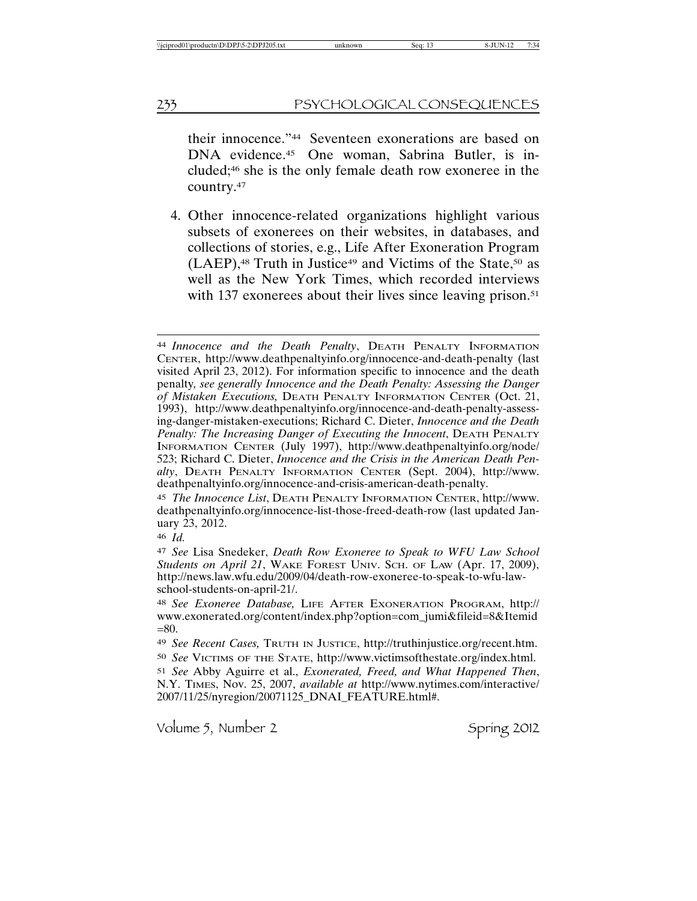their innocence."44 Seventeen exonerations are based on DNA evidence.45 One woman, Sabrina Butler, is included;46 she is the only female death row exoneree in the country.47

4. Other innocence-related organizations highlight various subsets of exonerees on their websites, in databases, and collections of stories, e.g., Life After Exoneration Program  $(LAEP)$ ,<sup>48</sup> Truth in Justice<sup>49</sup> and Victims of the State,<sup>50</sup> as well as the New York Times, which recorded interviews with 137 exonerees about their lives since leaving prison.<sup>51</sup>

46 *Id.*

47 *See* Lisa Snedeker, *Death Row Exoneree to Speak to WFU Law School Students on April 21*, WAKE FOREST UNIV. SCH. OF LAW (Apr. 17, 2009), http://news.law.wfu.edu/2009/04/death-row-exoneree-to-speak-to-wfu-lawschool-students-on-april-21/.

<sup>44</sup> *Innocence and the Death Penalty*, DEATH PENALTY INFORMATION CENTER, http://www.deathpenaltyinfo.org/innocence-and-death-penalty (last visited April 23, 2012). For information specific to innocence and the death penalty*, see generally Innocence and the Death Penalty: Assessing the Danger of Mistaken Executions,* DEATH PENALTY INFORMATION CENTER (Oct. 21, 1993), http://www.deathpenaltyinfo.org/innocence-and-death-penalty-assessing-danger-mistaken-executions; Richard C. Dieter, *Innocence and the Death Penalty: The Increasing Danger of Executing the Innocent*, DEATH PENALTY INFORMATION CENTER (July 1997), http://www.deathpenaltyinfo.org/node/ 523; Richard C. Dieter, *Innocence and the Crisis in the American Death Penalty*, DEATH PENALTY INFORMATION CENTER (Sept. 2004), http://www. deathpenaltyinfo.org/innocence-and-crisis-american-death-penalty.

<sup>45</sup> *The Innocence List*, DEATH PENALTY INFORMATION CENTER, http://www. deathpenaltyinfo.org/innocence-list-those-freed-death-row (last updated January 23, 2012.

<sup>48</sup> *See Exoneree Database,* LIFE AFTER EXONERATION PROGRAM, http:// www.exonerated.org/content/index.php?option=com\_jumi&fileid=8&Itemid  $= 80.$ 

<sup>49</sup> *See Recent Cases,* TRUTH IN JUSTICE, http://truthinjustice.org/recent.htm. 50 *See* VICTIMS OF THE STATE, http://www.victimsofthestate.org/index.html.

<sup>51</sup> *See* Abby Aguirre et al., *Exonerated, Freed, and What Happened Then*, N.Y. TIMES, Nov. 25, 2007, *available at* http://www.nytimes.com/interactive/ 2007/11/25/nyregion/20071125\_DNAI\_FEATURE.html#.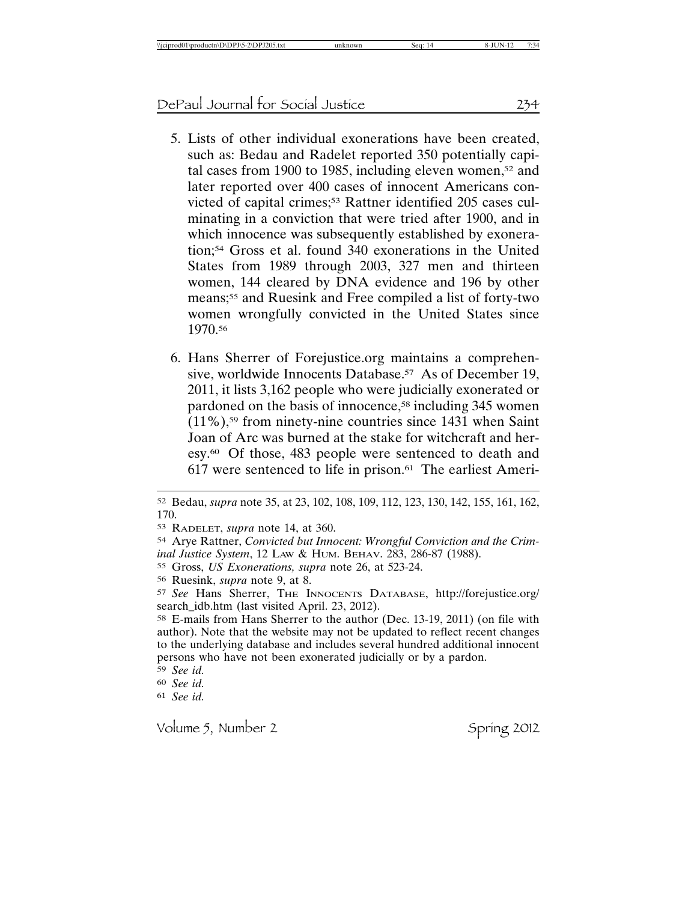- 5. Lists of other individual exonerations have been created, such as: Bedau and Radelet reported 350 potentially capital cases from 1900 to 1985, including eleven women, $52$  and later reported over 400 cases of innocent Americans convicted of capital crimes;<sup>53</sup> Rattner identified 205 cases culminating in a conviction that were tried after 1900, and in which innocence was subsequently established by exoneration;54 Gross et al. found 340 exonerations in the United States from 1989 through 2003, 327 men and thirteen women, 144 cleared by DNA evidence and 196 by other means;55 and Ruesink and Free compiled a list of forty-two women wrongfully convicted in the United States since 1970.56
- 6. Hans Sherrer of Forejustice.org maintains a comprehensive, worldwide Innocents Database.<sup>57</sup> As of December 19, 2011, it lists 3,162 people who were judicially exonerated or pardoned on the basis of innocence,<sup>58</sup> including 345 women (11%),59 from ninety-nine countries since 1431 when Saint Joan of Arc was burned at the stake for witchcraft and heresy.60 Of those, 483 people were sentenced to death and  $617$  were sentenced to life in prison.<sup>61</sup> The earliest Ameri-

59 *See id.*

60 *See id.*

61 *See id.*

<sup>52</sup> Bedau, *supra* note 35, at 23, 102, 108, 109, 112, 123, 130, 142, 155, 161, 162, 170.

<sup>53</sup> RADELET, *supra* note 14, at 360.

<sup>54</sup> Arye Rattner, *Convicted but Innocent: Wrongful Conviction and the Criminal Justice System*, 12 LAW & HUM. BEHAV. 283, 286-87 (1988).

<sup>55</sup> Gross, *US Exonerations, supra* note 26, at 523-24.

<sup>56</sup> Ruesink, *supra* note 9, at 8.

<sup>57</sup> *See* Hans Sherrer, THE INNOCENTS DATABASE, http://forejustice.org/ search\_idb.htm (last visited April. 23, 2012).

<sup>58</sup> E-mails from Hans Sherrer to the author (Dec. 13-19, 2011) (on file with author). Note that the website may not be updated to reflect recent changes to the underlying database and includes several hundred additional innocent persons who have not been exonerated judicially or by a pardon.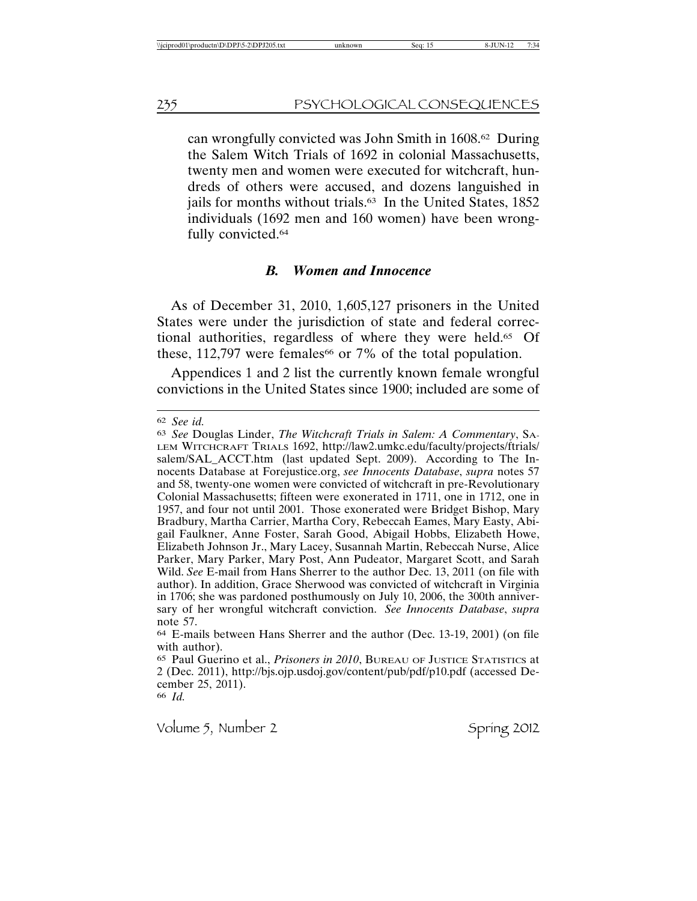can wrongfully convicted was John Smith in 1608.62 During the Salem Witch Trials of 1692 in colonial Massachusetts, twenty men and women were executed for witchcraft, hundreds of others were accused, and dozens languished in jails for months without trials.<sup>63</sup> In the United States, 1852 individuals (1692 men and 160 women) have been wrongfully convicted.64

#### *B. Women and Innocence*

As of December 31, 2010, 1,605,127 prisoners in the United States were under the jurisdiction of state and federal correctional authorities, regardless of where they were held.65 Of these,  $112,797$  were females<sup>66</sup> or 7% of the total population.

Appendices 1 and 2 list the currently known female wrongful convictions in the United States since 1900; included are some of

66 *Id.*

<sup>62</sup> *See id.*

<sup>63</sup> *See* Douglas Linder, *The Witchcraft Trials in Salem: A Commentary*, SA-LEM WITCHCRAFT TRIALS 1692, http://law2.umkc.edu/faculty/projects/ftrials/ salem/SAL\_ACCT.htm (last updated Sept. 2009). According to The Innocents Database at Forejustice.org, *see Innocents Database*, *supra* notes 57 and 58, twenty-one women were convicted of witchcraft in pre-Revolutionary Colonial Massachusetts; fifteen were exonerated in 1711, one in 1712, one in 1957, and four not until 2001. Those exonerated were Bridget Bishop, Mary Bradbury, Martha Carrier, Martha Cory, Rebeccah Eames, Mary Easty, Abigail Faulkner, Anne Foster, Sarah Good, Abigail Hobbs, Elizabeth Howe, Elizabeth Johnson Jr., Mary Lacey, Susannah Martin, Rebeccah Nurse, Alice Parker, Mary Parker, Mary Post, Ann Pudeator, Margaret Scott, and Sarah Wild. *See* E-mail from Hans Sherrer to the author Dec. 13, 2011 (on file with author). In addition, Grace Sherwood was convicted of witchcraft in Virginia in 1706; she was pardoned posthumously on July 10, 2006, the 300th anniversary of her wrongful witchcraft conviction. *See Innocents Database*, *supra* note 57.

<sup>64</sup> E-mails between Hans Sherrer and the author (Dec. 13-19, 2001) (on file with author).

<sup>65</sup> Paul Guerino et al., *Prisoners in 2010*, BUREAU OF JUSTICE STATISTICS at 2 (Dec. 2011), http://bjs.ojp.usdoj.gov/content/pub/pdf/p10.pdf (accessed December 25, 2011).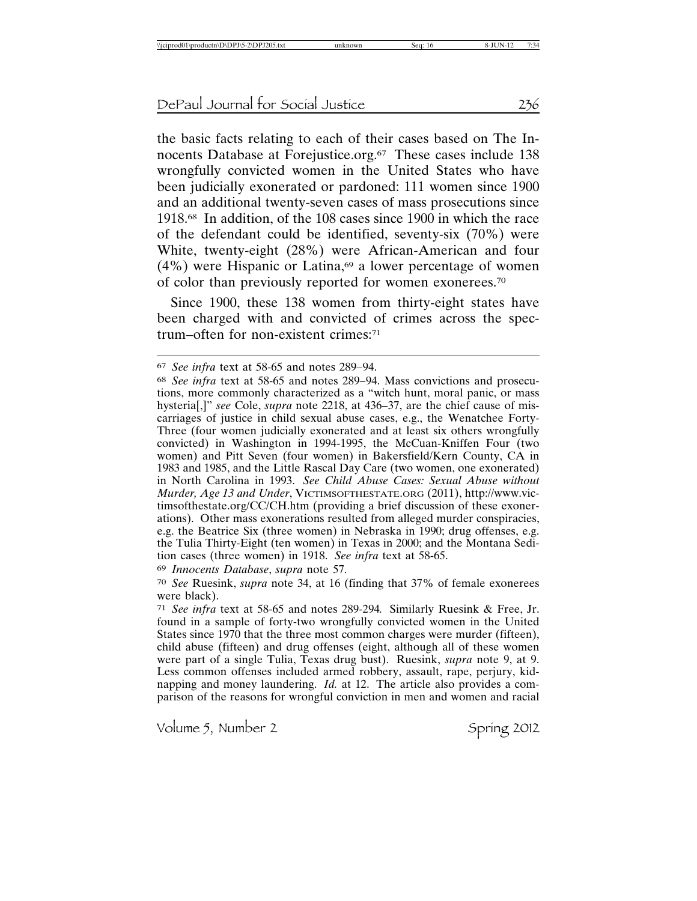the basic facts relating to each of their cases based on The Innocents Database at Forejustice.org.<sup>67</sup> These cases include 138 wrongfully convicted women in the United States who have been judicially exonerated or pardoned: 111 women since 1900 and an additional twenty-seven cases of mass prosecutions since 1918.68 In addition, of the 108 cases since 1900 in which the race of the defendant could be identified, seventy-six (70%) were White, twenty-eight (28%) were African-American and four  $(4\%)$  were Hispanic or Latina,<sup>69</sup> a lower percentage of women of color than previously reported for women exonerees.70

Since 1900, these 138 women from thirty-eight states have been charged with and convicted of crimes across the spectrum–often for non-existent crimes:71

69 *Innocents Database*, *supra* note 57.

<sup>67</sup> *See infra* text at 58-65 and notes 289–94.

<sup>68</sup> *See infra* text at 58-65 and notes 289–94. Mass convictions and prosecutions, more commonly characterized as a "witch hunt, moral panic, or mass hysteria[,]" *see* Cole, *supra* note 2218, at 436–37, are the chief cause of miscarriages of justice in child sexual abuse cases, e.g., the Wenatchee Forty-Three (four women judicially exonerated and at least six others wrongfully convicted) in Washington in 1994-1995, the McCuan-Kniffen Four (two women) and Pitt Seven (four women) in Bakersfield/Kern County, CA in 1983 and 1985, and the Little Rascal Day Care (two women, one exonerated) in North Carolina in 1993. *See Child Abuse Cases: Sexual Abuse without Murder, Age 13 and Under*, VICTIMSOFTHESTATE.ORG (2011), http://www.victimsofthestate.org/CC/CH.htm (providing a brief discussion of these exonerations). Other mass exonerations resulted from alleged murder conspiracies, e.g. the Beatrice Six (three women) in Nebraska in 1990; drug offenses, e.g. the Tulia Thirty-Eight (ten women) in Texas in 2000; and the Montana Sedition cases (three women) in 1918. *See infra* text at 58-65.

<sup>70</sup> *See* Ruesink, *supra* note 34, at 16 (finding that 37% of female exonerees were black).

<sup>71</sup> *See infra* text at 58-65 and notes 289-294*.* Similarly Ruesink & Free, Jr. found in a sample of forty-two wrongfully convicted women in the United States since 1970 that the three most common charges were murder (fifteen), child abuse (fifteen) and drug offenses (eight, although all of these women were part of a single Tulia, Texas drug bust). Ruesink, *supra* note 9, at 9. Less common offenses included armed robbery, assault, rape, perjury, kidnapping and money laundering. *Id.* at 12. The article also provides a comparison of the reasons for wrongful conviction in men and women and racial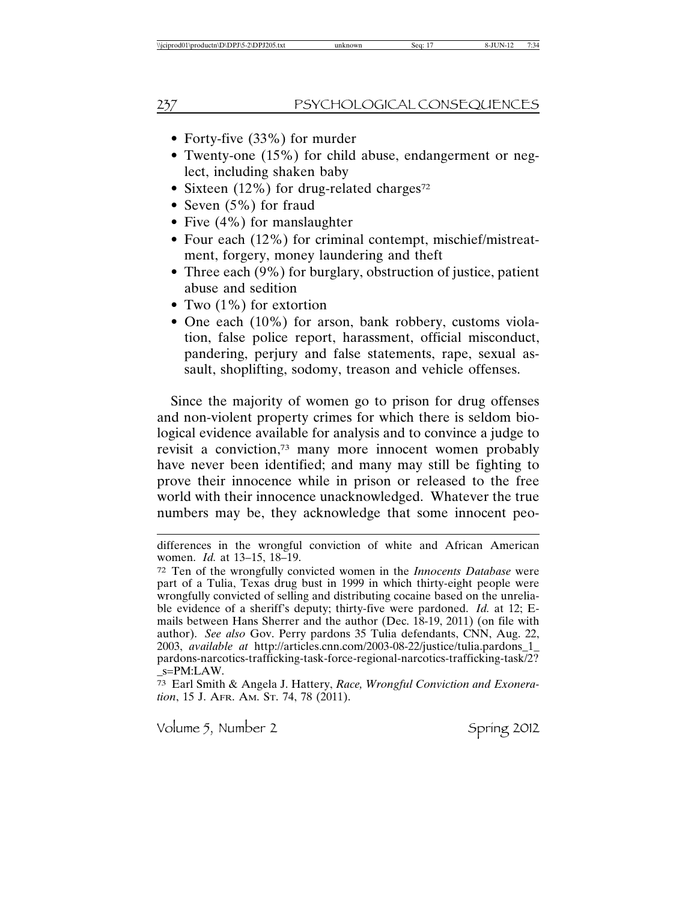- Forty-five (33%) for murder
- Twenty-one (15%) for child abuse, endangerment or neglect, including shaken baby
- Sixteen (12%) for drug-related charges<sup>72</sup>
- Seven (5%) for fraud
- Five (4%) for manslaughter
- Four each (12%) for criminal contempt, mischief/mistreatment, forgery, money laundering and theft
- Three each (9%) for burglary, obstruction of justice, patient abuse and sedition
- Two  $(1\%)$  for extortion
- One each (10%) for arson, bank robbery, customs violation, false police report, harassment, official misconduct, pandering, perjury and false statements, rape, sexual assault, shoplifting, sodomy, treason and vehicle offenses.

Since the majority of women go to prison for drug offenses and non-violent property crimes for which there is seldom biological evidence available for analysis and to convince a judge to revisit a conviction,73 many more innocent women probably have never been identified; and many may still be fighting to prove their innocence while in prison or released to the free world with their innocence unacknowledged. Whatever the true numbers may be, they acknowledge that some innocent peo-

73 Earl Smith & Angela J. Hattery, *Race, Wrongful Conviction and Exoneration*, 15 J. AFR. AM. ST. 74, 78 (2011).

differences in the wrongful conviction of white and African American women. *Id.* at 13–15, 18–19.

<sup>72</sup> Ten of the wrongfully convicted women in the *Innocents Database* were part of a Tulia, Texas drug bust in 1999 in which thirty-eight people were wrongfully convicted of selling and distributing cocaine based on the unreliable evidence of a sheriff's deputy; thirty-five were pardoned. *Id.* at 12; Emails between Hans Sherrer and the author (Dec. 18-19, 2011) (on file with author). *See also* Gov. Perry pardons 35 Tulia defendants, CNN, Aug. 22, 2003, *available at* http://articles.cnn.com/2003-08-22/justice/tulia.pardons\_1\_ pardons-narcotics-trafficking-task-force-regional-narcotics-trafficking-task/2? \_s=PM:LAW.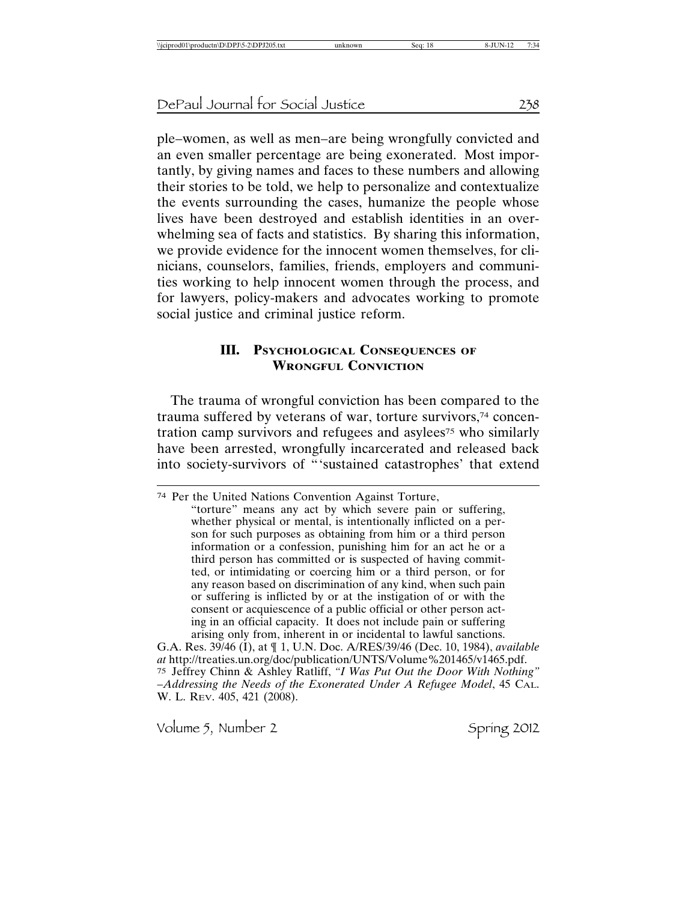ple–women, as well as men–are being wrongfully convicted and an even smaller percentage are being exonerated. Most importantly, by giving names and faces to these numbers and allowing their stories to be told, we help to personalize and contextualize the events surrounding the cases, humanize the people whose lives have been destroyed and establish identities in an overwhelming sea of facts and statistics. By sharing this information, we provide evidence for the innocent women themselves, for clinicians, counselors, families, friends, employers and communities working to help innocent women through the process, and for lawyers, policy-makers and advocates working to promote social justice and criminal justice reform.

### **III. PSYCHOLOGICAL CONSEQUENCES OF WRONGFUL CONVICTION**

The trauma of wrongful conviction has been compared to the trauma suffered by veterans of war, torture survivors,74 concentration camp survivors and refugees and asylees<sup>75</sup> who similarly have been arrested, wrongfully incarcerated and released back into society-survivors of "'sustained catastrophes' that extend

"torture" means any act by which severe pain or suffering, whether physical or mental, is intentionally inflicted on a person for such purposes as obtaining from him or a third person information or a confession, punishing him for an act he or a third person has committed or is suspected of having committed, or intimidating or coercing him or a third person, or for any reason based on discrimination of any kind, when such pain or suffering is inflicted by or at the instigation of or with the consent or acquiescence of a public official or other person acting in an official capacity. It does not include pain or suffering arising only from, inherent in or incidental to lawful sanctions.

G.A. Res. 39/46 (I), at ¶ 1, U.N. Doc. A/RES/39/46 (Dec. 10, 1984), *available at* http://treaties.un.org/doc/publication/UNTS/Volume%201465/v1465.pdf. 75 Jeffrey Chinn & Ashley Ratliff, *"I Was Put Out the Door With Nothing"* –*Addressing the Needs of the Exonerated Under A Refugee Model*, 45 CAL. W. L. REV. 405, 421 (2008).

<sup>74</sup> Per the United Nations Convention Against Torture,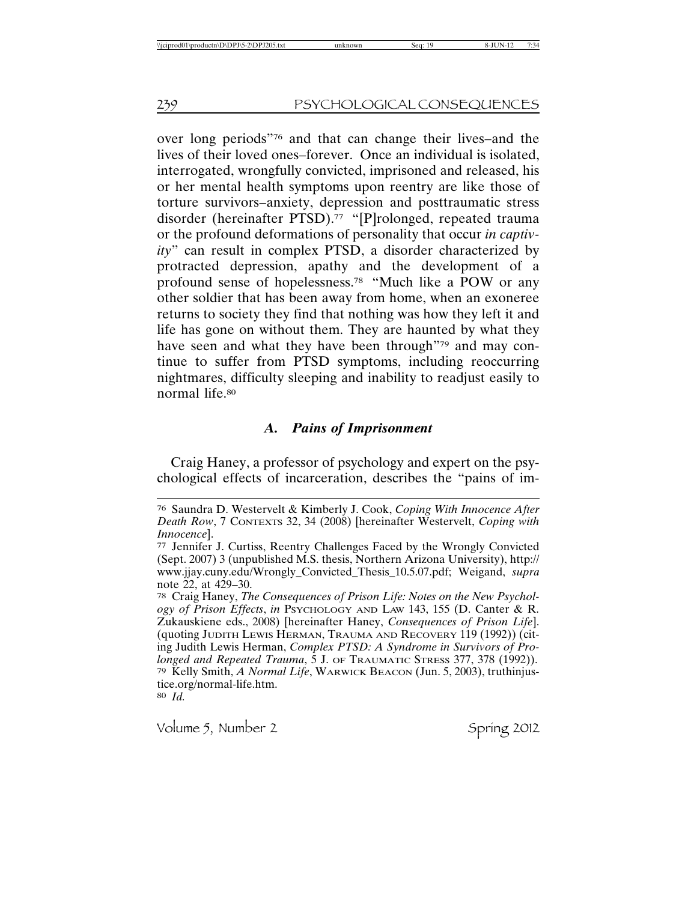over long periods"76 and that can change their lives–and the lives of their loved ones–forever. Once an individual is isolated, interrogated, wrongfully convicted, imprisoned and released, his or her mental health symptoms upon reentry are like those of torture survivors–anxiety, depression and posttraumatic stress disorder (hereinafter PTSD).<sup>77</sup> "[P]rolonged, repeated trauma or the profound deformations of personality that occur *in captivity*" can result in complex PTSD, a disorder characterized by protracted depression, apathy and the development of a profound sense of hopelessness.78 "Much like a POW or any other soldier that has been away from home, when an exoneree returns to society they find that nothing was how they left it and life has gone on without them. They are haunted by what they have seen and what they have been through"79 and may continue to suffer from PTSD symptoms, including reoccurring nightmares, difficulty sleeping and inability to readjust easily to normal life.80

## *A. Pains of Imprisonment*

Craig Haney, a professor of psychology and expert on the psychological effects of incarceration, describes the "pains of im-

80 *Id.*

<sup>76</sup> Saundra D. Westervelt & Kimberly J. Cook, *Coping With Innocence After Death Row*, 7 CONTEXTS 32, 34 (2008) [hereinafter Westervelt, *Coping with Innocence*].

<sup>77</sup> Jennifer J. Curtiss, Reentry Challenges Faced by the Wrongly Convicted (Sept. 2007) 3 (unpublished M.S. thesis, Northern Arizona University), http:// www.jjay.cuny.edu/Wrongly\_Convicted\_Thesis\_10.5.07.pdf; Weigand, *supra* note 22, at 429–30.

<sup>78</sup> Craig Haney, *The Consequences of Prison Life: Notes on the New Psychology of Prison Effects*, *in* PSYCHOLOGY AND LAW 143, 155 (D. Canter & R. Zukauskiene eds., 2008) [hereinafter Haney, *Consequences of Prison Life*]. (quoting JUDITH LEWIS HERMAN, TRAUMA AND RECOVERY 119 (1992)) (citing Judith Lewis Herman, *Complex PTSD: A Syndrome in Survivors of Prolonged and Repeated Trauma*, 5 J. OF TRAUMATIC STRESS 377, 378 (1992)). 79 Kelly Smith, *A Normal Life*, WARWICK BEACON (Jun. 5, 2003), truthinjustice.org/normal-life.htm.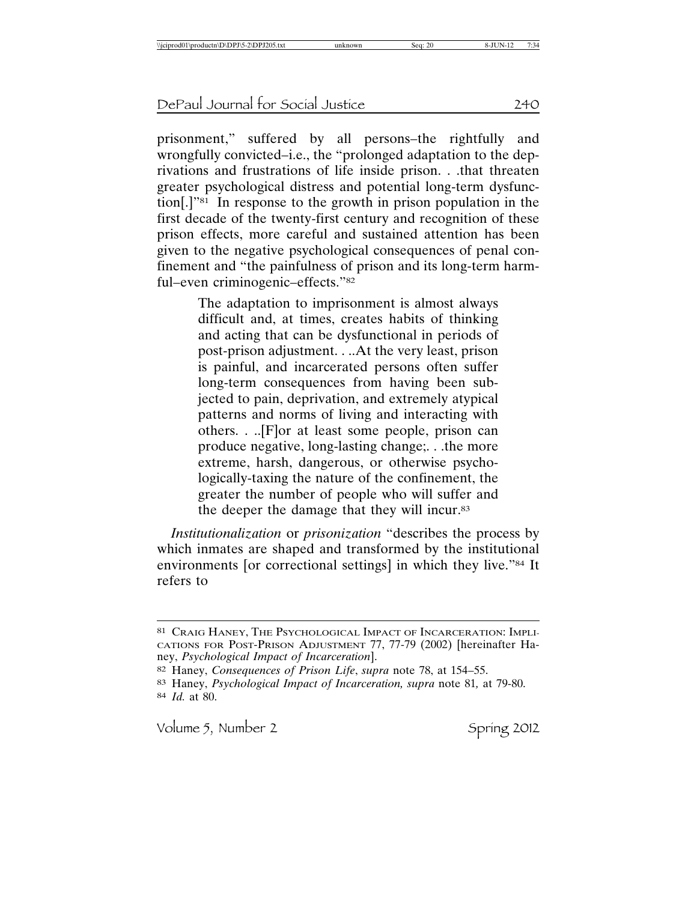prisonment," suffered by all persons–the rightfully and wrongfully convicted–i.e., the "prolonged adaptation to the deprivations and frustrations of life inside prison. . .that threaten greater psychological distress and potential long-term dysfunction[.]"81 In response to the growth in prison population in the first decade of the twenty-first century and recognition of these prison effects, more careful and sustained attention has been given to the negative psychological consequences of penal confinement and "the painfulness of prison and its long-term harmful–even criminogenic–effects."82

> The adaptation to imprisonment is almost always difficult and, at times, creates habits of thinking and acting that can be dysfunctional in periods of post-prison adjustment. . ..At the very least, prison is painful, and incarcerated persons often suffer long-term consequences from having been subjected to pain, deprivation, and extremely atypical patterns and norms of living and interacting with others. . ..[F]or at least some people, prison can produce negative, long-lasting change;. . .the more extreme, harsh, dangerous, or otherwise psychologically-taxing the nature of the confinement, the greater the number of people who will suffer and the deeper the damage that they will incur.83

*Institutionalization* or *prisonization* "describes the process by which inmates are shaped and transformed by the institutional environments [or correctional settings] in which they live."84 It refers to

<sup>81</sup> CRAIG HANEY, THE PSYCHOLOGICAL IMPACT OF INCARCERATION: IMPLI-CATIONS FOR POST-PRISON ADJUSTMENT 77, 77-79 (2002) [hereinafter Haney, *Psychological Impact of Incarceration*].

<sup>82</sup> Haney, *Consequences of Prison Life*, *supra* note 78, at 154–55.

<sup>83</sup> Haney, *Psychological Impact of Incarceration, supra* note 81*,* at 79-80. 84 *Id.* at 80.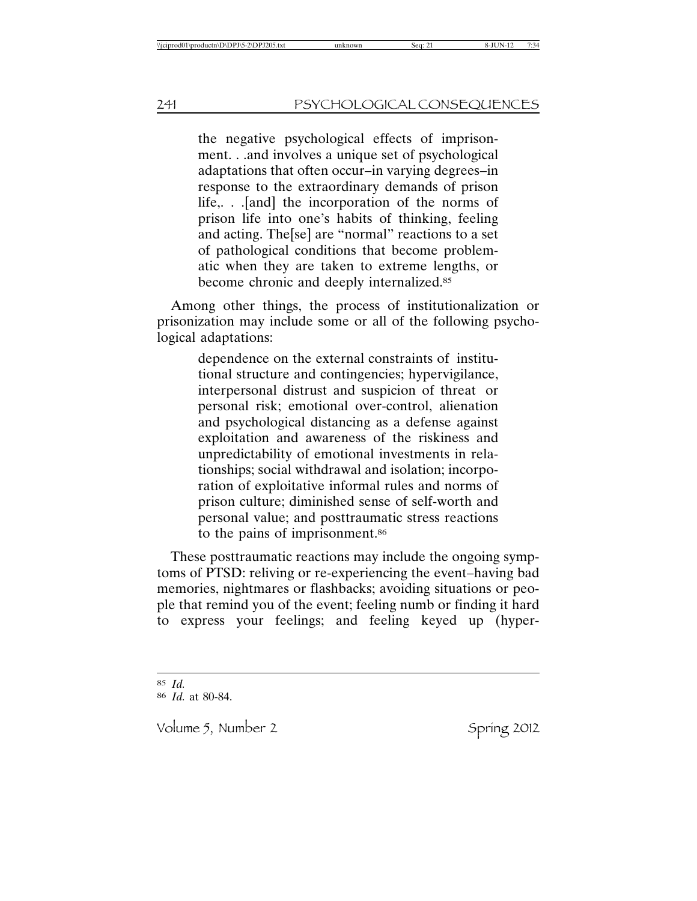the negative psychological effects of imprisonment. . .and involves a unique set of psychological adaptations that often occur–in varying degrees–in response to the extraordinary demands of prison life,. . .[and] the incorporation of the norms of prison life into one's habits of thinking, feeling and acting. The[se] are "normal" reactions to a set of pathological conditions that become problematic when they are taken to extreme lengths, or become chronic and deeply internalized.85

Among other things, the process of institutionalization or prisonization may include some or all of the following psychological adaptations:

> dependence on the external constraints of institutional structure and contingencies; hypervigilance, interpersonal distrust and suspicion of threat or personal risk; emotional over-control, alienation and psychological distancing as a defense against exploitation and awareness of the riskiness and unpredictability of emotional investments in relationships; social withdrawal and isolation; incorporation of exploitative informal rules and norms of prison culture; diminished sense of self-worth and personal value; and posttraumatic stress reactions to the pains of imprisonment.<sup>86</sup>

These posttraumatic reactions may include the ongoing symptoms of PTSD: reliving or re-experiencing the event–having bad memories, nightmares or flashbacks; avoiding situations or people that remind you of the event; feeling numb or finding it hard to express your feelings; and feeling keyed up (hyper-

<sup>85</sup> *Id.*

<sup>86</sup> *Id.* at 80-84.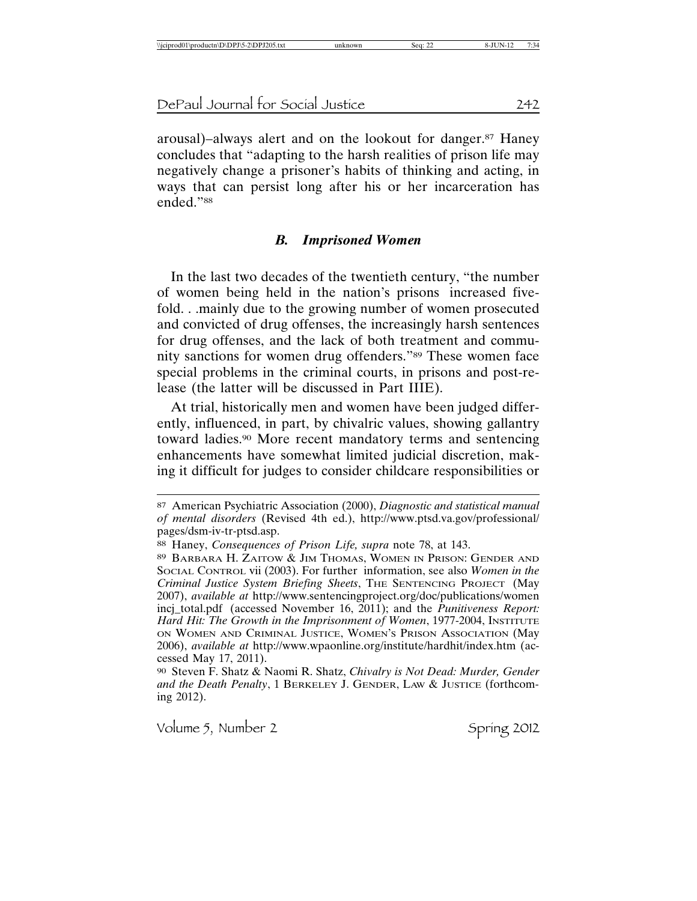arousal)–always alert and on the lookout for danger.87 Haney concludes that "adapting to the harsh realities of prison life may negatively change a prisoner's habits of thinking and acting, in ways that can persist long after his or her incarceration has ended<sup>"88</sup>

#### *B. Imprisoned Women*

In the last two decades of the twentieth century, "the number of women being held in the nation's prisons increased fivefold. . .mainly due to the growing number of women prosecuted and convicted of drug offenses, the increasingly harsh sentences for drug offenses, and the lack of both treatment and community sanctions for women drug offenders."89 These women face special problems in the criminal courts, in prisons and post-release (the latter will be discussed in Part IIIE).

At trial, historically men and women have been judged differently, influenced, in part, by chivalric values, showing gallantry toward ladies.90 More recent mandatory terms and sentencing enhancements have somewhat limited judicial discretion, making it difficult for judges to consider childcare responsibilities or

<sup>87</sup> American Psychiatric Association (2000), *Diagnostic and statistical manual of mental disorders* (Revised 4th ed.), http://www.ptsd.va.gov/professional/ pages/dsm-iv-tr-ptsd.asp.

<sup>88</sup> Haney, *Consequences of Prison Life, supra* note 78, at 143.

<sup>89</sup> BARBARA H. ZAITOW & JIM THOMAS, WOMEN IN PRISON: GENDER AND SOCIAL CONTROL vii (2003). For further information, see also *Women in the Criminal Justice System Briefing Sheets*, THE SENTENCING PROJECT (May 2007), *available at* http://www.sentencingproject.org/doc/publications/women incj\_total.pdf (accessed November 16, 2011); and the *Punitiveness Report: Hard Hit: The Growth in the Imprisonment of Women*, 1977-2004, INSTITUTE ON WOMEN AND CRIMINAL JUSTICE, WOMEN'S PRISON ASSOCIATION (May 2006), *available at* http://www.wpaonline.org/institute/hardhit/index.htm (accessed May 17, 2011).

<sup>90</sup> Steven F. Shatz & Naomi R. Shatz, *Chivalry is Not Dead: Murder, Gender and the Death Penalty*, 1 BERKELEY J. GENDER, LAW & JUSTICE (forthcoming 2012).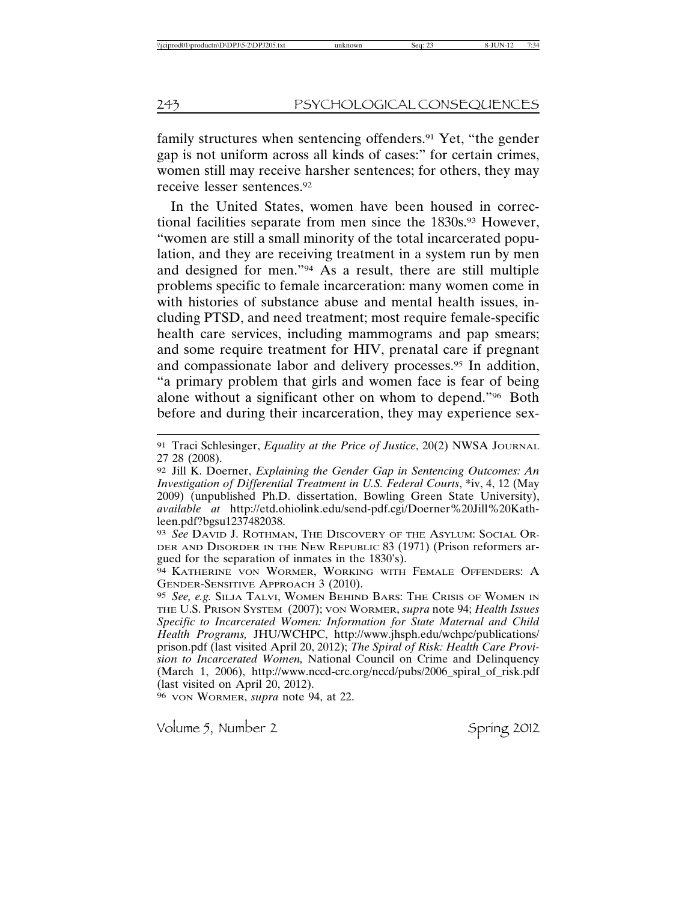family structures when sentencing offenders.<sup>91</sup> Yet, "the gender gap is not uniform across all kinds of cases:" for certain crimes, women still may receive harsher sentences; for others, they may receive lesser sentences.92

In the United States, women have been housed in correctional facilities separate from men since the 1830s.<sup>93</sup> However, "women are still a small minority of the total incarcerated population, and they are receiving treatment in a system run by men and designed for men."94 As a result, there are still multiple problems specific to female incarceration: many women come in with histories of substance abuse and mental health issues, including PTSD, and need treatment; most require female-specific health care services, including mammograms and pap smears; and some require treatment for HIV, prenatal care if pregnant and compassionate labor and delivery processes.95 In addition, "a primary problem that girls and women face is fear of being alone without a significant other on whom to depend."96 Both before and during their incarceration, they may experience sex-

96 VON WORMER, *supra* note 94, at 22.

<sup>91</sup> Traci Schlesinger, *Equality at the Price of Justice*, 20(2) NWSA JOURNAL 27 28 (2008).

<sup>92</sup> Jill K. Doerner, *Explaining the Gender Gap in Sentencing Outcomes: An Investigation of Differential Treatment in U.S. Federal Courts*, \*iv, 4, 12 (May 2009) (unpublished Ph.D. dissertation, Bowling Green State University), *available at* http://etd.ohiolink.edu/send-pdf.cgi/Doerner%20Jill%20Kathleen.pdf?bgsu1237482038.

<sup>93</sup> *See* DAVID J. ROTHMAN, THE DISCOVERY OF THE ASYLUM: SOCIAL OR-DER AND DISORDER IN THE NEW REPUBLIC 83 (1971) (Prison reformers argued for the separation of inmates in the 1830's).

<sup>94</sup> KATHERINE VON WORMER, WORKING WITH FEMALE OFFENDERS: A GENDER-SENSITIVE APPROACH 3 (2010).

<sup>95</sup> *See, e.g.* SILJA TALVI, WOMEN BEHIND BARS: THE CRISIS OF WOMEN IN THE U.S. PRISON SYSTEM (2007); VON WORMER, *supra* note 94; *Health Issues Specific to Incarcerated Women: Information for State Maternal and Child Health Programs,* JHU/WCHPC, http://www.jhsph.edu/wchpc/publications/ prison.pdf (last visited April 20, 2012); *The Spiral of Risk: Health Care Provision to Incarcerated Women,* National Council on Crime and Delinquency (March 1, 2006), http://www.nccd-crc.org/nccd/pubs/2006\_spiral\_of\_risk.pdf (last visited on April 20, 2012).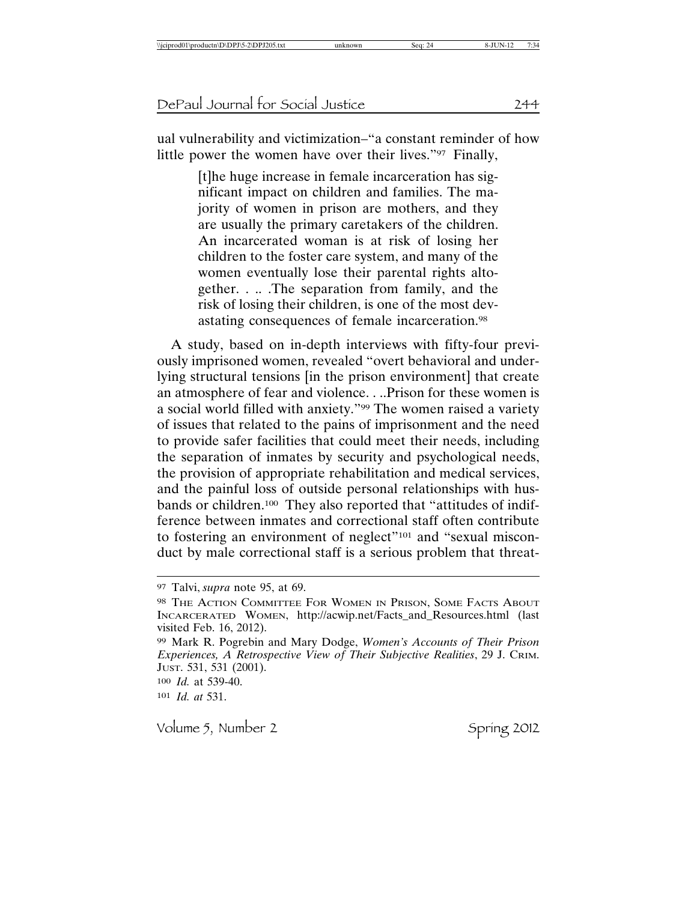ual vulnerability and victimization–"a constant reminder of how little power the women have over their lives."97 Finally,

> [t]he huge increase in female incarceration has significant impact on children and families. The majority of women in prison are mothers, and they are usually the primary caretakers of the children. An incarcerated woman is at risk of losing her children to the foster care system, and many of the women eventually lose their parental rights altogether. . .. .The separation from family, and the risk of losing their children, is one of the most devastating consequences of female incarceration.98

A study, based on in-depth interviews with fifty-four previously imprisoned women, revealed "overt behavioral and underlying structural tensions [in the prison environment] that create an atmosphere of fear and violence. . ..Prison for these women is a social world filled with anxiety."99 The women raised a variety of issues that related to the pains of imprisonment and the need to provide safer facilities that could meet their needs, including the separation of inmates by security and psychological needs, the provision of appropriate rehabilitation and medical services, and the painful loss of outside personal relationships with husbands or children.100 They also reported that "attitudes of indifference between inmates and correctional staff often contribute to fostering an environment of neglect"<sup>101</sup> and "sexual misconduct by male correctional staff is a serious problem that threat-

101 *Id. at* 531.

<sup>97</sup> Talvi, *supra* note 95, at 69.

<sup>98</sup> THE ACTION COMMITTEE FOR WOMEN IN PRISON, SOME FACTS ABOUT INCARCERATED WOMEN, http://acwip.net/Facts\_and\_Resources.html (last visited Feb. 16, 2012).

<sup>99</sup> Mark R. Pogrebin and Mary Dodge, *Women's Accounts of Their Prison Experiences, A Retrospective View of Their Subjective Realities*, 29 J. CRIM. JUST. 531, 531 (2001). 100 *Id.* at 539-40.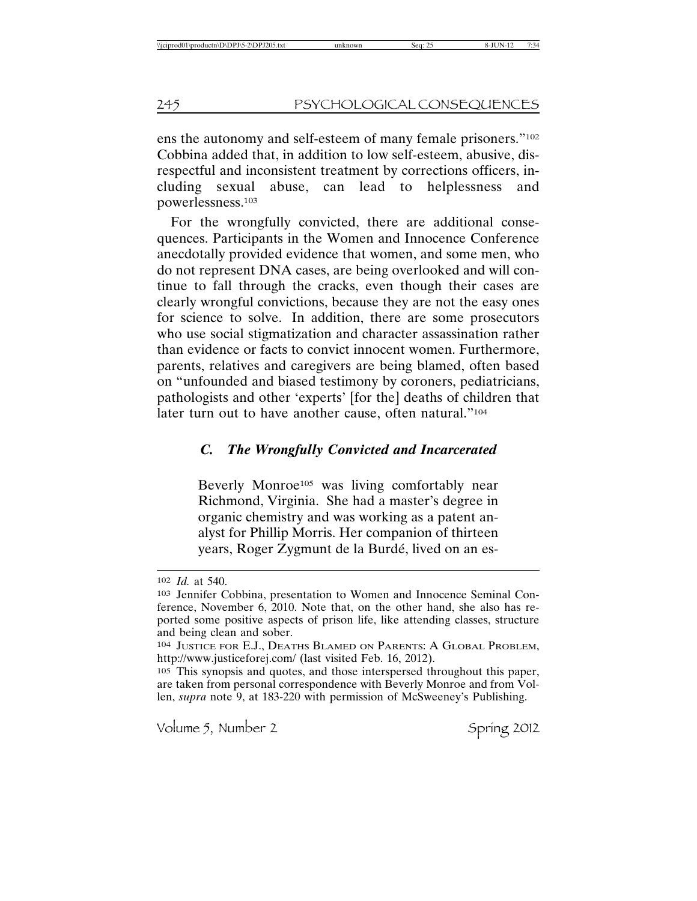ens the autonomy and self-esteem of many female prisoners."102 Cobbina added that, in addition to low self-esteem, abusive, disrespectful and inconsistent treatment by corrections officers, including sexual abuse, can lead to helplessness and powerlessness.103

For the wrongfully convicted, there are additional consequences. Participants in the Women and Innocence Conference anecdotally provided evidence that women, and some men, who do not represent DNA cases, are being overlooked and will continue to fall through the cracks, even though their cases are clearly wrongful convictions, because they are not the easy ones for science to solve. In addition, there are some prosecutors who use social stigmatization and character assassination rather than evidence or facts to convict innocent women. Furthermore, parents, relatives and caregivers are being blamed, often based on "unfounded and biased testimony by coroners, pediatricians, pathologists and other 'experts' [for the] deaths of children that later turn out to have another cause, often natural."104

### *C. The Wrongfully Convicted and Incarcerated*

Beverly Monroe<sup>105</sup> was living comfortably near Richmond, Virginia. She had a master's degree in organic chemistry and was working as a patent analyst for Phillip Morris. Her companion of thirteen years, Roger Zygmunt de la Burdé, lived on an es-

<sup>102</sup> *Id.* at 540.

<sup>103</sup> Jennifer Cobbina, presentation to Women and Innocence Seminal Conference, November 6, 2010. Note that, on the other hand, she also has reported some positive aspects of prison life, like attending classes, structure and being clean and sober.

<sup>104</sup> JUSTICE FOR E.J., DEATHS BLAMED ON PARENTS: A GLOBAL PROBLEM, http://www.justiceforej.com/ (last visited Feb. 16, 2012).

<sup>105</sup> This synopsis and quotes, and those interspersed throughout this paper, are taken from personal correspondence with Beverly Monroe and from Vollen, *supra* note 9, at 183-220 with permission of McSweeney's Publishing.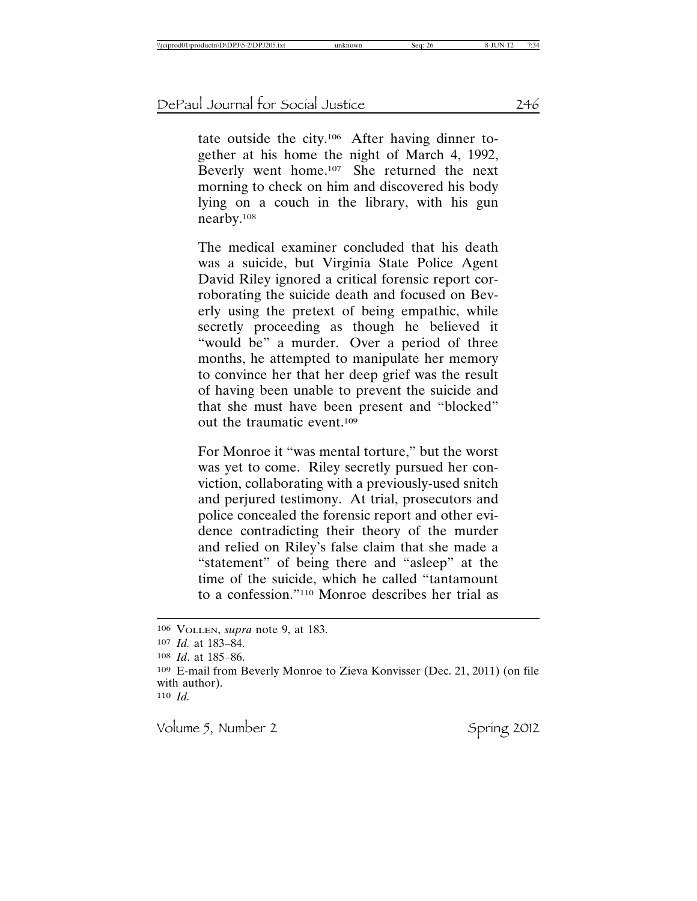tate outside the city.106 After having dinner together at his home the night of March 4, 1992, Beverly went home.107 She returned the next morning to check on him and discovered his body lying on a couch in the library, with his gun nearby.108

The medical examiner concluded that his death was a suicide, but Virginia State Police Agent David Riley ignored a critical forensic report corroborating the suicide death and focused on Beverly using the pretext of being empathic, while secretly proceeding as though he believed it "would be" a murder. Over a period of three months, he attempted to manipulate her memory to convince her that her deep grief was the result of having been unable to prevent the suicide and that she must have been present and "blocked" out the traumatic event.109

For Monroe it "was mental torture," but the worst was yet to come. Riley secretly pursued her conviction, collaborating with a previously-used snitch and perjured testimony. At trial, prosecutors and police concealed the forensic report and other evidence contradicting their theory of the murder and relied on Riley's false claim that she made a "statement" of being there and "asleep" at the time of the suicide, which he called "tantamount to a confession."110 Monroe describes her trial as

<sup>106</sup> VOLLEN, *supra* note 9, at 183. 107 *Id.* at 183–84. 108 *Id*. at 185–86. 109 E-mail from Beverly Monroe to Zieva Konvisser (Dec. 21, 2011) (on file with author). 110 *Id.*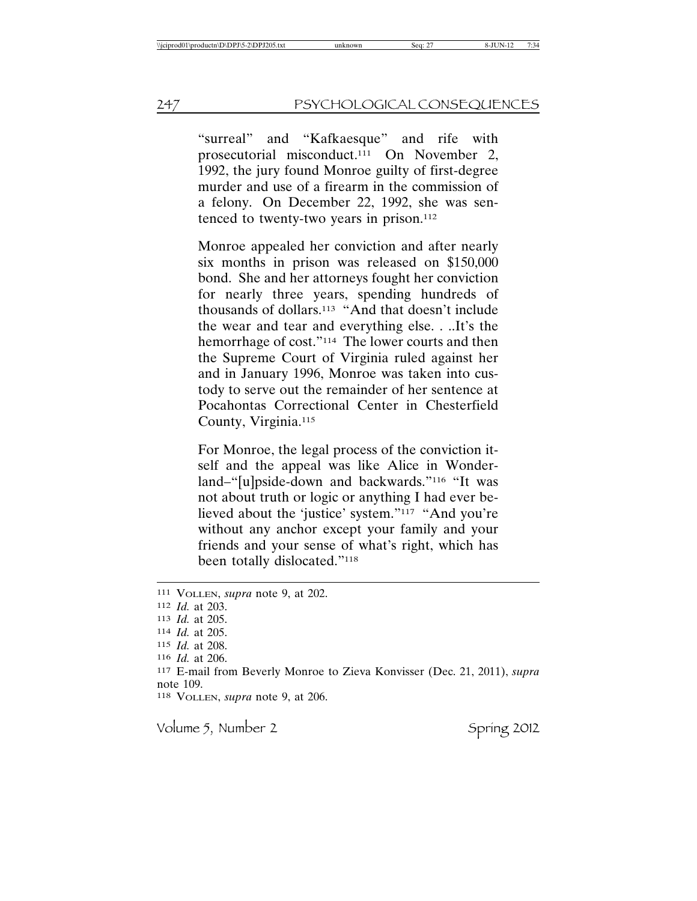"surreal" and "Kafkaesque" and rife with prosecutorial misconduct.111 On November 2, 1992, the jury found Monroe guilty of first-degree murder and use of a firearm in the commission of a felony. On December 22, 1992, she was sentenced to twenty-two years in prison.112

Monroe appealed her conviction and after nearly six months in prison was released on \$150,000 bond. She and her attorneys fought her conviction for nearly three years, spending hundreds of thousands of dollars.113 "And that doesn't include the wear and tear and everything else. . ..It's the hemorrhage of cost."<sup>114</sup> The lower courts and then the Supreme Court of Virginia ruled against her and in January 1996, Monroe was taken into custody to serve out the remainder of her sentence at Pocahontas Correctional Center in Chesterfield County, Virginia.115

For Monroe, the legal process of the conviction itself and the appeal was like Alice in Wonderland–"[u]pside-down and backwards."116 "It was not about truth or logic or anything I had ever believed about the 'justice' system."117 "And you're without any anchor except your family and your friends and your sense of what's right, which has been totally dislocated."118

<sup>111</sup> VOLLEN, *supra* note 9, at 202. 112 *Id.* at 203. 113 *Id.* at 205. 114 *Id.* at 205. 115 *Id.* at 208. 116 *Id.* at 206. 117 E-mail from Beverly Monroe to Zieva Konvisser (Dec. 21, 2011), *supra* note 109. 118 VOLLEN, *supra* note 9, at 206.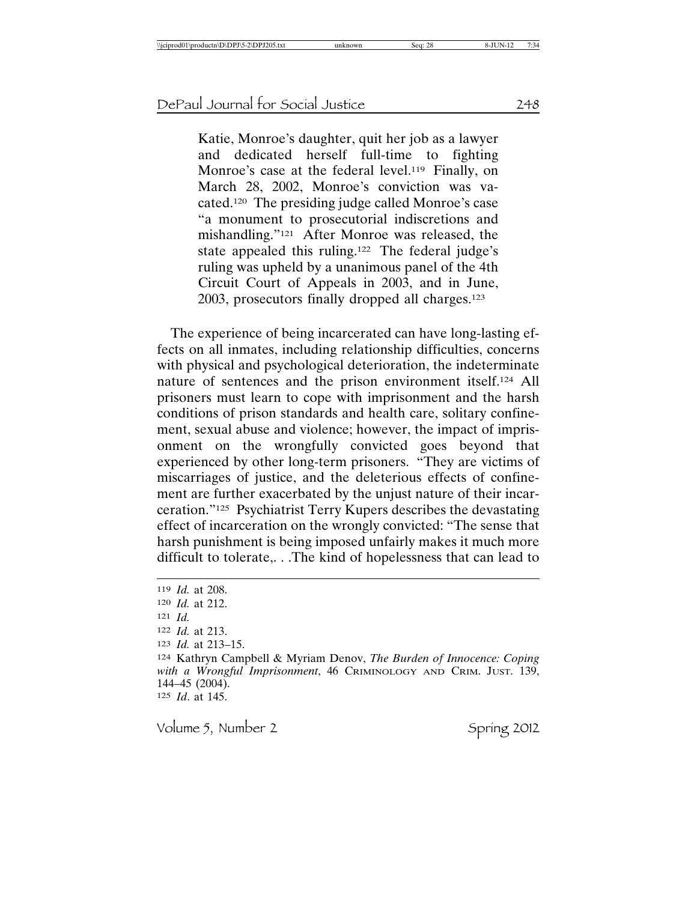Katie, Monroe's daughter, quit her job as a lawyer and dedicated herself full-time to fighting Monroe's case at the federal level.<sup>119</sup> Finally, on March 28, 2002, Monroe's conviction was vacated.120 The presiding judge called Monroe's case "a monument to prosecutorial indiscretions and mishandling."121 After Monroe was released, the state appealed this ruling.122 The federal judge's ruling was upheld by a unanimous panel of the 4th Circuit Court of Appeals in 2003, and in June, 2003, prosecutors finally dropped all charges.123

The experience of being incarcerated can have long-lasting effects on all inmates, including relationship difficulties, concerns with physical and psychological deterioration, the indeterminate nature of sentences and the prison environment itself.124 All prisoners must learn to cope with imprisonment and the harsh conditions of prison standards and health care, solitary confinement, sexual abuse and violence; however, the impact of imprisonment on the wrongfully convicted goes beyond that experienced by other long-term prisoners. "They are victims of miscarriages of justice, and the deleterious effects of confinement are further exacerbated by the unjust nature of their incarceration."125 Psychiatrist Terry Kupers describes the devastating effect of incarceration on the wrongly convicted: "The sense that harsh punishment is being imposed unfairly makes it much more difficult to tolerate,. . .The kind of hopelessness that can lead to

<sup>119</sup> *Id.* at 208. 120 *Id.* at 212. 121 *Id.* 122 *Id.* at 213. 123 *Id.* at 213–15. 124 Kathryn Campbell & Myriam Denov, *The Burden of Innocence: Coping with a Wrongful Imprisonment*, 46 CRIMINOLOGY AND CRIM. JUST. 139, 144–45 (2004). 125 *Id*. at 145.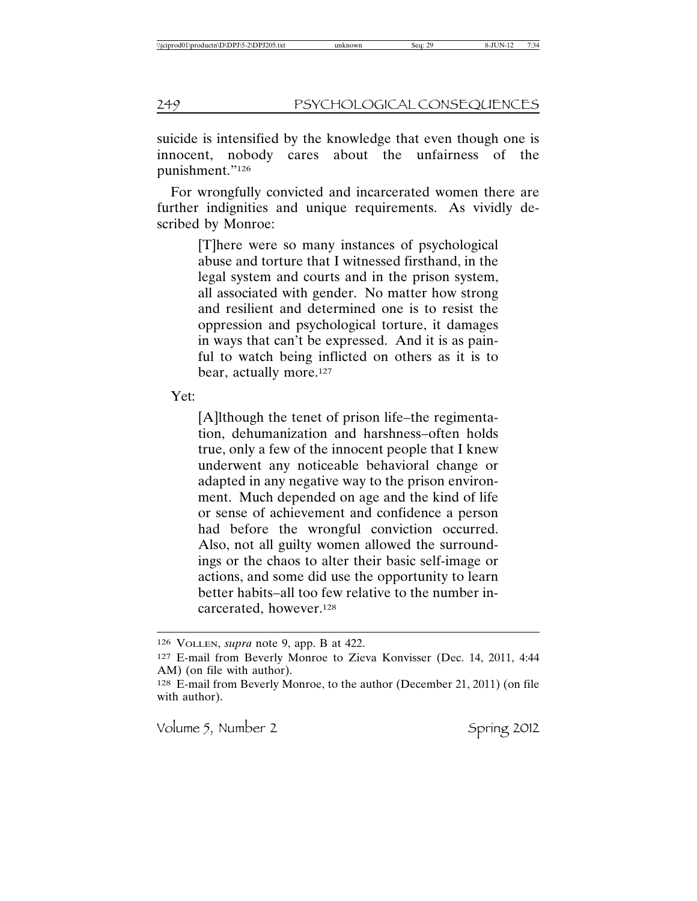suicide is intensified by the knowledge that even though one is innocent, nobody cares about the unfairness of the punishment."126

For wrongfully convicted and incarcerated women there are further indignities and unique requirements. As vividly described by Monroe:

> [T]here were so many instances of psychological abuse and torture that I witnessed firsthand, in the legal system and courts and in the prison system, all associated with gender. No matter how strong and resilient and determined one is to resist the oppression and psychological torture, it damages in ways that can't be expressed. And it is as painful to watch being inflicted on others as it is to bear, actually more.<sup>127</sup>

Yet:

[A]lthough the tenet of prison life–the regimentation, dehumanization and harshness–often holds true, only a few of the innocent people that I knew underwent any noticeable behavioral change or adapted in any negative way to the prison environment. Much depended on age and the kind of life or sense of achievement and confidence a person had before the wrongful conviction occurred. Also, not all guilty women allowed the surroundings or the chaos to alter their basic self-image or actions, and some did use the opportunity to learn better habits–all too few relative to the number incarcerated, however.128

<sup>126</sup> VOLLEN, *supra* note 9, app. B at 422.

<sup>127</sup> E-mail from Beverly Monroe to Zieva Konvisser (Dec. 14, 2011, 4:44 AM) (on file with author).

<sup>128</sup> E-mail from Beverly Monroe, to the author (December 21, 2011) (on file with author).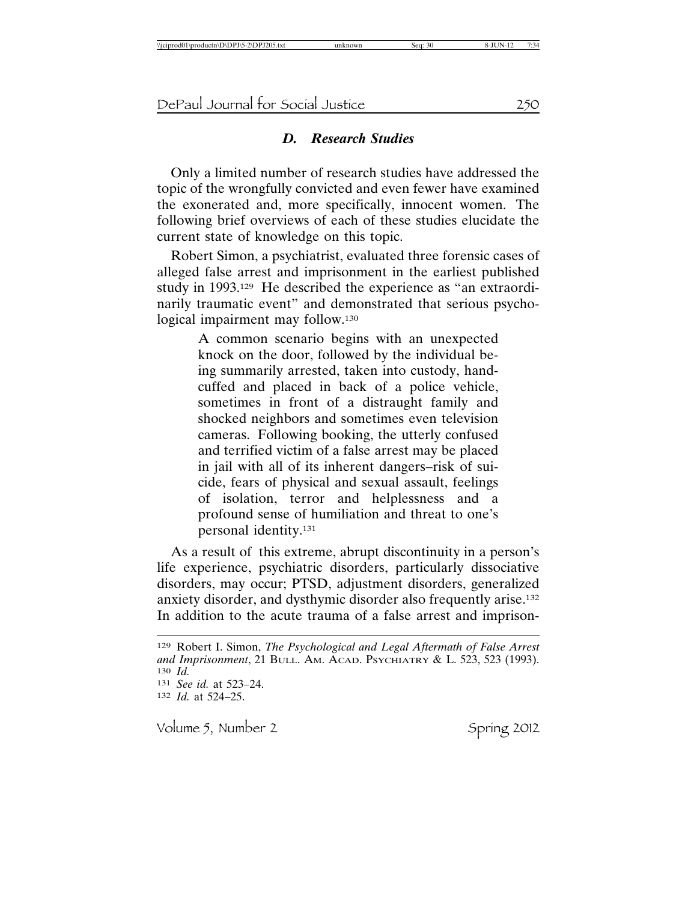#### *D. Research Studies*

Only a limited number of research studies have addressed the topic of the wrongfully convicted and even fewer have examined the exonerated and, more specifically, innocent women. The following brief overviews of each of these studies elucidate the current state of knowledge on this topic.

Robert Simon, a psychiatrist, evaluated three forensic cases of alleged false arrest and imprisonment in the earliest published study in 1993.129 He described the experience as "an extraordinarily traumatic event" and demonstrated that serious psychological impairment may follow.130

> A common scenario begins with an unexpected knock on the door, followed by the individual being summarily arrested, taken into custody, handcuffed and placed in back of a police vehicle, sometimes in front of a distraught family and shocked neighbors and sometimes even television cameras. Following booking, the utterly confused and terrified victim of a false arrest may be placed in jail with all of its inherent dangers–risk of suicide, fears of physical and sexual assault, feelings of isolation, terror and helplessness and a profound sense of humiliation and threat to one's personal identity.131

As a result of this extreme, abrupt discontinuity in a person's life experience, psychiatric disorders, particularly dissociative disorders, may occur; PTSD, adjustment disorders, generalized anxiety disorder, and dysthymic disorder also frequently arise.132 In addition to the acute trauma of a false arrest and imprison-

<sup>129</sup> Robert I. Simon, *The Psychological and Legal Aftermath of False Arrest and Imprisonment*, 21 BULL. AM. ACAD. PSYCHIATRY & L. 523, 523 (1993). 130 *Id.* 131 *See id.* at 523–24. 132 *Id.* at 524–25.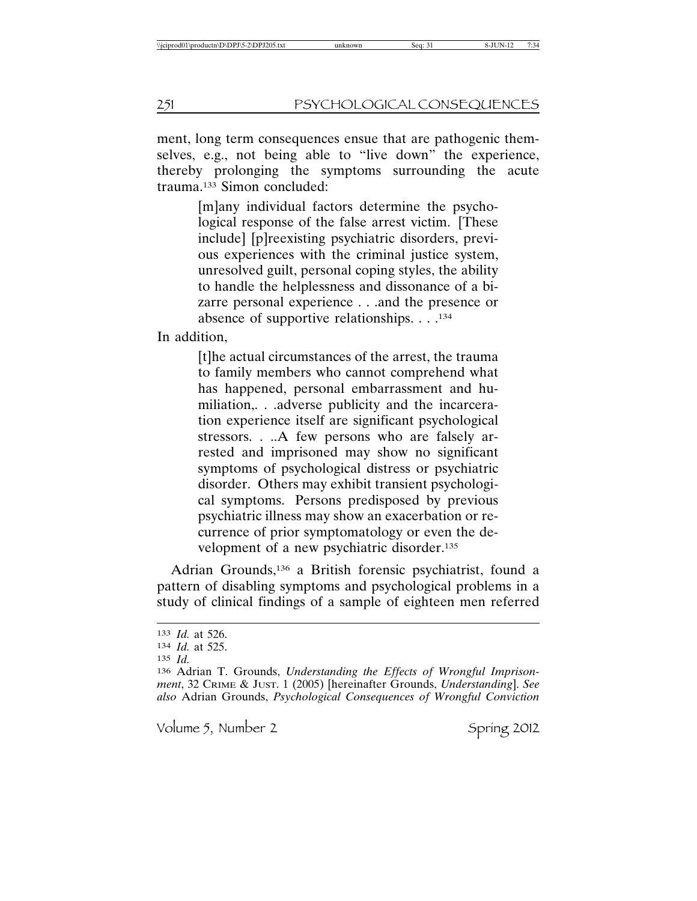ment, long term consequences ensue that are pathogenic themselves, e.g., not being able to "live down" the experience, thereby prolonging the symptoms surrounding the acute trauma.133 Simon concluded:

> [m]any individual factors determine the psychological response of the false arrest victim. [These include] [p]reexisting psychiatric disorders, previous experiences with the criminal justice system, unresolved guilt, personal coping styles, the ability to handle the helplessness and dissonance of a bizarre personal experience . . .and the presence or absence of supportive relationships. . . .134

In addition,

[t]he actual circumstances of the arrest, the trauma to family members who cannot comprehend what has happened, personal embarrassment and humiliation,. . .adverse publicity and the incarceration experience itself are significant psychological stressors. . ..A few persons who are falsely arrested and imprisoned may show no significant symptoms of psychological distress or psychiatric disorder. Others may exhibit transient psychological symptoms. Persons predisposed by previous psychiatric illness may show an exacerbation or recurrence of prior symptomatology or even the development of a new psychiatric disorder.135

Adrian Grounds,136 a British forensic psychiatrist, found a pattern of disabling symptoms and psychological problems in a study of clinical findings of a sample of eighteen men referred

<sup>133</sup> *Id.* at 526.

<sup>134</sup> *Id.* at 525.

<sup>135</sup> *Id.*

<sup>136</sup> Adrian T. Grounds, *Understanding the Effects of Wrongful Imprisonment*, 32 CRIME & JUST. 1 (2005) [hereinafter Grounds, *Understanding*]. *See also* Adrian Grounds, *Psychological Consequences of Wrongful Conviction*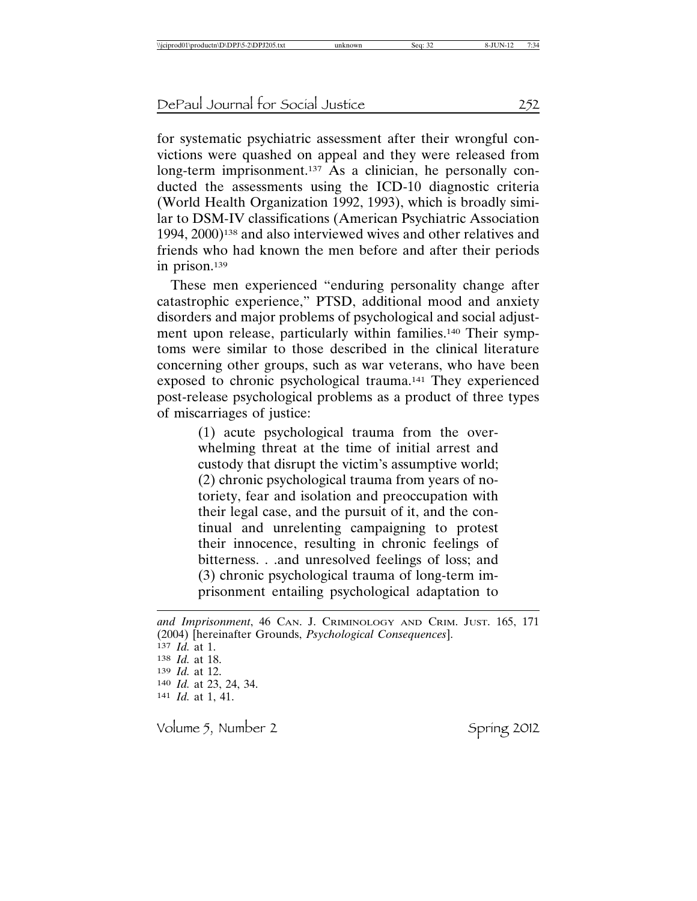for systematic psychiatric assessment after their wrongful convictions were quashed on appeal and they were released from long-term imprisonment.<sup>137</sup> As a clinician, he personally conducted the assessments using the ICD-10 diagnostic criteria (World Health Organization 1992, 1993), which is broadly similar to DSM-IV classifications (American Psychiatric Association 1994, 2000)138 and also interviewed wives and other relatives and friends who had known the men before and after their periods in prison.139

These men experienced "enduring personality change after catastrophic experience," PTSD, additional mood and anxiety disorders and major problems of psychological and social adjustment upon release, particularly within families.<sup>140</sup> Their symptoms were similar to those described in the clinical literature concerning other groups, such as war veterans, who have been exposed to chronic psychological trauma.141 They experienced post-release psychological problems as a product of three types of miscarriages of justice:

> (1) acute psychological trauma from the overwhelming threat at the time of initial arrest and custody that disrupt the victim's assumptive world; (2) chronic psychological trauma from years of notoriety, fear and isolation and preoccupation with their legal case, and the pursuit of it, and the continual and unrelenting campaigning to protest their innocence, resulting in chronic feelings of bitterness. . .and unresolved feelings of loss; and (3) chronic psychological trauma of long-term imprisonment entailing psychological adaptation to

*and Imprisonment*, 46 CAN. J. CRIMINOLOGY AND CRIM. JUST. 165, 171 (2004) [hereinafter Grounds, *Psychological Consequences*]. *Id.* at 1. *Id.* at 18. *Id.* at 12. *Id.* at 23, 24, 34. *Id.* at 1, 41.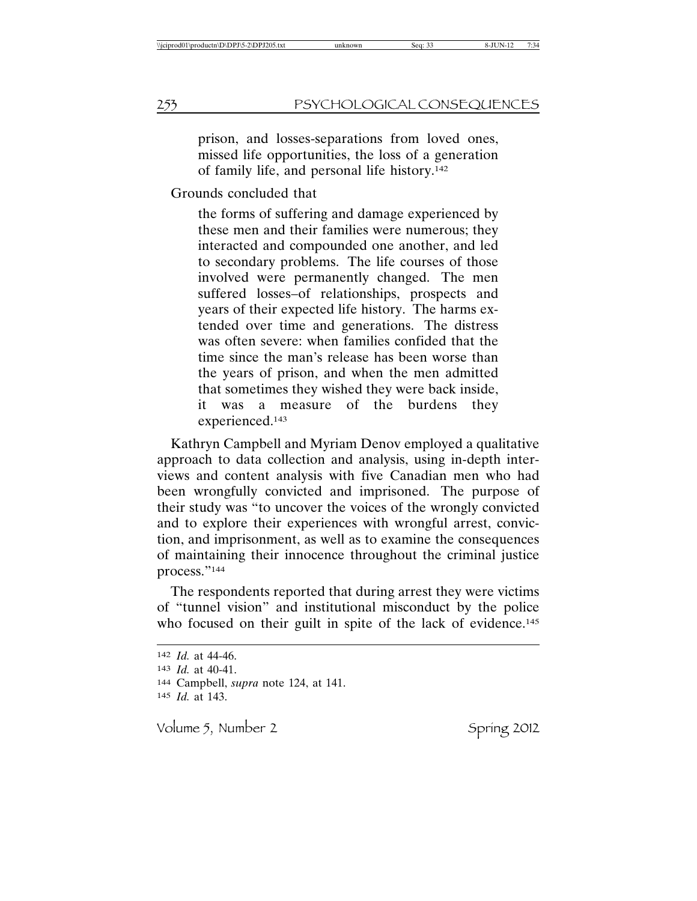prison, and losses-separations from loved ones, missed life opportunities, the loss of a generation of family life, and personal life history.142

#### Grounds concluded that

the forms of suffering and damage experienced by these men and their families were numerous; they interacted and compounded one another, and led to secondary problems. The life courses of those involved were permanently changed. The men suffered losses–of relationships, prospects and years of their expected life history. The harms extended over time and generations. The distress was often severe: when families confided that the time since the man's release has been worse than the years of prison, and when the men admitted that sometimes they wished they were back inside, it was a measure of the burdens they experienced.143

Kathryn Campbell and Myriam Denov employed a qualitative approach to data collection and analysis, using in-depth interviews and content analysis with five Canadian men who had been wrongfully convicted and imprisoned. The purpose of their study was "to uncover the voices of the wrongly convicted and to explore their experiences with wrongful arrest, conviction, and imprisonment, as well as to examine the consequences of maintaining their innocence throughout the criminal justice process."144

The respondents reported that during arrest they were victims of "tunnel vision" and institutional misconduct by the police who focused on their guilt in spite of the lack of evidence.<sup>145</sup>

 *Id.* at 44-46. *Id.* at 40-41. Campbell, *supra* note 124, at 141. *Id.* at 143.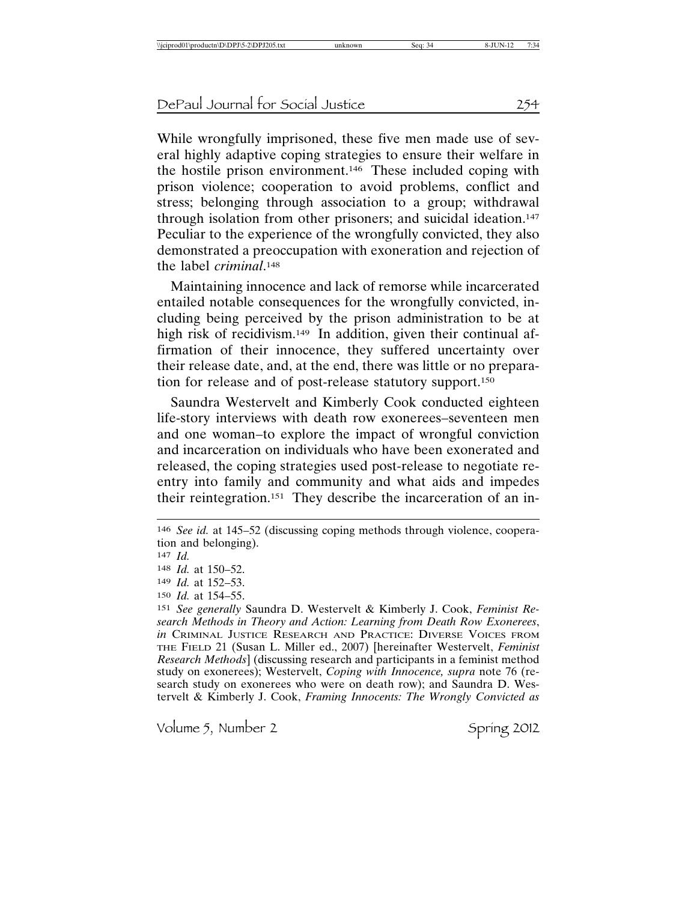While wrongfully imprisoned, these five men made use of several highly adaptive coping strategies to ensure their welfare in the hostile prison environment.146 These included coping with prison violence; cooperation to avoid problems, conflict and stress; belonging through association to a group; withdrawal through isolation from other prisoners; and suicidal ideation.147 Peculiar to the experience of the wrongfully convicted, they also demonstrated a preoccupation with exoneration and rejection of the label *criminal*. 148

Maintaining innocence and lack of remorse while incarcerated entailed notable consequences for the wrongfully convicted, including being perceived by the prison administration to be at high risk of recidivism.<sup>149</sup> In addition, given their continual affirmation of their innocence, they suffered uncertainty over their release date, and, at the end, there was little or no preparation for release and of post-release statutory support.150

Saundra Westervelt and Kimberly Cook conducted eighteen life-story interviews with death row exonerees–seventeen men and one woman–to explore the impact of wrongful conviction and incarceration on individuals who have been exonerated and released, the coping strategies used post-release to negotiate reentry into family and community and what aids and impedes their reintegration.151 They describe the incarceration of an in-

<sup>146</sup> *See id.* at 145–52 (discussing coping methods through violence, cooperation and belonging).

<sup>147</sup> *Id.*

<sup>148</sup> *Id.* at 150–52.

<sup>149</sup> *Id.* at 152–53.

<sup>150</sup> *Id.* at 154–55.

<sup>151</sup> *See generally* Saundra D. Westervelt & Kimberly J. Cook, *Feminist Research Methods in Theory and Action: Learning from Death Row Exonerees*, *in* CRIMINAL JUSTICE RESEARCH AND PRACTICE: DIVERSE VOICES FROM THE FIELD 21 (Susan L. Miller ed., 2007) [hereinafter Westervelt, *Feminist Research Methods*] (discussing research and participants in a feminist method study on exonerees); Westervelt, *Coping with Innocence, supra* note 76 (research study on exonerees who were on death row); and Saundra D. Westervelt & Kimberly J. Cook, *Framing Innocents: The Wrongly Convicted as*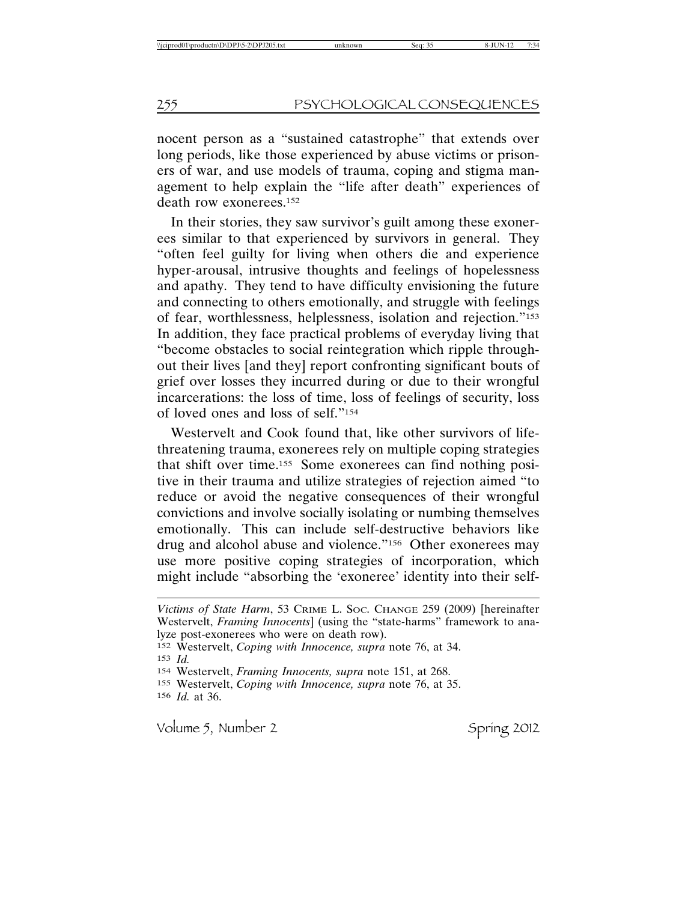nocent person as a "sustained catastrophe" that extends over long periods, like those experienced by abuse victims or prisoners of war, and use models of trauma, coping and stigma management to help explain the "life after death" experiences of death row exonerees.152

In their stories, they saw survivor's guilt among these exonerees similar to that experienced by survivors in general. They "often feel guilty for living when others die and experience hyper-arousal, intrusive thoughts and feelings of hopelessness and apathy. They tend to have difficulty envisioning the future and connecting to others emotionally, and struggle with feelings of fear, worthlessness, helplessness, isolation and rejection."153 In addition, they face practical problems of everyday living that "become obstacles to social reintegration which ripple throughout their lives [and they] report confronting significant bouts of grief over losses they incurred during or due to their wrongful incarcerations: the loss of time, loss of feelings of security, loss of loved ones and loss of self."154

Westervelt and Cook found that, like other survivors of lifethreatening trauma, exonerees rely on multiple coping strategies that shift over time.155 Some exonerees can find nothing positive in their trauma and utilize strategies of rejection aimed "to reduce or avoid the negative consequences of their wrongful convictions and involve socially isolating or numbing themselves emotionally. This can include self-destructive behaviors like drug and alcohol abuse and violence."156 Other exonerees may use more positive coping strategies of incorporation, which might include "absorbing the 'exoneree' identity into their self-

*Victims of State Harm*, 53 CRIME L. SOC. CHANGE 259 (2009) [hereinafter Westervelt, *Framing Innocents*] (using the "state-harms" framework to analyze post-exonerees who were on death row).

<sup>152</sup> Westervelt, *Coping with Innocence, supra* note 76, at 34.

<sup>153</sup> *Id.*

<sup>154</sup> Westervelt, *Framing Innocents, supra* note 151, at 268.

<sup>155</sup> Westervelt, *Coping with Innocence, supra* note 76, at 35.

<sup>156</sup> *Id.* at 36.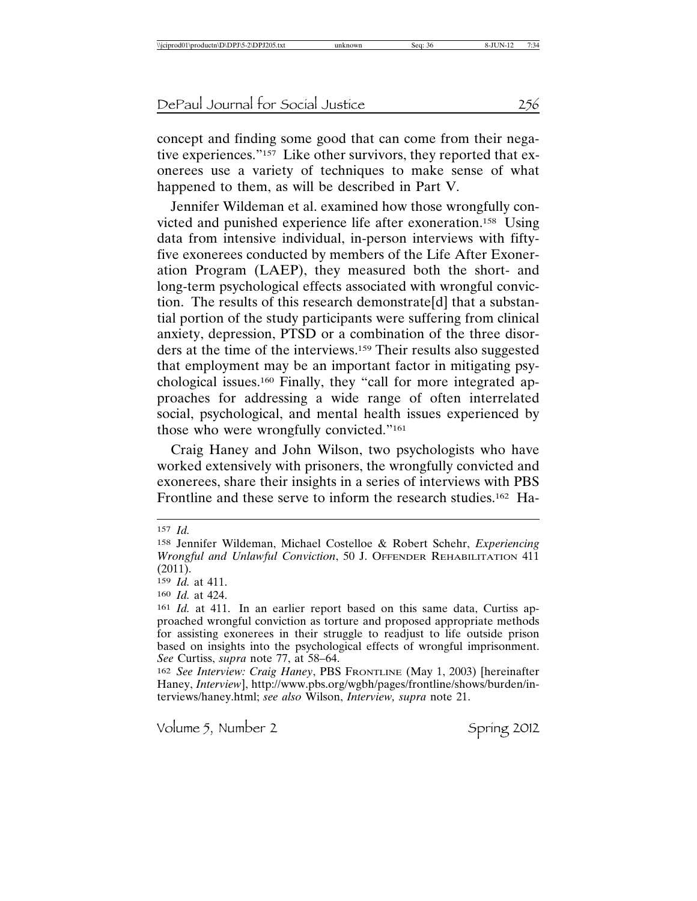concept and finding some good that can come from their negative experiences."157 Like other survivors, they reported that exonerees use a variety of techniques to make sense of what happened to them, as will be described in Part V.

Jennifer Wildeman et al. examined how those wrongfully convicted and punished experience life after exoneration.158 Using data from intensive individual, in-person interviews with fiftyfive exonerees conducted by members of the Life After Exoneration Program (LAEP), they measured both the short- and long-term psychological effects associated with wrongful conviction. The results of this research demonstrate[d] that a substantial portion of the study participants were suffering from clinical anxiety, depression, PTSD or a combination of the three disorders at the time of the interviews.159 Their results also suggested that employment may be an important factor in mitigating psychological issues.160 Finally, they "call for more integrated approaches for addressing a wide range of often interrelated social, psychological, and mental health issues experienced by those who were wrongfully convicted."161

Craig Haney and John Wilson, two psychologists who have worked extensively with prisoners, the wrongfully convicted and exonerees, share their insights in a series of interviews with PBS Frontline and these serve to inform the research studies.162 Ha-

157 *Id.*

<sup>158</sup> Jennifer Wildeman, Michael Costelloe & Robert Schehr, *Experiencing Wrongful and Unlawful Conviction*, 50 J. OFFENDER REHABILITATION 411 (2011).

<sup>159</sup> *Id.* at 411.

<sup>160</sup> *Id.* at 424.

<sup>161</sup> *Id.* at 411. In an earlier report based on this same data, Curtiss approached wrongful conviction as torture and proposed appropriate methods for assisting exonerees in their struggle to readjust to life outside prison based on insights into the psychological effects of wrongful imprisonment. *See* Curtiss, *supra* note 77, at 58–64.

<sup>162</sup> *See Interview: Craig Haney*, PBS FRONTLINE (May 1, 2003) [hereinafter Haney, *Interview*], http://www.pbs.org/wgbh/pages/frontline/shows/burden/interviews/haney.html; *see also* Wilson, *Interview, supra* note 21.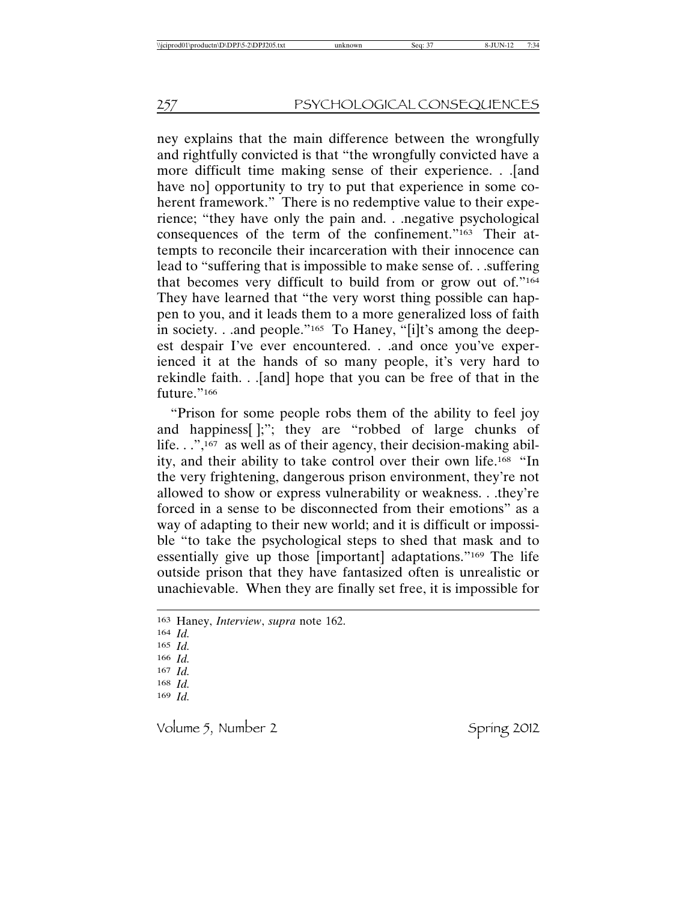ney explains that the main difference between the wrongfully and rightfully convicted is that "the wrongfully convicted have a more difficult time making sense of their experience. . .[and have no] opportunity to try to put that experience in some coherent framework." There is no redemptive value to their experience; "they have only the pain and. . .negative psychological consequences of the term of the confinement."163 Their attempts to reconcile their incarceration with their innocence can lead to "suffering that is impossible to make sense of. . .suffering that becomes very difficult to build from or grow out of."164 They have learned that "the very worst thing possible can happen to you, and it leads them to a more generalized loss of faith in society. . .and people."165 To Haney, "[i]t's among the deepest despair I've ever encountered. . .and once you've experienced it at the hands of so many people, it's very hard to rekindle faith. . .[and] hope that you can be free of that in the future."166

"Prison for some people robs them of the ability to feel joy and happiness[ ];"; they are "robbed of large chunks of life. . .",<sup>167</sup> as well as of their agency, their decision-making ability, and their ability to take control over their own life.168 "In the very frightening, dangerous prison environment, they're not allowed to show or express vulnerability or weakness. . .they're forced in a sense to be disconnected from their emotions" as a way of adapting to their new world; and it is difficult or impossible "to take the psychological steps to shed that mask and to essentially give up those [important] adaptations."169 The life outside prison that they have fantasized often is unrealistic or unachievable. When they are finally set free, it is impossible for

164 *Id.* 165 *Id.* 166 *Id.* 167 *Id.* 168 *Id.* 169 *Id.*

<sup>163</sup> Haney, *Interview*, *supra* note 162.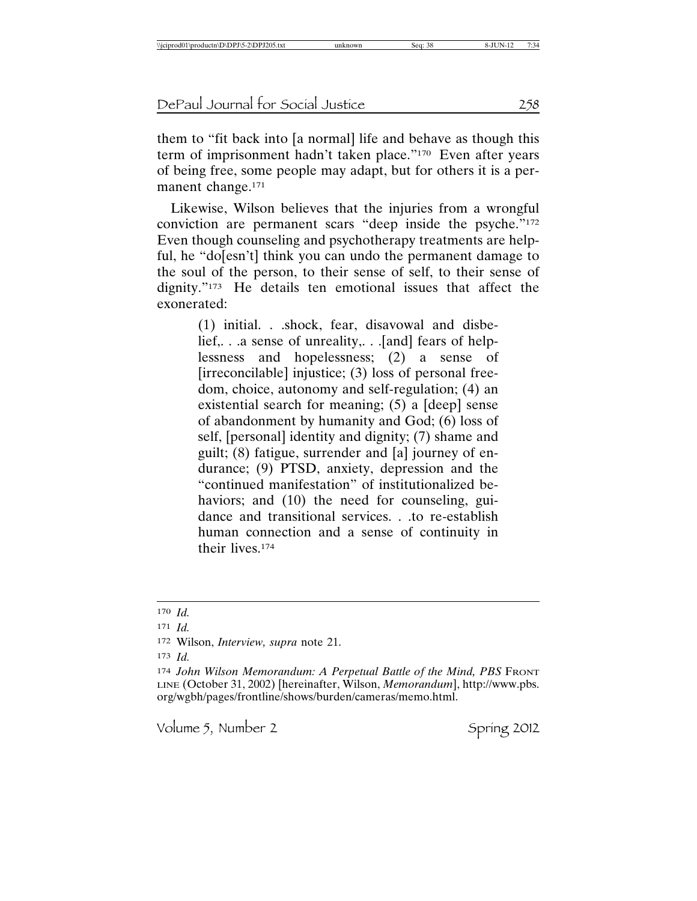them to "fit back into [a normal] life and behave as though this term of imprisonment hadn't taken place."170 Even after years of being free, some people may adapt, but for others it is a permanent change.<sup>171</sup>

Likewise, Wilson believes that the injuries from a wrongful conviction are permanent scars "deep inside the psyche."172 Even though counseling and psychotherapy treatments are helpful, he "do[esn't] think you can undo the permanent damage to the soul of the person, to their sense of self, to their sense of dignity."173 He details ten emotional issues that affect the exonerated:

> (1) initial. . .shock, fear, disavowal and disbelief,. . .a sense of unreality,. . .[and] fears of helplessness and hopelessness;  $(2)$  a sense [irreconcilable] injustice; (3) loss of personal freedom, choice, autonomy and self-regulation; (4) an existential search for meaning; (5) a [deep] sense of abandonment by humanity and God; (6) loss of self, [personal] identity and dignity; (7) shame and guilt; (8) fatigue, surrender and [a] journey of endurance; (9) PTSD, anxiety, depression and the "continued manifestation" of institutionalized behaviors; and (10) the need for counseling, guidance and transitional services. . .to re-establish human connection and a sense of continuity in their lives.174

173 *Id.*

<sup>170</sup> *Id.*

<sup>171</sup> *Id.*

<sup>172</sup> Wilson, *Interview, supra* note 21.

<sup>174</sup> John Wilson Memorandum: A Perpetual Battle of the Mind, PBS FRONT LINE (October 31, 2002) [hereinafter, Wilson, *Memorandum*], http://www.pbs. org/wgbh/pages/frontline/shows/burden/cameras/memo.html.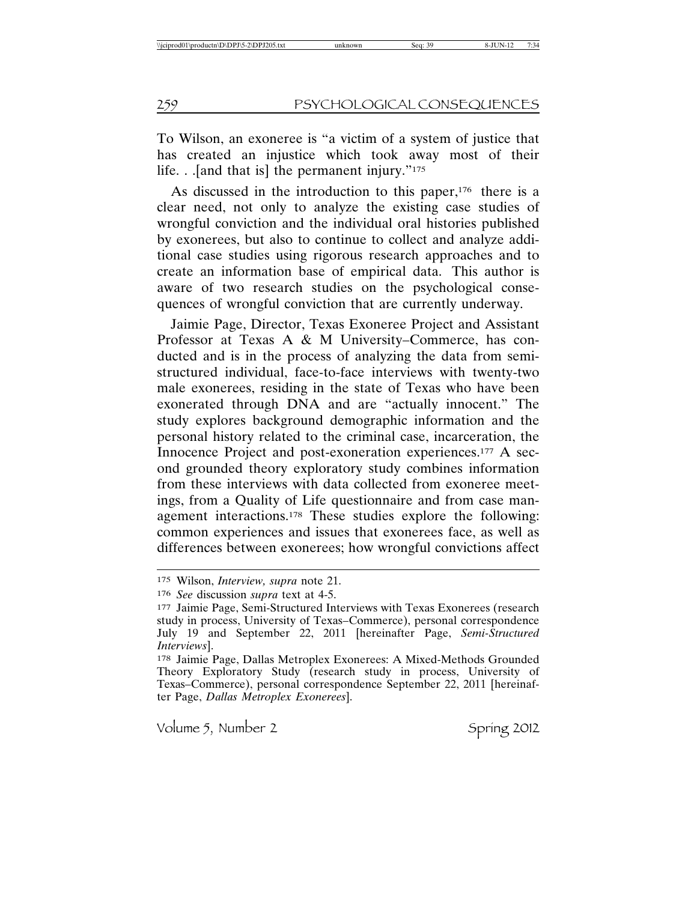To Wilson, an exoneree is "a victim of a system of justice that has created an injustice which took away most of their life. . .[and that is] the permanent injury."175

As discussed in the introduction to this paper,<sup>176</sup> there is a clear need, not only to analyze the existing case studies of wrongful conviction and the individual oral histories published by exonerees, but also to continue to collect and analyze additional case studies using rigorous research approaches and to create an information base of empirical data. This author is aware of two research studies on the psychological consequences of wrongful conviction that are currently underway.

Jaimie Page, Director, Texas Exoneree Project and Assistant Professor at Texas A & M University–Commerce, has conducted and is in the process of analyzing the data from semistructured individual, face-to-face interviews with twenty-two male exonerees, residing in the state of Texas who have been exonerated through DNA and are "actually innocent." The study explores background demographic information and the personal history related to the criminal case, incarceration, the Innocence Project and post-exoneration experiences.177 A second grounded theory exploratory study combines information from these interviews with data collected from exoneree meetings, from a Quality of Life questionnaire and from case management interactions.178 These studies explore the following: common experiences and issues that exonerees face, as well as differences between exonerees; how wrongful convictions affect

<sup>175</sup> Wilson, *Interview, supra* note 21.

<sup>176</sup> *See* discussion *supra* text at 4-5.

<sup>177</sup> Jaimie Page, Semi-Structured Interviews with Texas Exonerees (research study in process, University of Texas–Commerce), personal correspondence July 19 and September 22, 2011 [hereinafter Page, *Semi-Structured Interviews*].

<sup>178</sup> Jaimie Page, Dallas Metroplex Exonerees: A Mixed-Methods Grounded Theory Exploratory Study (research study in process, University of Texas–Commerce), personal correspondence September 22, 2011 [hereinafter Page, *Dallas Metroplex Exonerees*].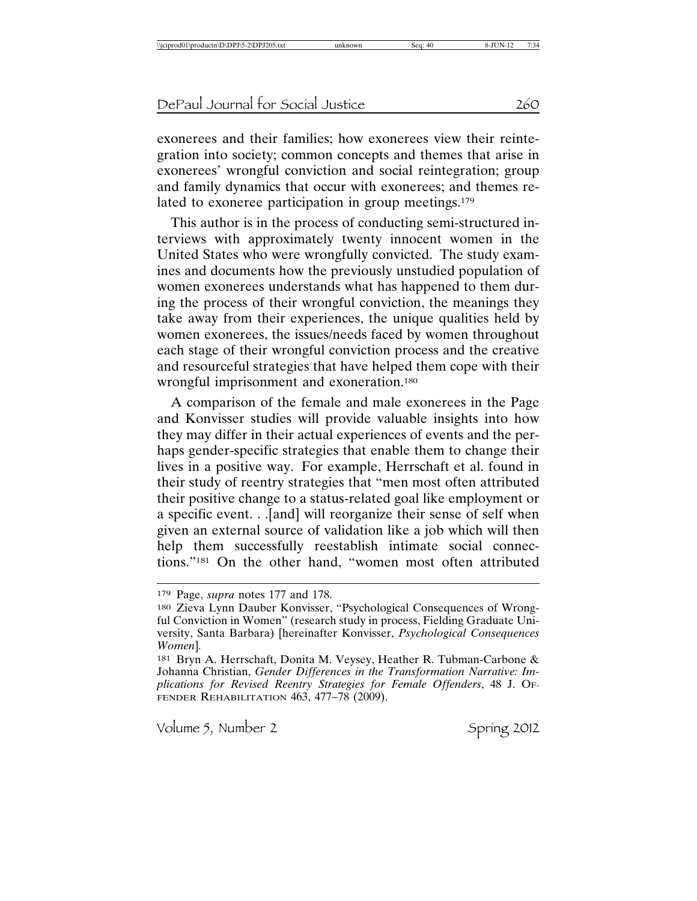exonerees and their families; how exonerees view their reintegration into society; common concepts and themes that arise in exonerees' wrongful conviction and social reintegration; group and family dynamics that occur with exonerees; and themes related to exoneree participation in group meetings.179

This author is in the process of conducting semi-structured interviews with approximately twenty innocent women in the United States who were wrongfully convicted. The study examines and documents how the previously unstudied population of women exonerees understands what has happened to them during the process of their wrongful conviction, the meanings they take away from their experiences, the unique qualities held by women exonerees, the issues/needs faced by women throughout each stage of their wrongful conviction process and the creative and resourceful strategies that have helped them cope with their wrongful imprisonment and exoneration.180

A comparison of the female and male exonerees in the Page and Konvisser studies will provide valuable insights into how they may differ in their actual experiences of events and the perhaps gender-specific strategies that enable them to change their lives in a positive way. For example, Herrschaft et al. found in their study of reentry strategies that "men most often attributed their positive change to a status-related goal like employment or a specific event. . .[and] will reorganize their sense of self when given an external source of validation like a job which will then help them successfully reestablish intimate social connections."181 On the other hand, "women most often attributed

<sup>179</sup> Page, *supra* notes 177 and 178.

<sup>180</sup> Zieva Lynn Dauber Konvisser, "Psychological Consequences of Wrongful Conviction in Women" (research study in process, Fielding Graduate University, Santa Barbara) [hereinafter Konvisser, *Psychological Consequences Women*]*.*

<sup>181</sup> Bryn A. Herrschaft, Donita M. Veysey, Heather R. Tubman-Carbone & Johanna Christian, *Gender Differences in the Transformation Narrative: Implications for Revised Reentry Strategies for Female Offenders*, 48 J. OF-FENDER REHABILITATION  $463, 477 - 78$  (2009).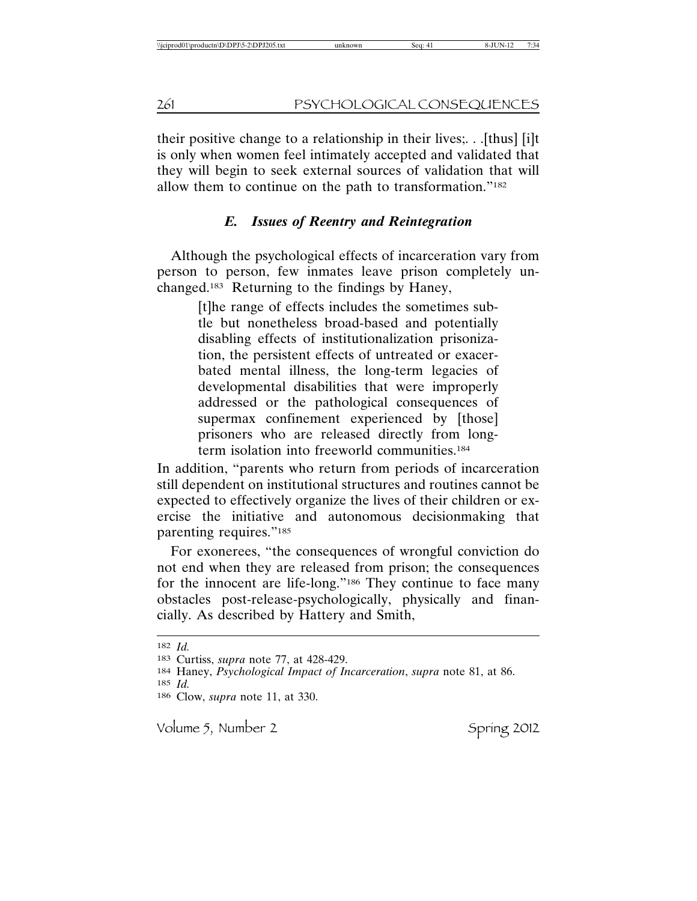their positive change to a relationship in their lives;. . .[thus] [i]t is only when women feel intimately accepted and validated that they will begin to seek external sources of validation that will allow them to continue on the path to transformation."182

# *E. Issues of Reentry and Reintegration*

Although the psychological effects of incarceration vary from person to person, few inmates leave prison completely unchanged.183 Returning to the findings by Haney,

> [t]he range of effects includes the sometimes subtle but nonetheless broad-based and potentially disabling effects of institutionalization prisonization, the persistent effects of untreated or exacerbated mental illness, the long-term legacies of developmental disabilities that were improperly addressed or the pathological consequences of supermax confinement experienced by [those] prisoners who are released directly from longterm isolation into freeworld communities.184

In addition, "parents who return from periods of incarceration still dependent on institutional structures and routines cannot be expected to effectively organize the lives of their children or exercise the initiative and autonomous decisionmaking that parenting requires."185

For exonerees, "the consequences of wrongful conviction do not end when they are released from prison; the consequences for the innocent are life-long."186 They continue to face many obstacles post-release-psychologically, physically and financially. As described by Hattery and Smith,

<sup>182</sup> *Id.*

<sup>183</sup> Curtiss, *supra* note 77, at 428-429.

<sup>184</sup> Haney, *Psychological Impact of Incarceration*, *supra* note 81, at 86. 185 *Id.*

<sup>186</sup> Clow, *supra* note 11, at 330.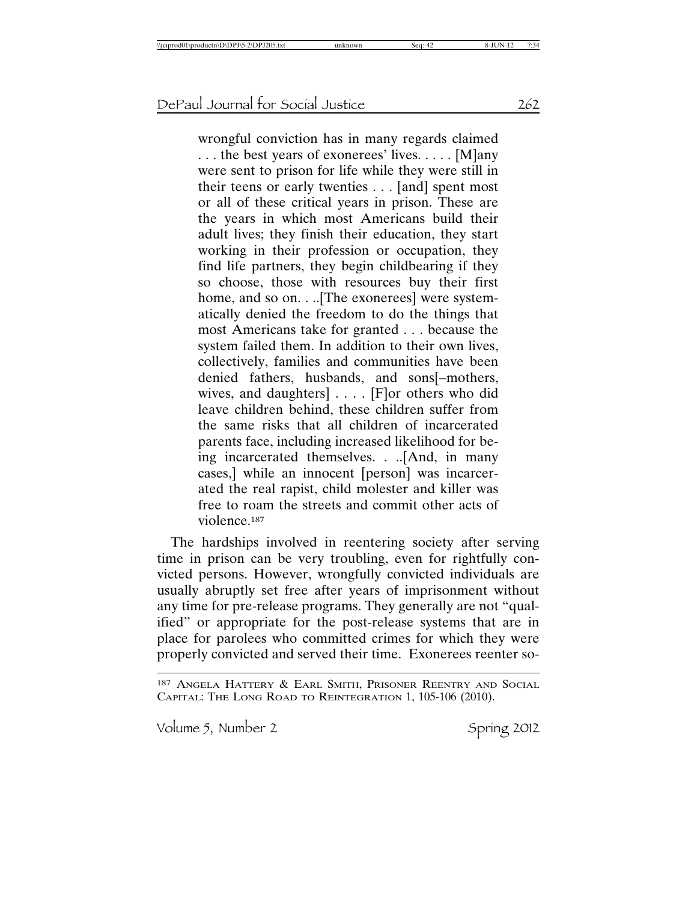wrongful conviction has in many regards claimed . . . the best years of exonerees' lives. . . . . [M]any were sent to prison for life while they were still in their teens or early twenties . . . [and] spent most or all of these critical years in prison. These are the years in which most Americans build their adult lives; they finish their education, they start working in their profession or occupation, they find life partners, they begin childbearing if they so choose, those with resources buy their first home, and so on. . ... [The exonerees] were systematically denied the freedom to do the things that most Americans take for granted . . . because the system failed them. In addition to their own lives, collectively, families and communities have been denied fathers, husbands, and sons[–mothers, wives, and daughters] . . . . [F]or others who did leave children behind, these children suffer from the same risks that all children of incarcerated parents face, including increased likelihood for being incarcerated themselves. . ..[And, in many cases,] while an innocent [person] was incarcerated the real rapist, child molester and killer was free to roam the streets and commit other acts of violence.187

The hardships involved in reentering society after serving time in prison can be very troubling, even for rightfully convicted persons. However, wrongfully convicted individuals are usually abruptly set free after years of imprisonment without any time for pre-release programs. They generally are not "qualified" or appropriate for the post-release systems that are in place for parolees who committed crimes for which they were properly convicted and served their time. Exonerees reenter so-

<sup>187</sup> ANGELA HATTERY & EARL SMITH, PRISONER REENTRY AND SOCIAL CAPITAL: THE LONG ROAD TO REINTEGRATION 1, 105-106 (2010).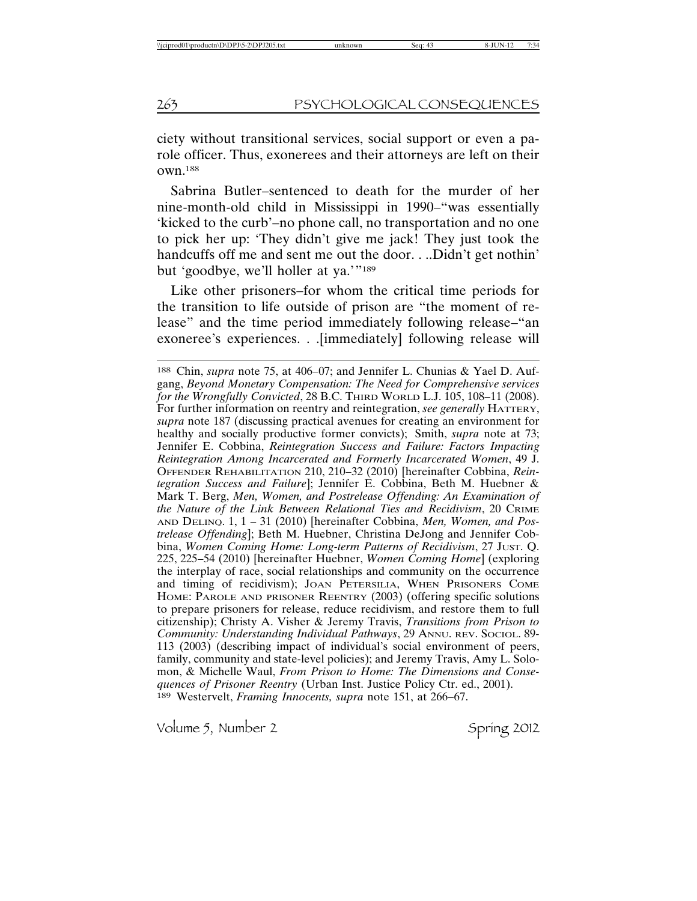ciety without transitional services, social support or even a parole officer. Thus, exonerees and their attorneys are left on their own.188

Sabrina Butler–sentenced to death for the murder of her nine-month-old child in Mississippi in 1990–"was essentially 'kicked to the curb'–no phone call, no transportation and no one to pick her up: 'They didn't give me jack! They just took the handcuffs off me and sent me out the door. . ..Didn't get nothin' but 'goodbye, we'll holler at ya.'"189

Like other prisoners–for whom the critical time periods for the transition to life outside of prison are "the moment of release" and the time period immediately following release–"an exoneree's experiences. . .[immediately] following release will

<sup>188</sup> Chin, *supra* note 75, at 406–07; and Jennifer L. Chunias & Yael D. Aufgang, *Beyond Monetary Compensation: The Need for Comprehensive services for the Wrongfully Convicted*, 28 B.C. THIRD WORLD L.J. 105, 108–11 (2008). For further information on reentry and reintegration, *see generally* HATTERY, *supra* note 187 (discussing practical avenues for creating an environment for healthy and socially productive former convicts); Smith, *supra* note at 73; Jennifer E. Cobbina, *Reintegration Success and Failure: Factors Impacting Reintegration Among Incarcerated and Formerly Incarcerated Women*, 49 J. OFFENDER REHABILITATION 210, 210–32 (2010) [hereinafter Cobbina, *Reintegration Success and Failure*]; Jennifer E. Cobbina, Beth M. Huebner & Mark T. Berg, *Men, Women, and Postrelease Offending: An Examination of the Nature of the Link Between Relational Ties and Recidivism*, 20 CRIME AND DELINQ. 1, 1 – 31 (2010) [hereinafter Cobbina, *Men, Women, and Postrelease Offending*]; Beth M. Huebner, Christina DeJong and Jennifer Cobbina, *Women Coming Home: Long-term Patterns of Recidivism*, 27 JUST. Q. 225, 225–54 (2010) [hereinafter Huebner, *Women Coming Home*] (exploring the interplay of race, social relationships and community on the occurrence and timing of recidivism); JOAN PETERSILIA, WHEN PRISONERS COME HOME: PAROLE AND PRISONER REENTRY (2003) (offering specific solutions to prepare prisoners for release, reduce recidivism, and restore them to full citizenship); Christy A. Visher & Jeremy Travis, *Transitions from Prison to Community: Understanding Individual Pathways*, 29 ANNU. REV. SOCIOL. 89- 113 (2003) (describing impact of individual's social environment of peers, family, community and state-level policies); and Jeremy Travis, Amy L. Solomon, & Michelle Waul, *From Prison to Home: The Dimensions and Consequences of Prisoner Reentry* (Urban Inst. Justice Policy Ctr. ed., 2001). 189 Westervelt, *Framing Innocents, supra* note 151, at 266–67.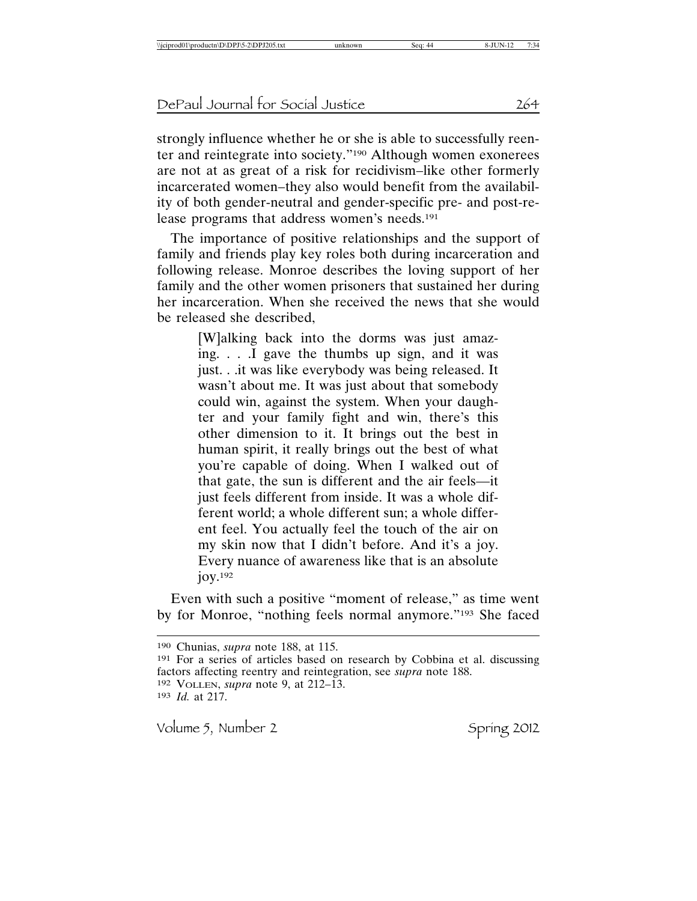strongly influence whether he or she is able to successfully reenter and reintegrate into society."190 Although women exonerees are not at as great of a risk for recidivism–like other formerly incarcerated women–they also would benefit from the availability of both gender-neutral and gender-specific pre- and post-release programs that address women's needs.191

The importance of positive relationships and the support of family and friends play key roles both during incarceration and following release. Monroe describes the loving support of her family and the other women prisoners that sustained her during her incarceration. When she received the news that she would be released she described,

> [W]alking back into the dorms was just amazing. . . .I gave the thumbs up sign, and it was just. . .it was like everybody was being released. It wasn't about me. It was just about that somebody could win, against the system. When your daughter and your family fight and win, there's this other dimension to it. It brings out the best in human spirit, it really brings out the best of what you're capable of doing. When I walked out of that gate, the sun is different and the air feels—it just feels different from inside. It was a whole different world; a whole different sun; a whole different feel. You actually feel the touch of the air on my skin now that I didn't before. And it's a joy. Every nuance of awareness like that is an absolute joy.192

Even with such a positive "moment of release," as time went by for Monroe, "nothing feels normal anymore."193 She faced

<sup>190</sup> Chunias, *supra* note 188, at 115.

<sup>191</sup> For a series of articles based on research by Cobbina et al. discussing factors affecting reentry and reintegration, see *supra* note 188. 192 VOLLEN, *supra* note 9, at 212–13. 193 *Id.* at 217.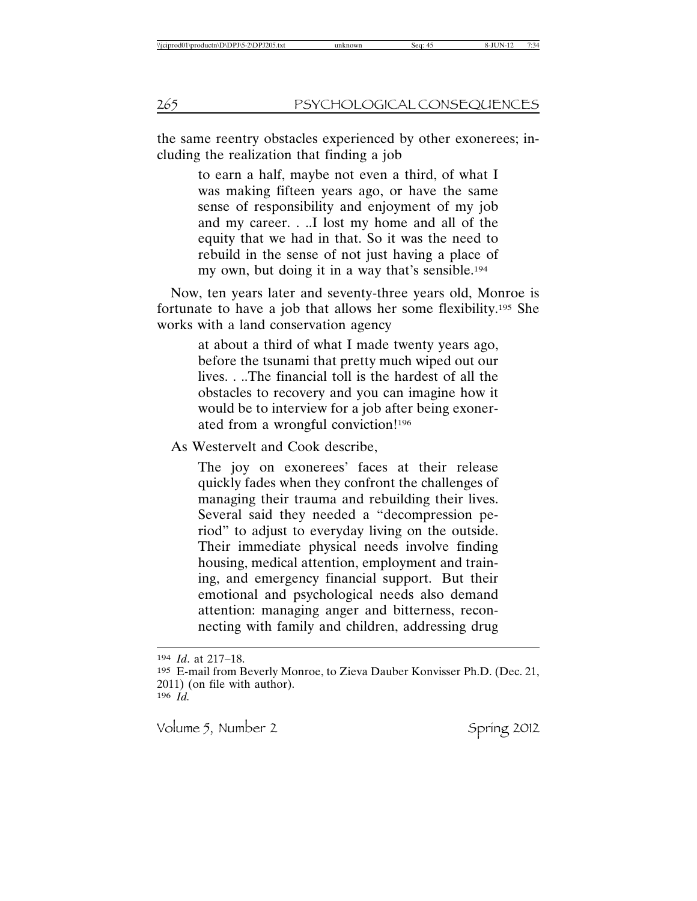the same reentry obstacles experienced by other exonerees; including the realization that finding a job

> to earn a half, maybe not even a third, of what I was making fifteen years ago, or have the same sense of responsibility and enjoyment of my job and my career. . ..I lost my home and all of the equity that we had in that. So it was the need to rebuild in the sense of not just having a place of my own, but doing it in a way that's sensible.194

Now, ten years later and seventy-three years old, Monroe is fortunate to have a job that allows her some flexibility.195 She works with a land conservation agency

> at about a third of what I made twenty years ago, before the tsunami that pretty much wiped out our lives. . ..The financial toll is the hardest of all the obstacles to recovery and you can imagine how it would be to interview for a job after being exonerated from a wrongful conviction!196

As Westervelt and Cook describe,

The joy on exonerees' faces at their release quickly fades when they confront the challenges of managing their trauma and rebuilding their lives. Several said they needed a "decompression period" to adjust to everyday living on the outside. Their immediate physical needs involve finding housing, medical attention, employment and training, and emergency financial support. But their emotional and psychological needs also demand attention: managing anger and bitterness, reconnecting with family and children, addressing drug

194 *Id*. at 217–18.

<sup>195</sup> E-mail from Beverly Monroe, to Zieva Dauber Konvisser Ph.D. (Dec. 21, 2011) (on file with author).

<sup>196</sup> *Id.*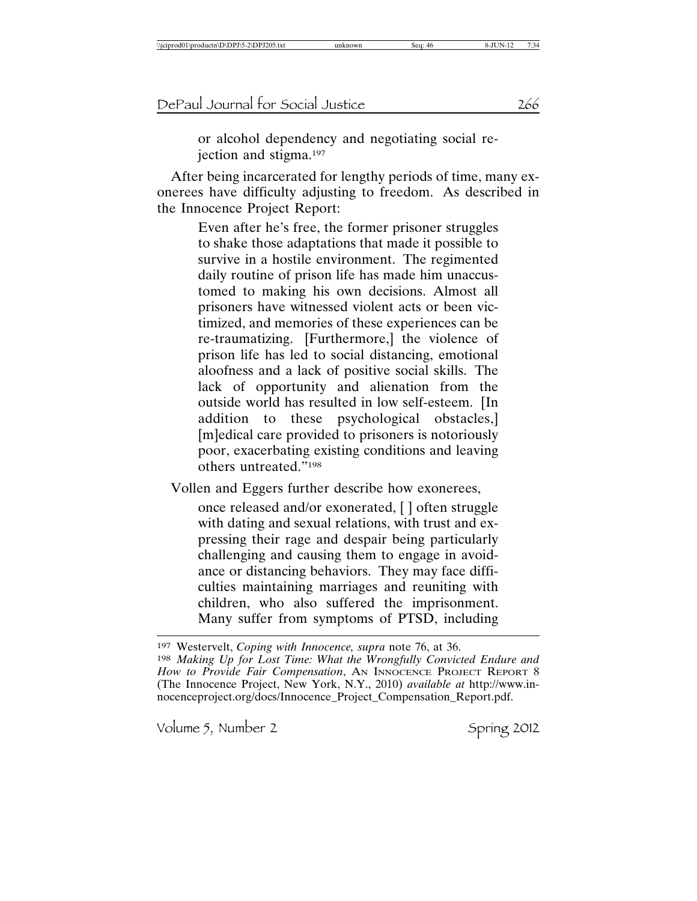or alcohol dependency and negotiating social rejection and stigma.197

After being incarcerated for lengthy periods of time, many exonerees have difficulty adjusting to freedom. As described in the Innocence Project Report:

> Even after he's free, the former prisoner struggles to shake those adaptations that made it possible to survive in a hostile environment. The regimented daily routine of prison life has made him unaccustomed to making his own decisions. Almost all prisoners have witnessed violent acts or been victimized, and memories of these experiences can be re-traumatizing. [Furthermore,] the violence of prison life has led to social distancing, emotional aloofness and a lack of positive social skills. The lack of opportunity and alienation from the outside world has resulted in low self-esteem. [In addition to these psychological obstacles,] [m]edical care provided to prisoners is notoriously poor, exacerbating existing conditions and leaving others untreated."198

Vollen and Eggers further describe how exonerees,

once released and/or exonerated, [ ] often struggle with dating and sexual relations, with trust and expressing their rage and despair being particularly challenging and causing them to engage in avoidance or distancing behaviors. They may face difficulties maintaining marriages and reuniting with children, who also suffered the imprisonment. Many suffer from symptoms of PTSD, including

<sup>197</sup> Westervelt, *Coping with Innocence, supra* note 76, at 36. 198 *Making Up for Lost Time: What the Wrongfully Convicted Endure and* How to Provide Fair Compensation, AN INNOCENCE PROJECT REPORT 8 (The Innocence Project, New York, N.Y., 2010) *available at* http://www.innocenceproject.org/docs/Innocence\_Project\_Compensation\_Report.pdf.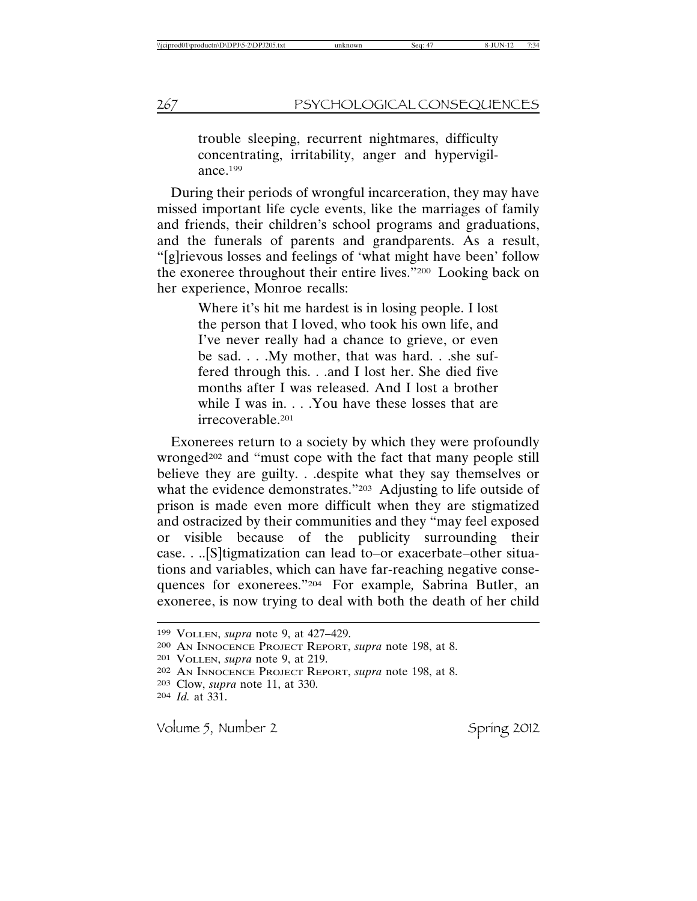trouble sleeping, recurrent nightmares, difficulty concentrating, irritability, anger and hypervigilance.199

During their periods of wrongful incarceration, they may have missed important life cycle events, like the marriages of family and friends, their children's school programs and graduations, and the funerals of parents and grandparents. As a result, "[g]rievous losses and feelings of 'what might have been' follow the exoneree throughout their entire lives."200 Looking back on her experience, Monroe recalls:

> Where it's hit me hardest is in losing people. I lost the person that I loved, who took his own life, and I've never really had a chance to grieve, or even be sad. . . .My mother, that was hard. . .she suffered through this. . .and I lost her. She died five months after I was released. And I lost a brother while I was in. . . . You have these losses that are irrecoverable.201

Exonerees return to a society by which they were profoundly wronged<sup>202</sup> and "must cope with the fact that many people still believe they are guilty. . .despite what they say themselves or what the evidence demonstrates."<sup>203</sup> Adjusting to life outside of prison is made even more difficult when they are stigmatized and ostracized by their communities and they "may feel exposed or visible because of the publicity surrounding their case. . ..[S]tigmatization can lead to–or exacerbate–other situations and variables, which can have far-reaching negative consequences for exonerees."204 For example*,* Sabrina Butler, an exoneree, is now trying to deal with both the death of her child

<sup>199</sup> VOLLEN, *supra* note 9, at 427–429.

<sup>200</sup> AN INNOCENCE PROJECT REPORT, *supra* note 198, at 8.

<sup>201</sup> VOLLEN, *supra* note 9, at 219.

<sup>202</sup> AN INNOCENCE PROJECT REPORT, *supra* note 198, at 8.

<sup>203</sup> Clow, *supra* note 11, at 330.

<sup>204</sup> *Id.* at 331.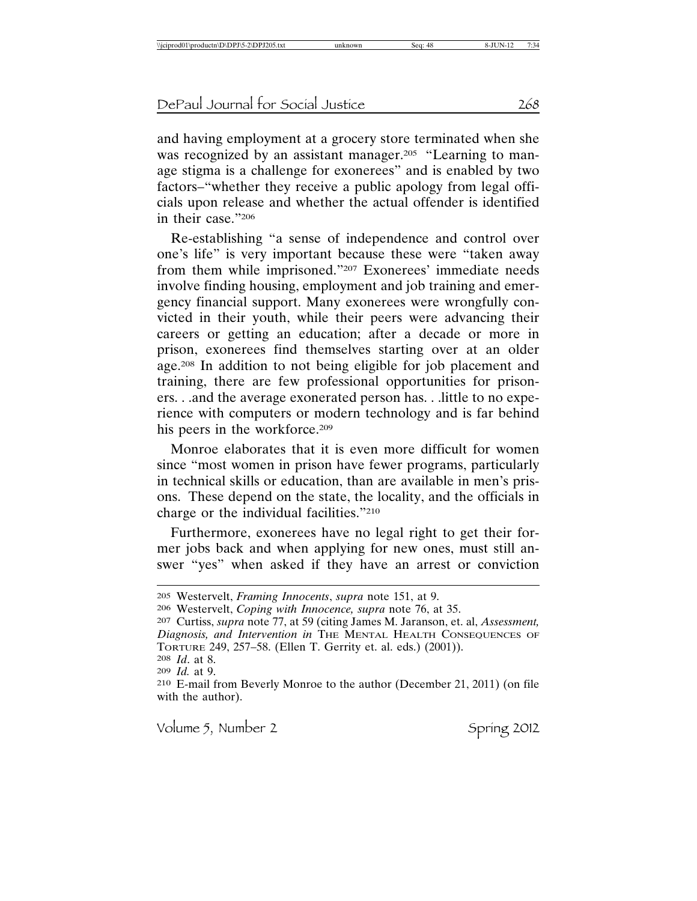and having employment at a grocery store terminated when she was recognized by an assistant manager.<sup>205</sup> "Learning to manage stigma is a challenge for exonerees" and is enabled by two factors–"whether they receive a public apology from legal officials upon release and whether the actual offender is identified in their case."206

Re-establishing "a sense of independence and control over one's life" is very important because these were "taken away from them while imprisoned."207 Exonerees' immediate needs involve finding housing, employment and job training and emergency financial support. Many exonerees were wrongfully convicted in their youth, while their peers were advancing their careers or getting an education; after a decade or more in prison, exonerees find themselves starting over at an older age.208 In addition to not being eligible for job placement and training, there are few professional opportunities for prisoners. . .and the average exonerated person has. . .little to no experience with computers or modern technology and is far behind his peers in the workforce.<sup>209</sup>

Monroe elaborates that it is even more difficult for women since "most women in prison have fewer programs, particularly in technical skills or education, than are available in men's prisons. These depend on the state, the locality, and the officials in charge or the individual facilities."210

Furthermore, exonerees have no legal right to get their former jobs back and when applying for new ones, must still answer "yes" when asked if they have an arrest or conviction

208 *Id*. at 8.

209 *Id.* at 9.

<sup>205</sup> Westervelt, *Framing Innocents*, *supra* note 151, at 9.

<sup>206</sup> Westervelt, *Coping with Innocence, supra* note 76, at 35.

<sup>207</sup> Curtiss, *supra* note 77, at 59 (citing James M. Jaranson, et. al, *Assessment, Diagnosis, and Intervention in* THE MENTAL HEALTH CONSEQUENCES OF TORTURE 249, 257–58. (Ellen T. Gerrity et. al. eds.) (2001)).

<sup>210</sup> E-mail from Beverly Monroe to the author (December 21, 2011) (on file with the author).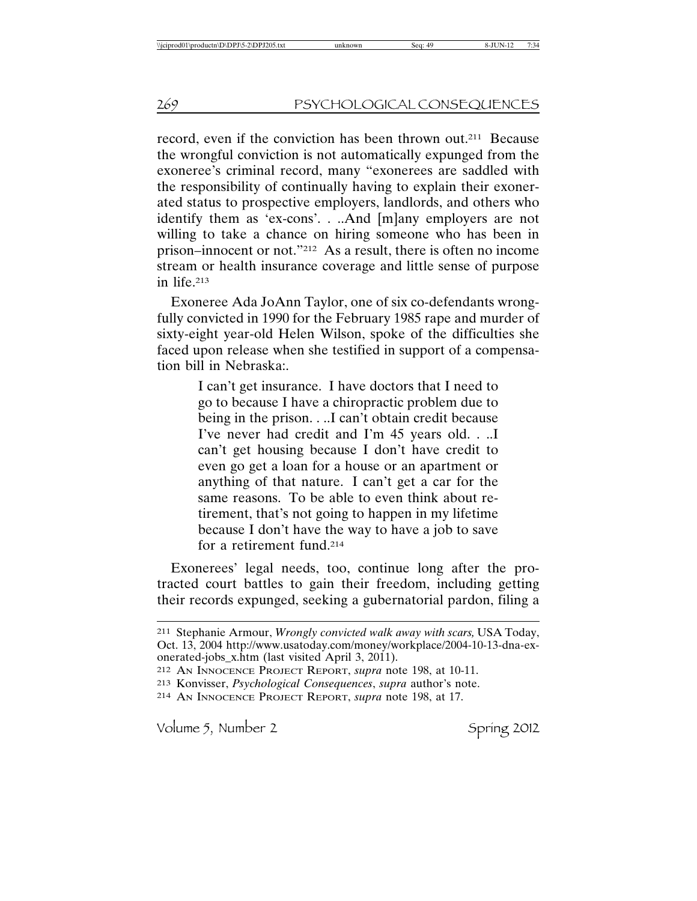record, even if the conviction has been thrown out.211 Because the wrongful conviction is not automatically expunged from the exoneree's criminal record, many "exonerees are saddled with the responsibility of continually having to explain their exonerated status to prospective employers, landlords, and others who identify them as 'ex-cons'. . ..And [m]any employers are not willing to take a chance on hiring someone who has been in prison–innocent or not."212 As a result, there is often no income stream or health insurance coverage and little sense of purpose in life.213

Exoneree Ada JoAnn Taylor, one of six co-defendants wrongfully convicted in 1990 for the February 1985 rape and murder of sixty-eight year-old Helen Wilson, spoke of the difficulties she faced upon release when she testified in support of a compensation bill in Nebraska:.

> I can't get insurance. I have doctors that I need to go to because I have a chiropractic problem due to being in the prison. . ..I can't obtain credit because I've never had credit and I'm 45 years old. . ..I can't get housing because I don't have credit to even go get a loan for a house or an apartment or anything of that nature. I can't get a car for the same reasons. To be able to even think about retirement, that's not going to happen in my lifetime because I don't have the way to have a job to save for a retirement fund.214

Exonerees' legal needs, too, continue long after the protracted court battles to gain their freedom, including getting their records expunged, seeking a gubernatorial pardon, filing a

<sup>211</sup> Stephanie Armour, *Wrongly convicted walk away with scars,* USA Today, Oct. 13, 2004 http://www.usatoday.com/money/workplace/2004-10-13-dna-exonerated-jobs\_x.htm (last visited April 3, 2011).

<sup>212</sup> AN INNOCENCE PROJECT REPORT, *supra* note 198, at 10-11.

<sup>213</sup> Konvisser, *Psychological Consequences*, *supra* author's note.

<sup>214</sup> AN INNOCENCE PROJECT REPORT, *supra* note 198, at 17.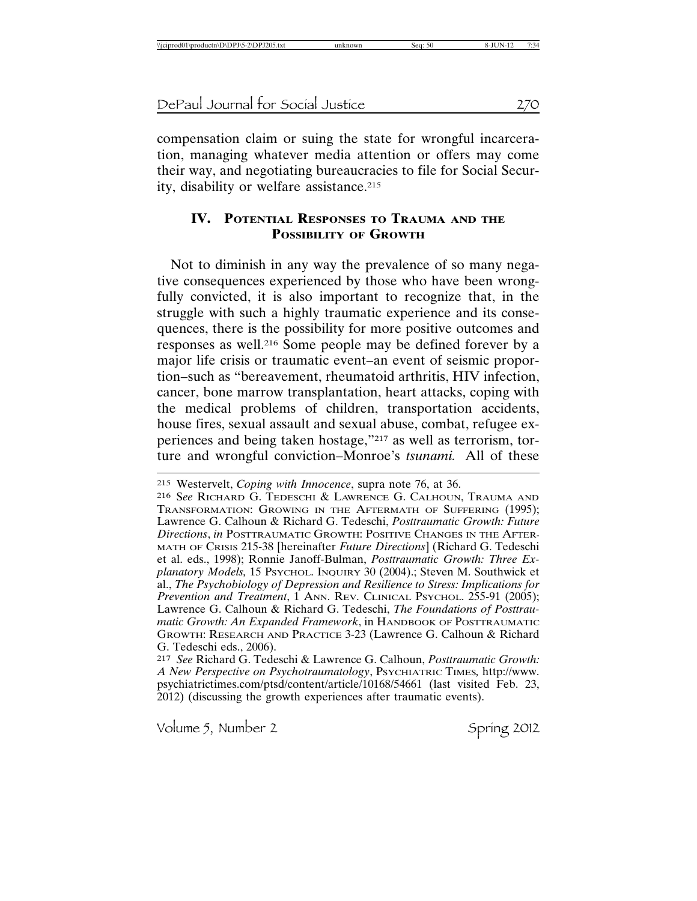compensation claim or suing the state for wrongful incarceration, managing whatever media attention or offers may come their way, and negotiating bureaucracies to file for Social Security, disability or welfare assistance.<sup>215</sup>

# **IV. POTENTIAL RESPONSES TO TRAUMA AND THE POSSIBILITY OF GROWTH**

Not to diminish in any way the prevalence of so many negative consequences experienced by those who have been wrongfully convicted, it is also important to recognize that, in the struggle with such a highly traumatic experience and its consequences, there is the possibility for more positive outcomes and responses as well.216 Some people may be defined forever by a major life crisis or traumatic event–an event of seismic proportion–such as "bereavement, rheumatoid arthritis, HIV infection, cancer, bone marrow transplantation, heart attacks, coping with the medical problems of children, transportation accidents, house fires, sexual assault and sexual abuse, combat, refugee experiences and being taken hostage,"217 as well as terrorism, torture and wrongful conviction–Monroe's *tsunami.* All of these

216 S*ee* RICHARD G. TEDESCHI & LAWRENCE G. CALHOUN, TRAUMA AND TRANSFORMATION: GROWING IN THE AFTERMATH OF SUFFERING (1995); Lawrence G. Calhoun & Richard G. Tedeschi, *Posttraumatic Growth: Future Directions*, *in* POSTTRAUMATIC GROWTH: POSITIVE CHANGES IN THE AFTER-MATH OF CRISIS 215-38 [hereinafter *Future Directions*] (Richard G. Tedeschi et al. eds., 1998); Ronnie Janoff-Bulman, *Posttraumatic Growth: Three Explanatory Models,* 15 PSYCHOL. INQUIRY 30 (2004).; Steven M. Southwick et al., *The Psychobiology of Depression and Resilience to Stress: Implications for Prevention and Treatment*, 1 ANN. REV. CLINICAL PSYCHOL. 255-91 (2005); Lawrence G. Calhoun & Richard G. Tedeschi, *The Foundations of Posttraumatic Growth: An Expanded Framework*, in HANDBOOK OF POSTTRAUMATIC GROWTH: RESEARCH AND PRACTICE 3-23 (Lawrence G. Calhoun & Richard G. Tedeschi eds., 2006).

217 *See* Richard G. Tedeschi & Lawrence G. Calhoun, *Posttraumatic Growth: A New Perspective on Psychotraumatology*, PSYCHIATRIC TIMES*,* http://www. psychiatrictimes.com/ptsd/content/article/10168/54661 (last visited Feb. 23, 2012) (discussing the growth experiences after traumatic events).

<sup>215</sup> Westervelt, *Coping with Innocence*, supra note 76, at 36.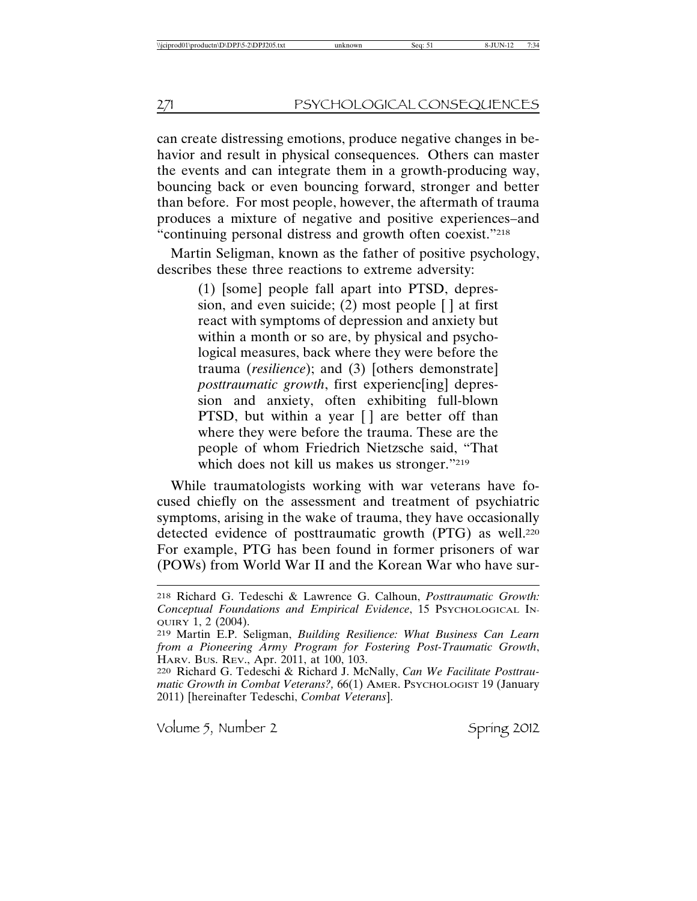can create distressing emotions, produce negative changes in behavior and result in physical consequences. Others can master the events and can integrate them in a growth-producing way, bouncing back or even bouncing forward, stronger and better than before. For most people, however, the aftermath of trauma produces a mixture of negative and positive experiences–and "continuing personal distress and growth often coexist."218

Martin Seligman, known as the father of positive psychology, describes these three reactions to extreme adversity:

> (1) [some] people fall apart into PTSD, depression, and even suicide;  $(2)$  most people  $\lceil \cdot \rceil$  at first react with symptoms of depression and anxiety but within a month or so are, by physical and psychological measures, back where they were before the trauma (*resilience*); and (3) [others demonstrate] *posttraumatic growth*, first experienc[ing] depression and anxiety, often exhibiting full-blown PTSD, but within a year [ ] are better off than where they were before the trauma. These are the people of whom Friedrich Nietzsche said, "That which does not kill us makes us stronger."219

While traumatologists working with war veterans have focused chiefly on the assessment and treatment of psychiatric symptoms, arising in the wake of trauma, they have occasionally detected evidence of posttraumatic growth (PTG) as well.<sup>220</sup> For example, PTG has been found in former prisoners of war (POWs) from World War II and the Korean War who have sur-

<sup>218</sup> Richard G. Tedeschi & Lawrence G. Calhoun, *Posttraumatic Growth: Conceptual Foundations and Empirical Evidence*, 15 PSYCHOLOGICAL IN-QUIRY 1, 2 (2004).

<sup>219</sup> Martin E.P. Seligman, *Building Resilience: What Business Can Learn from a Pioneering Army Program for Fostering Post-Traumatic Growth*, HARV. BUS. REV., Apr. 2011, at 100, 103.

<sup>220</sup> Richard G. Tedeschi & Richard J. McNally, *Can We Facilitate Posttraumatic Growth in Combat Veterans?,* 66(1) AMER. PSYCHOLOGIST 19 (January 2011) [hereinafter Tedeschi, *Combat Veterans*].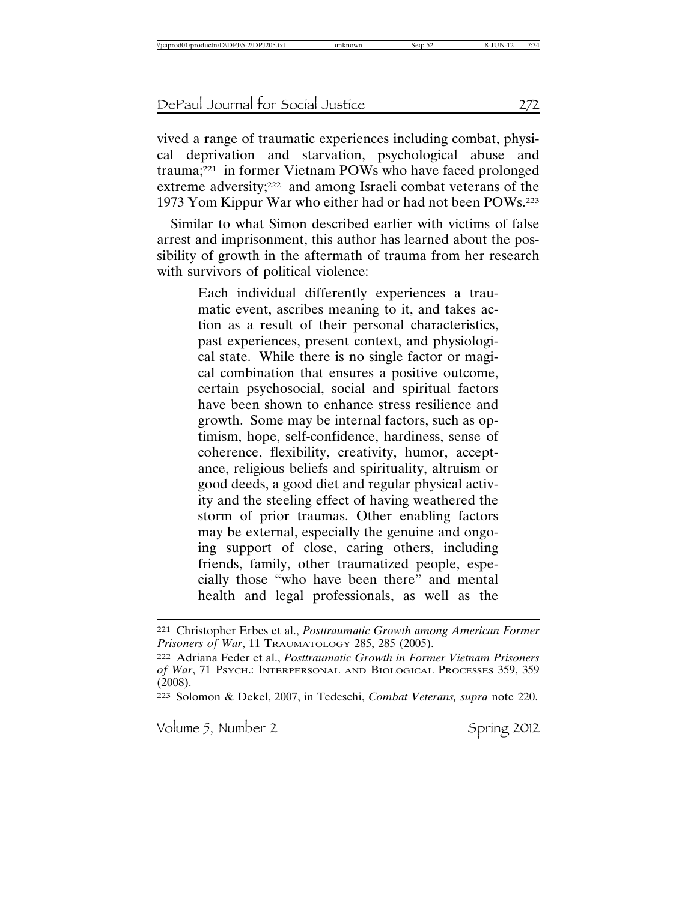vived a range of traumatic experiences including combat, physical deprivation and starvation, psychological abuse and trauma;221 in former Vietnam POWs who have faced prolonged extreme adversity;222 and among Israeli combat veterans of the 1973 Yom Kippur War who either had or had not been POWs.223

Similar to what Simon described earlier with victims of false arrest and imprisonment, this author has learned about the possibility of growth in the aftermath of trauma from her research with survivors of political violence:

> Each individual differently experiences a traumatic event, ascribes meaning to it, and takes action as a result of their personal characteristics, past experiences, present context, and physiological state. While there is no single factor or magical combination that ensures a positive outcome, certain psychosocial, social and spiritual factors have been shown to enhance stress resilience and growth. Some may be internal factors, such as optimism, hope, self-confidence, hardiness, sense of coherence, flexibility, creativity, humor, acceptance, religious beliefs and spirituality, altruism or good deeds, a good diet and regular physical activity and the steeling effect of having weathered the storm of prior traumas. Other enabling factors may be external, especially the genuine and ongoing support of close, caring others, including friends, family, other traumatized people, especially those "who have been there" and mental health and legal professionals, as well as the

<sup>221</sup> Christopher Erbes et al., *Posttraumatic Growth among American Former Prisoners of War*, 11 TRAUMATOLOGY 285, 285 (2005).

<sup>222</sup> Adriana Feder et al., *Posttraumatic Growth in Former Vietnam Prisoners of War*, 71 PSYCH.: INTERPERSONAL AND BIOLOGICAL PROCESSES 359, 359 (2008).

<sup>223</sup> Solomon & Dekel, 2007, in Tedeschi, *Combat Veterans, supra* note 220.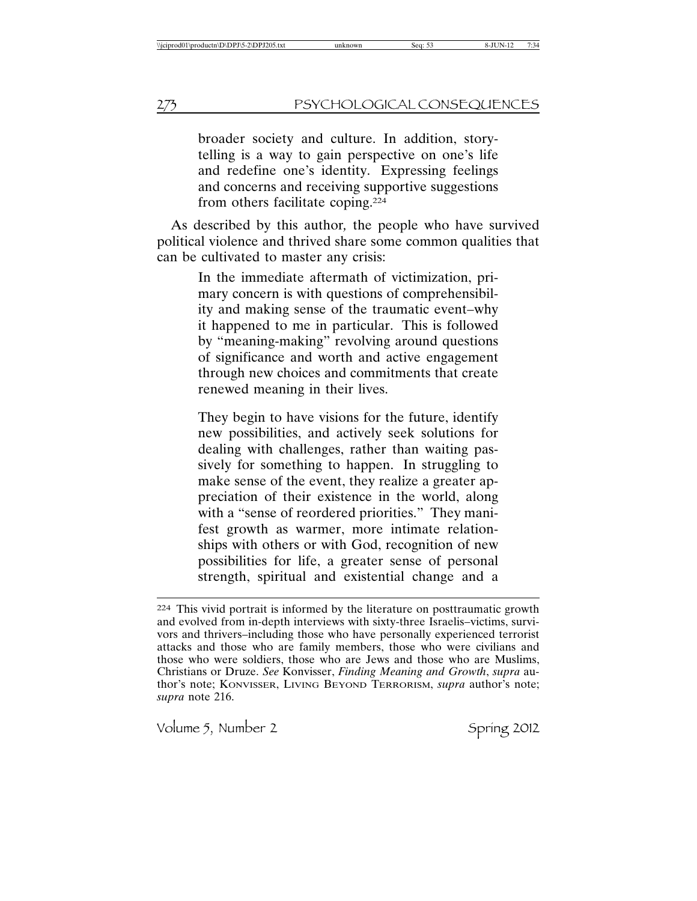broader society and culture. In addition, storytelling is a way to gain perspective on one's life and redefine one's identity. Expressing feelings and concerns and receiving supportive suggestions from others facilitate coping.224

As described by this author*,* the people who have survived political violence and thrived share some common qualities that can be cultivated to master any crisis:

> In the immediate aftermath of victimization, primary concern is with questions of comprehensibility and making sense of the traumatic event–why it happened to me in particular. This is followed by "meaning-making" revolving around questions of significance and worth and active engagement through new choices and commitments that create renewed meaning in their lives.

> They begin to have visions for the future, identify new possibilities, and actively seek solutions for dealing with challenges, rather than waiting passively for something to happen. In struggling to make sense of the event, they realize a greater appreciation of their existence in the world, along with a "sense of reordered priorities." They manifest growth as warmer, more intimate relationships with others or with God, recognition of new possibilities for life, a greater sense of personal strength, spiritual and existential change and a

<sup>224</sup> This vivid portrait is informed by the literature on posttraumatic growth and evolved from in-depth interviews with sixty-three Israelis–victims, survivors and thrivers–including those who have personally experienced terrorist attacks and those who are family members, those who were civilians and those who were soldiers, those who are Jews and those who are Muslims, Christians or Druze. *See* Konvisser, *Finding Meaning and Growth*, *supra* author's note; KONVISSER, LIVING BEYOND TERRORISM, *supra* author's note; *supra* note 216.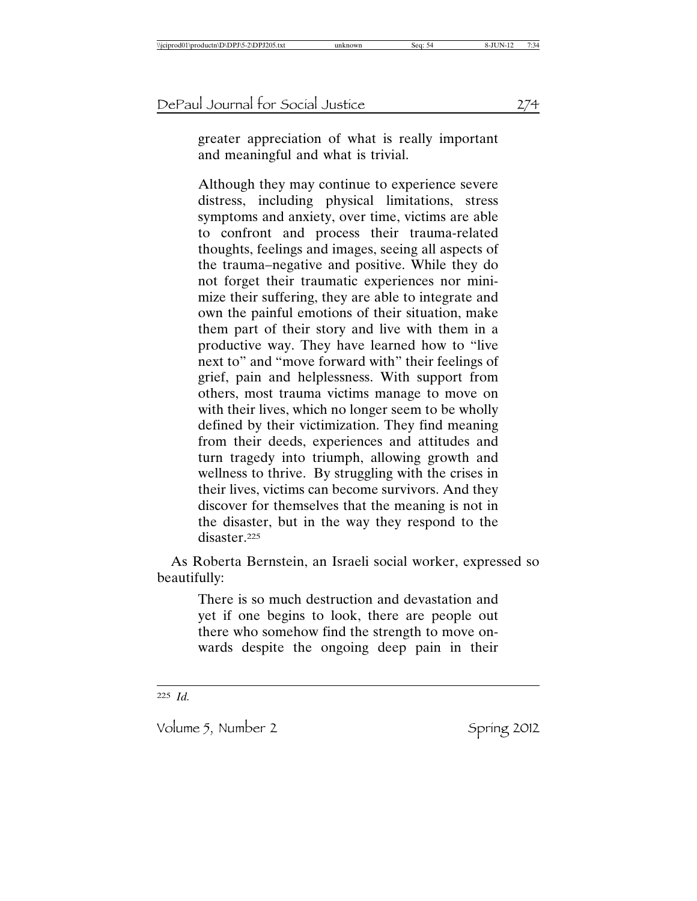greater appreciation of what is really important and meaningful and what is trivial.

Although they may continue to experience severe distress, including physical limitations, stress symptoms and anxiety, over time, victims are able to confront and process their trauma-related thoughts, feelings and images, seeing all aspects of the trauma–negative and positive. While they do not forget their traumatic experiences nor minimize their suffering, they are able to integrate and own the painful emotions of their situation, make them part of their story and live with them in a productive way. They have learned how to "live next to" and "move forward with" their feelings of grief, pain and helplessness. With support from others, most trauma victims manage to move on with their lives, which no longer seem to be wholly defined by their victimization. They find meaning from their deeds, experiences and attitudes and turn tragedy into triumph, allowing growth and wellness to thrive. By struggling with the crises in their lives, victims can become survivors. And they discover for themselves that the meaning is not in the disaster, but in the way they respond to the disaster.<sup>225</sup>

As Roberta Bernstein, an Israeli social worker, expressed so beautifully:

> There is so much destruction and devastation and yet if one begins to look, there are people out there who somehow find the strength to move onwards despite the ongoing deep pain in their

225 *Id.*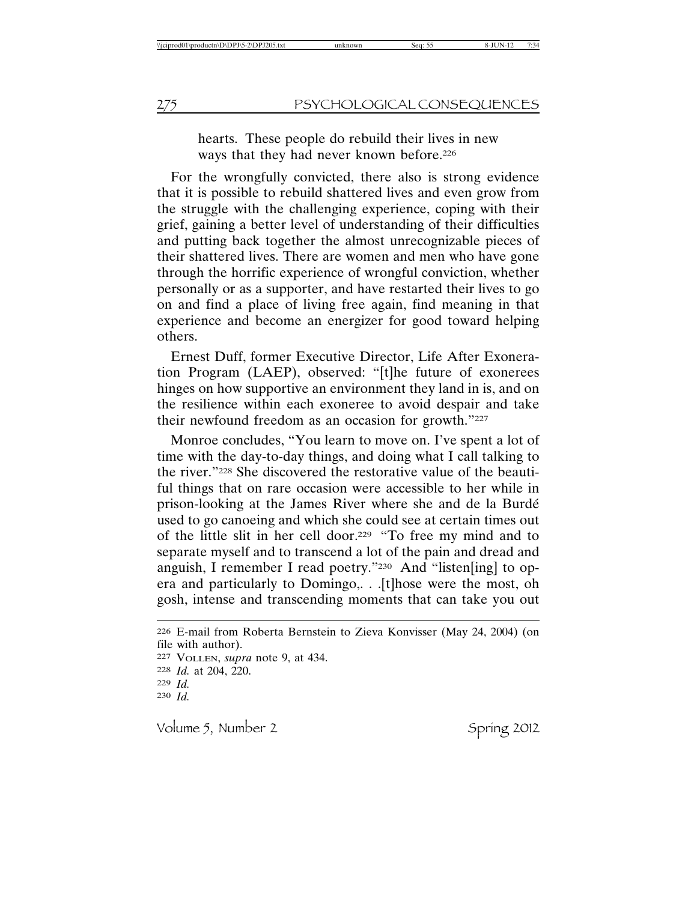hearts. These people do rebuild their lives in new ways that they had never known before.226

For the wrongfully convicted, there also is strong evidence that it is possible to rebuild shattered lives and even grow from the struggle with the challenging experience, coping with their grief, gaining a better level of understanding of their difficulties and putting back together the almost unrecognizable pieces of their shattered lives. There are women and men who have gone through the horrific experience of wrongful conviction, whether personally or as a supporter, and have restarted their lives to go on and find a place of living free again, find meaning in that experience and become an energizer for good toward helping others.

Ernest Duff, former Executive Director, Life After Exoneration Program (LAEP), observed: "[t]he future of exonerees hinges on how supportive an environment they land in is, and on the resilience within each exoneree to avoid despair and take their newfound freedom as an occasion for growth."227

Monroe concludes, "You learn to move on. I've spent a lot of time with the day-to-day things, and doing what I call talking to the river."228 She discovered the restorative value of the beautiful things that on rare occasion were accessible to her while in prison-looking at the James River where she and de la Burdé used to go canoeing and which she could see at certain times out of the little slit in her cell door.229 "To free my mind and to separate myself and to transcend a lot of the pain and dread and anguish, I remember I read poetry."230 And "listen[ing] to opera and particularly to Domingo,. . .[t]hose were the most, oh gosh, intense and transcending moments that can take you out

```
226 E-mail from Roberta Bernstein to Zieva Konvisser (May 24, 2004) (on
file with author).
227 VOLLEN, supra note 9, at 434.
228 Id. at 204, 220.
229 Id.
230 Id.
```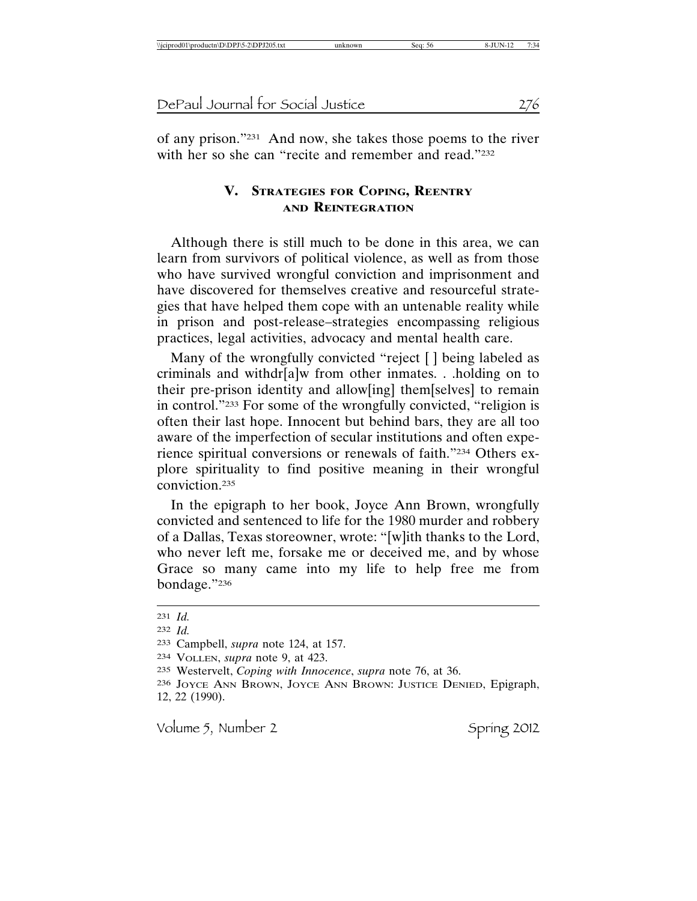of any prison."231 And now, she takes those poems to the river with her so she can "recite and remember and read."232

## **V. STRATEGIES FOR COPING, REENTRY AND REINTEGRATION**

Although there is still much to be done in this area, we can learn from survivors of political violence, as well as from those who have survived wrongful conviction and imprisonment and have discovered for themselves creative and resourceful strategies that have helped them cope with an untenable reality while in prison and post-release–strategies encompassing religious practices, legal activities, advocacy and mental health care.

Many of the wrongfully convicted "reject [] being labeled as criminals and withdr[a]w from other inmates. . .holding on to their pre-prison identity and allow[ing] them[selves] to remain in control."233 For some of the wrongfully convicted, "religion is often their last hope. Innocent but behind bars, they are all too aware of the imperfection of secular institutions and often experience spiritual conversions or renewals of faith."234 Others explore spirituality to find positive meaning in their wrongful conviction.235

In the epigraph to her book, Joyce Ann Brown, wrongfully convicted and sentenced to life for the 1980 murder and robbery of a Dallas, Texas storeowner, wrote: "[w]ith thanks to the Lord, who never left me, forsake me or deceived me, and by whose Grace so many came into my life to help free me from bondage."236

<sup>231</sup> *Id.*

<sup>232</sup> *Id.*

<sup>233</sup> Campbell, *supra* note 124, at 157.

<sup>234</sup> VOLLEN, *supra* note 9, at 423.

<sup>235</sup> Westervelt, *Coping with Innocence*, *supra* note 76, at 36.

<sup>236</sup> JOYCE ANN BROWN, JOYCE ANN BROWN: JUSTICE DENIED, Epigraph, 12, 22 (1990).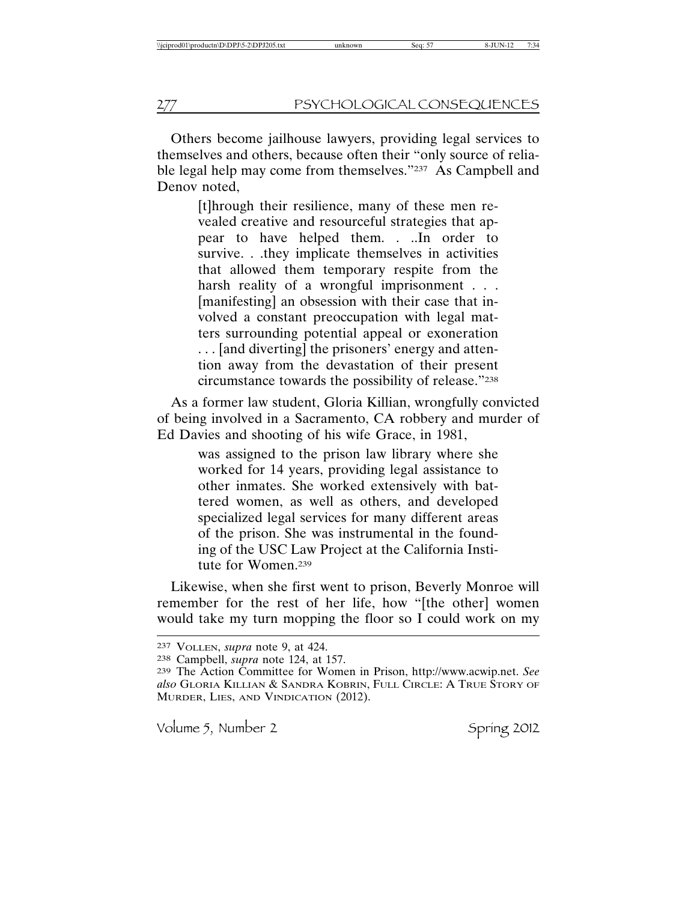Others become jailhouse lawyers, providing legal services to themselves and others, because often their "only source of reliable legal help may come from themselves."237 As Campbell and Denov noted,

> [t]hrough their resilience, many of these men revealed creative and resourceful strategies that appear to have helped them. . ..In order to survive. . .they implicate themselves in activities that allowed them temporary respite from the harsh reality of a wrongful imprisonment . . . [manifesting] an obsession with their case that involved a constant preoccupation with legal matters surrounding potential appeal or exoneration . . . [and diverting] the prisoners' energy and attention away from the devastation of their present circumstance towards the possibility of release."238

As a former law student, Gloria Killian, wrongfully convicted of being involved in a Sacramento, CA robbery and murder of Ed Davies and shooting of his wife Grace, in 1981,

> was assigned to the prison law library where she worked for 14 years, providing legal assistance to other inmates. She worked extensively with battered women, as well as others, and developed specialized legal services for many different areas of the prison. She was instrumental in the founding of the USC Law Project at the California Institute for Women.239

Likewise, when she first went to prison, Beverly Monroe will remember for the rest of her life, how "[the other] women would take my turn mopping the floor so I could work on my

<sup>237</sup> VOLLEN, *supra* note 9, at 424.

<sup>238</sup> Campbell, *supra* note 124, at 157.

<sup>239</sup> The Action Committee for Women in Prison, http://www.acwip.net. *See also* GLORIA KILLIAN & SANDRA KOBRIN, FULL CIRCLE: A TRUE STORY OF MURDER, LIES, AND VINDICATION (2012).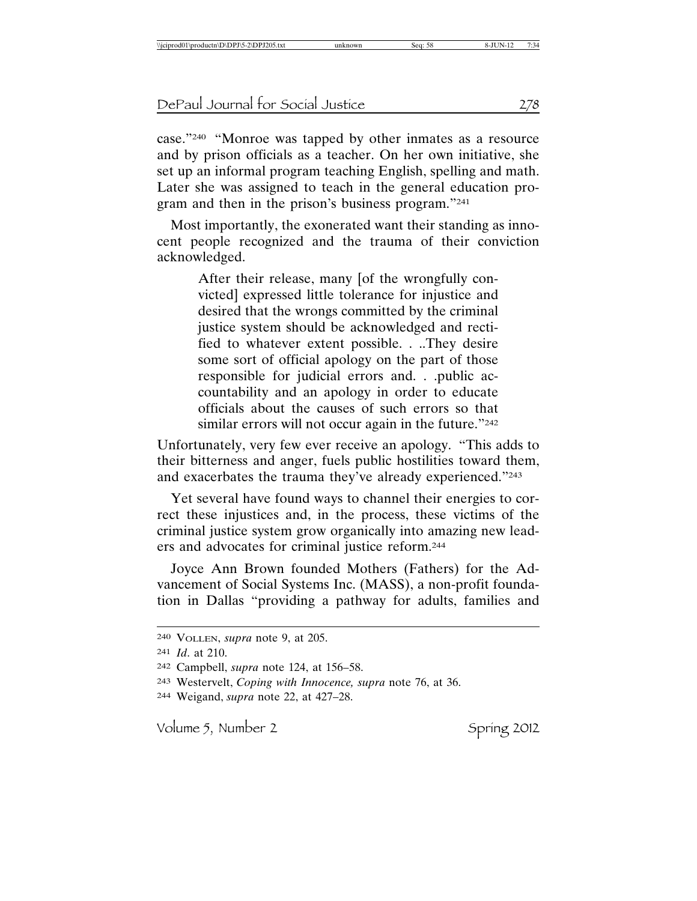case."240 "Monroe was tapped by other inmates as a resource and by prison officials as a teacher. On her own initiative, she set up an informal program teaching English, spelling and math. Later she was assigned to teach in the general education program and then in the prison's business program."241

Most importantly, the exonerated want their standing as innocent people recognized and the trauma of their conviction acknowledged.

> After their release, many [of the wrongfully convicted] expressed little tolerance for injustice and desired that the wrongs committed by the criminal justice system should be acknowledged and rectified to whatever extent possible. . ..They desire some sort of official apology on the part of those responsible for judicial errors and. . .public accountability and an apology in order to educate officials about the causes of such errors so that similar errors will not occur again in the future."242

Unfortunately, very few ever receive an apology. "This adds to their bitterness and anger, fuels public hostilities toward them, and exacerbates the trauma they've already experienced."243

Yet several have found ways to channel their energies to correct these injustices and, in the process, these victims of the criminal justice system grow organically into amazing new leaders and advocates for criminal justice reform.244

Joyce Ann Brown founded Mothers (Fathers) for the Advancement of Social Systems Inc. (MASS), a non-profit foundation in Dallas "providing a pathway for adults, families and

244 Weigand, *supra* note 22, at 427–28.

<sup>240</sup> VOLLEN, *supra* note 9, at 205.

<sup>241</sup> *Id*. at 210.

<sup>242</sup> Campbell, *supra* note 124, at 156–58.

<sup>243</sup> Westervelt, *Coping with Innocence, supra* note 76, at 36.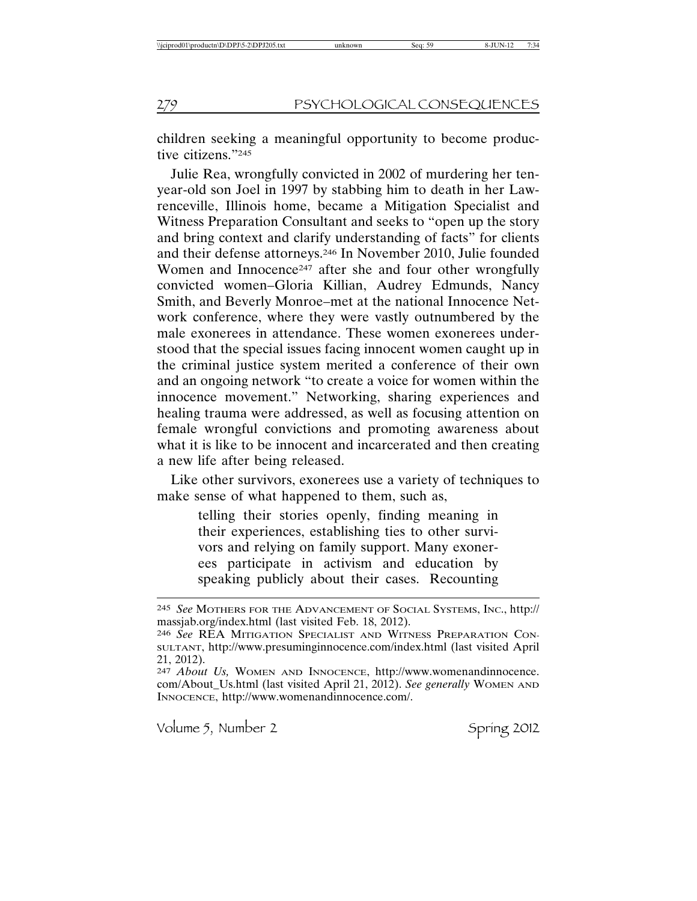children seeking a meaningful opportunity to become productive citizens."245

Julie Rea, wrongfully convicted in 2002 of murdering her tenyear-old son Joel in 1997 by stabbing him to death in her Lawrenceville, Illinois home, became a Mitigation Specialist and Witness Preparation Consultant and seeks to "open up the story and bring context and clarify understanding of facts" for clients and their defense attorneys.246 In November 2010, Julie founded Women and Innocence<sup>247</sup> after she and four other wrongfully convicted women–Gloria Killian, Audrey Edmunds, Nancy Smith, and Beverly Monroe–met at the national Innocence Network conference, where they were vastly outnumbered by the male exonerees in attendance. These women exonerees understood that the special issues facing innocent women caught up in the criminal justice system merited a conference of their own and an ongoing network "to create a voice for women within the innocence movement." Networking, sharing experiences and healing trauma were addressed, as well as focusing attention on female wrongful convictions and promoting awareness about what it is like to be innocent and incarcerated and then creating a new life after being released.

Like other survivors, exonerees use a variety of techniques to make sense of what happened to them, such as,

> telling their stories openly, finding meaning in their experiences, establishing ties to other survivors and relying on family support. Many exonerees participate in activism and education by speaking publicly about their cases. Recounting

<sup>245</sup> *See* MOTHERS FOR THE ADVANCEMENT OF SOCIAL SYSTEMS, INC., http:// massjab.org/index.html (last visited Feb. 18, 2012).

<sup>246</sup> *See* REA MITIGATION SPECIALIST AND WITNESS PREPARATION CON-SULTANT, http://www.presuminginnocence.com/index.html (last visited April 21, 2012).

<sup>247</sup> *About Us,* WOMEN AND INNOCENCE, http://www.womenandinnocence. com/About\_Us.html (last visited April 21, 2012). *See generally* WOMEN AND INNOCENCE, http://www.womenandinnocence.com/.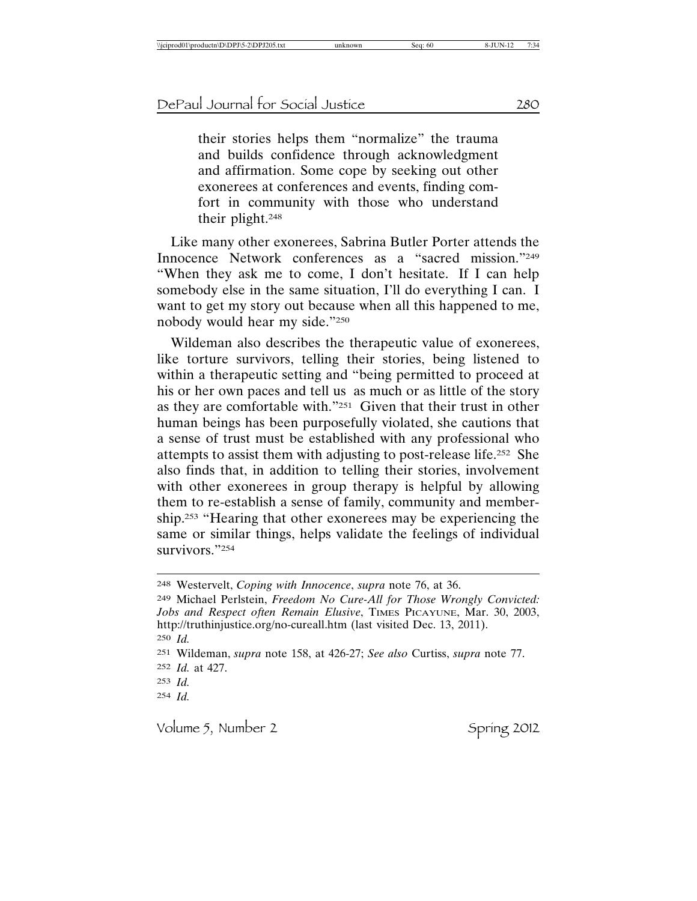their stories helps them "normalize" the trauma and builds confidence through acknowledgment and affirmation. Some cope by seeking out other exonerees at conferences and events, finding comfort in community with those who understand their plight.248

Like many other exonerees, Sabrina Butler Porter attends the Innocence Network conferences as a "sacred mission."249 "When they ask me to come, I don't hesitate. If I can help somebody else in the same situation, I'll do everything I can. I want to get my story out because when all this happened to me, nobody would hear my side."250

Wildeman also describes the therapeutic value of exonerees, like torture survivors, telling their stories, being listened to within a therapeutic setting and "being permitted to proceed at his or her own paces and tell us as much or as little of the story as they are comfortable with."251 Given that their trust in other human beings has been purposefully violated, she cautions that a sense of trust must be established with any professional who attempts to assist them with adjusting to post-release life.252 She also finds that, in addition to telling their stories, involvement with other exonerees in group therapy is helpful by allowing them to re-establish a sense of family, community and membership.253 "Hearing that other exonerees may be experiencing the same or similar things, helps validate the feelings of individual survivors."254

249 Michael Perlstein, *Freedom No Cure-All for Those Wrongly Convicted: Jobs and Respect often Remain Elusive*, TIMES PICAYUNE, Mar. 30, 2003, http://truthinjustice.org/no-cureall.htm (last visited Dec. 13, 2011). 250 *Id.* 251 Wildeman, *supra* note 158, at 426-27; *See also* Curtiss, *supra* note 77.

252 *Id.* at 427.

<sup>248</sup> Westervelt, *Coping with Innocence*, *supra* note 76, at 36.

<sup>253</sup> *Id.*

<sup>254</sup> *Id.*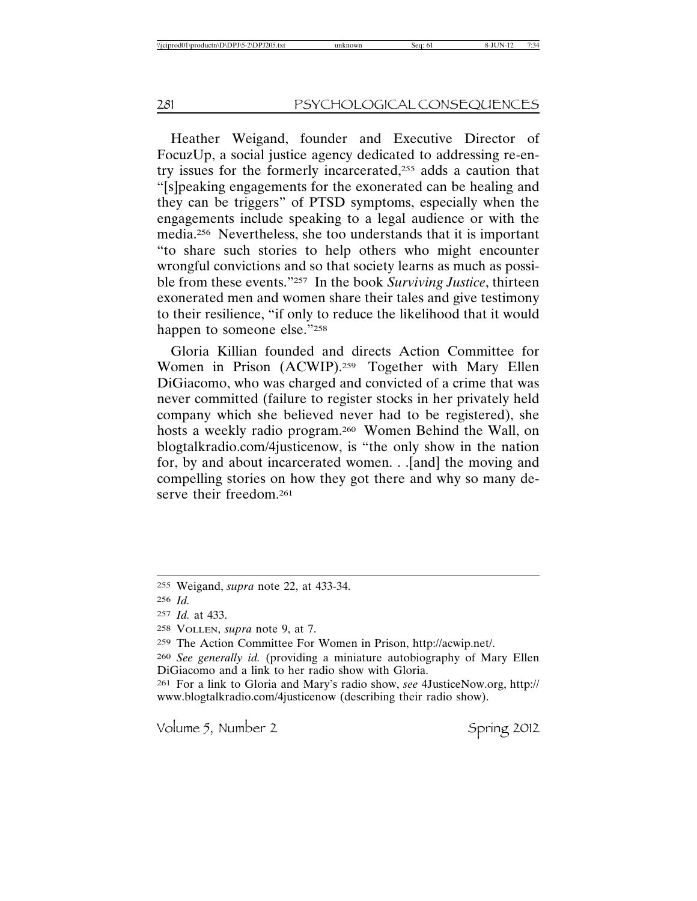Heather Weigand, founder and Executive Director of FocuzUp, a social justice agency dedicated to addressing re-entry issues for the formerly incarcerated,255 adds a caution that "[s]peaking engagements for the exonerated can be healing and they can be triggers" of PTSD symptoms, especially when the engagements include speaking to a legal audience or with the media.256 Nevertheless, she too understands that it is important "to share such stories to help others who might encounter wrongful convictions and so that society learns as much as possible from these events."257 In the book *Surviving Justice*, thirteen exonerated men and women share their tales and give testimony to their resilience, "if only to reduce the likelihood that it would happen to someone else."258

Gloria Killian founded and directs Action Committee for Women in Prison (ACWIP).259 Together with Mary Ellen DiGiacomo, who was charged and convicted of a crime that was never committed (failure to register stocks in her privately held company which she believed never had to be registered), she hosts a weekly radio program.260 Women Behind the Wall, on blogtalkradio.com/4justicenow, is "the only show in the nation for, by and about incarcerated women. . .[and] the moving and compelling stories on how they got there and why so many deserve their freedom.<sup>261</sup>

<sup>255</sup> Weigand, *supra* note 22, at 433-34.

<sup>256</sup> *Id.*

<sup>257</sup> *Id.* at 433.

<sup>258</sup> VOLLEN, *supra* note 9, at 7.

<sup>259</sup> The Action Committee For Women in Prison, http://acwip.net/.

<sup>260</sup> *See generally id.* (providing a miniature autobiography of Mary Ellen DiGiacomo and a link to her radio show with Gloria.

<sup>261</sup> For a link to Gloria and Mary's radio show, *see* 4JusticeNow.org, http:// www.blogtalkradio.com/4justicenow (describing their radio show).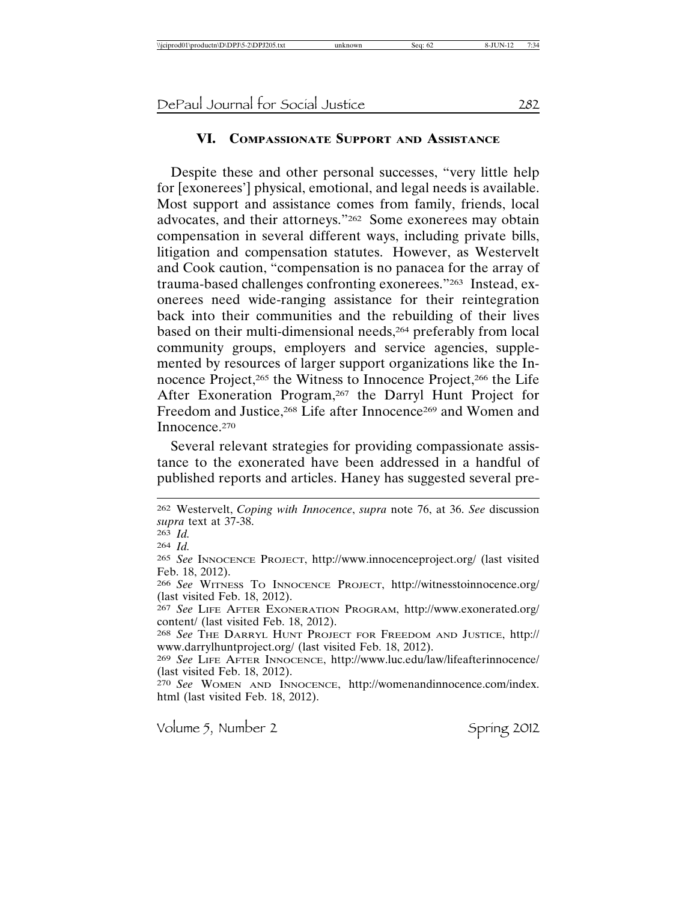# **VI. COMPASSIONATE SUPPORT AND ASSISTANCE**

Despite these and other personal successes, "very little help for [exonerees'] physical, emotional, and legal needs is available. Most support and assistance comes from family, friends, local advocates, and their attorneys."262 Some exonerees may obtain compensation in several different ways, including private bills, litigation and compensation statutes. However, as Westervelt and Cook caution, "compensation is no panacea for the array of trauma-based challenges confronting exonerees."263 Instead, exonerees need wide-ranging assistance for their reintegration back into their communities and the rebuilding of their lives based on their multi-dimensional needs,<sup>264</sup> preferably from local community groups, employers and service agencies, supplemented by resources of larger support organizations like the Innocence Project,265 the Witness to Innocence Project,266 the Life After Exoneration Program,<sup>267</sup> the Darryl Hunt Project for Freedom and Justice,<sup>268</sup> Life after Innocence<sup>269</sup> and Women and Innocence.270

Several relevant strategies for providing compassionate assistance to the exonerated have been addressed in a handful of published reports and articles. Haney has suggested several pre-

263 *Id.*

264 *Id.*

266 *See* WITNESS TO INNOCENCE PROJECT, http://witnesstoinnocence.org/ (last visited Feb. 18, 2012).

267 *See* LIFE AFTER EXONERATION PROGRAM, http://www.exonerated.org/ content/ (last visited Feb. 18, 2012).

268 *See* THE DARRYL HUNT PROJECT FOR FREEDOM AND JUSTICE, http:// www.darrylhuntproject.org/ (last visited Feb. 18, 2012).

270 *See* WOMEN AND INNOCENCE, http://womenandinnocence.com/index. html (last visited Feb. 18, 2012).

<sup>262</sup> Westervelt, *Coping with Innocence*, *supra* note 76, at 36. *See* discussion *supra* text at 37-38.

<sup>265</sup> *See* INNOCENCE PROJECT, http://www.innocenceproject.org/ (last visited Feb. 18, 2012).

<sup>269</sup> *See* LIFE AFTER INNOCENCE, http://www.luc.edu/law/lifeafterinnocence/ (last visited Feb. 18, 2012).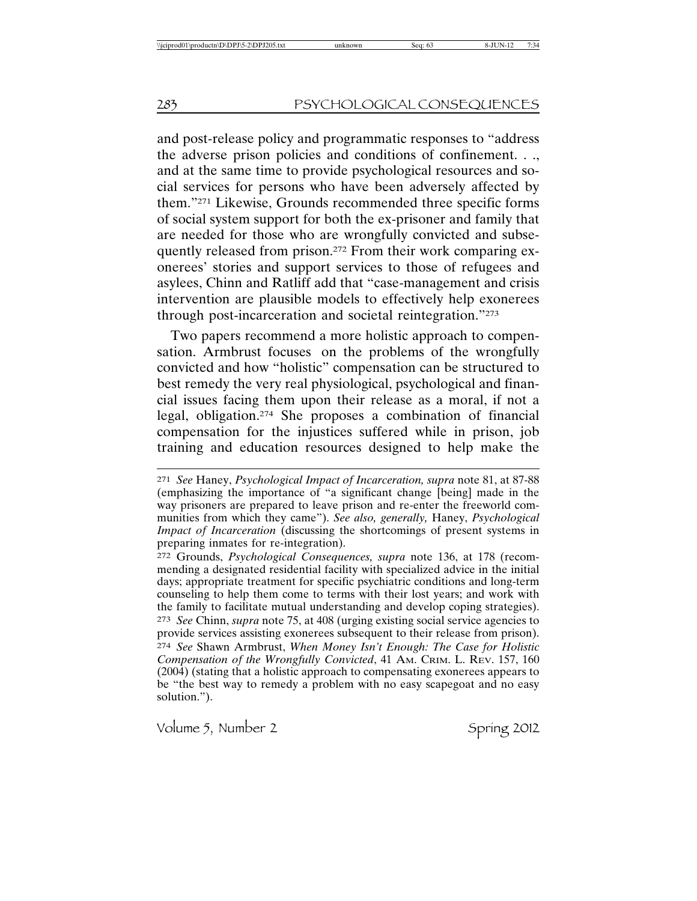and post-release policy and programmatic responses to "address the adverse prison policies and conditions of confinement. . ., and at the same time to provide psychological resources and social services for persons who have been adversely affected by them."271 Likewise, Grounds recommended three specific forms of social system support for both the ex-prisoner and family that are needed for those who are wrongfully convicted and subsequently released from prison.272 From their work comparing exonerees' stories and support services to those of refugees and asylees, Chinn and Ratliff add that "case-management and crisis intervention are plausible models to effectively help exonerees through post-incarceration and societal reintegration."273

Two papers recommend a more holistic approach to compensation. Armbrust focuses on the problems of the wrongfully convicted and how "holistic" compensation can be structured to best remedy the very real physiological, psychological and financial issues facing them upon their release as a moral, if not a legal, obligation.274 She proposes a combination of financial compensation for the injustices suffered while in prison, job training and education resources designed to help make the

272 Grounds, *Psychological Consequences, supra* note 136, at 178 (recommending a designated residential facility with specialized advice in the initial days; appropriate treatment for specific psychiatric conditions and long-term counseling to help them come to terms with their lost years; and work with the family to facilitate mutual understanding and develop coping strategies). 273 *See* Chinn, *supra* note 75, at 408 (urging existing social service agencies to provide services assisting exonerees subsequent to their release from prison). 274 *See* Shawn Armbrust, *When Money Isn't Enough: The Case for Holistic Compensation of the Wrongfully Convicted*, 41 AM. CRIM. L. REV. 157, 160 (2004) (stating that a holistic approach to compensating exonerees appears to be "the best way to remedy a problem with no easy scapegoat and no easy solution.").

<sup>271</sup> *See* Haney, *Psychological Impact of Incarceration, supra* note 81, at 87-88 (emphasizing the importance of "a significant change [being] made in the way prisoners are prepared to leave prison and re-enter the freeworld communities from which they came"). *See also, generally,* Haney, *Psychological Impact of Incarceration* (discussing the shortcomings of present systems in preparing inmates for re-integration).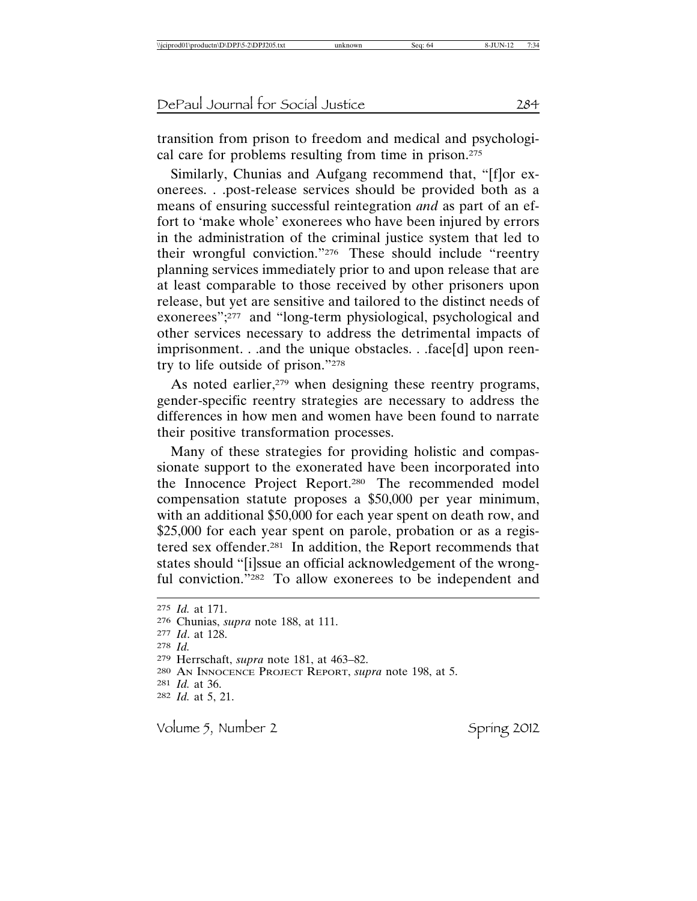transition from prison to freedom and medical and psychological care for problems resulting from time in prison.275

Similarly, Chunias and Aufgang recommend that, "[f]or exonerees. . .post-release services should be provided both as a means of ensuring successful reintegration *and* as part of an effort to 'make whole' exonerees who have been injured by errors in the administration of the criminal justice system that led to their wrongful conviction."276 These should include "reentry planning services immediately prior to and upon release that are at least comparable to those received by other prisoners upon release, but yet are sensitive and tailored to the distinct needs of exonerees";277 and "long-term physiological, psychological and other services necessary to address the detrimental impacts of imprisonment. . .and the unique obstacles. . .face[d] upon reentry to life outside of prison."278

As noted earlier,<sup>279</sup> when designing these reentry programs, gender-specific reentry strategies are necessary to address the differences in how men and women have been found to narrate their positive transformation processes.

Many of these strategies for providing holistic and compassionate support to the exonerated have been incorporated into the Innocence Project Report.280 The recommended model compensation statute proposes a \$50,000 per year minimum, with an additional \$50,000 for each year spent on death row, and \$25,000 for each year spent on parole, probation or as a registered sex offender.281 In addition, the Report recommends that states should "[i]ssue an official acknowledgement of the wrongful conviction."282 To allow exonerees to be independent and

<sup>275</sup> *Id.* at 171.

<sup>276</sup> Chunias, *supra* note 188, at 111.

<sup>277</sup> *Id*. at 128.

<sup>278</sup> *Id.*

<sup>279</sup> Herrschaft, *supra* note 181, at 463–82.

<sup>280</sup> AN INNOCENCE PROJECT REPORT, *supra* note 198, at 5.

<sup>281</sup> *Id.* at 36.

<sup>282</sup> *Id.* at 5, 21.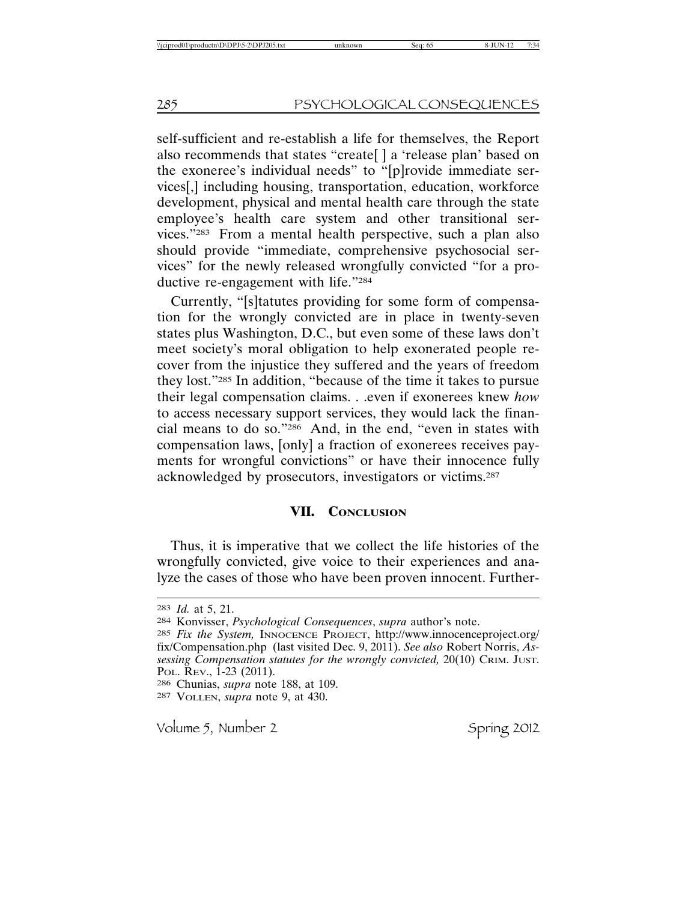self-sufficient and re-establish a life for themselves, the Report also recommends that states "create[ ] a 'release plan' based on the exoneree's individual needs" to "[p]rovide immediate services[,] including housing, transportation, education, workforce development, physical and mental health care through the state employee's health care system and other transitional services."283 From a mental health perspective, such a plan also should provide "immediate, comprehensive psychosocial services" for the newly released wrongfully convicted "for a productive re-engagement with life."284

Currently, "[s]tatutes providing for some form of compensation for the wrongly convicted are in place in twenty-seven states plus Washington, D.C., but even some of these laws don't meet society's moral obligation to help exonerated people recover from the injustice they suffered and the years of freedom they lost."285 In addition, "because of the time it takes to pursue their legal compensation claims. . .even if exonerees knew *how* to access necessary support services, they would lack the financial means to do so."286 And, in the end, "even in states with compensation laws, [only] a fraction of exonerees receives payments for wrongful convictions" or have their innocence fully acknowledged by prosecutors, investigators or victims.287

## **VII. CONCLUSION**

Thus, it is imperative that we collect the life histories of the wrongfully convicted, give voice to their experiences and analyze the cases of those who have been proven innocent. Further-

- 285 *Fix the System,* INNOCENCE PROJECT, http://www.innocenceproject.org/ fix/Compensation.php (last visited Dec. 9, 2011). *See also* Robert Norris, *Assessing Compensation statutes for the wrongly convicted,* 20(10) CRIM. JUST. POL. REV., 1-23 (2011).
- 286 Chunias, *supra* note 188, at 109.
- 287 VOLLEN, *supra* note 9, at 430.

<sup>283</sup> *Id.* at 5, 21.

<sup>284</sup> Konvisser, *Psychological Consequences*, *supra* author's note.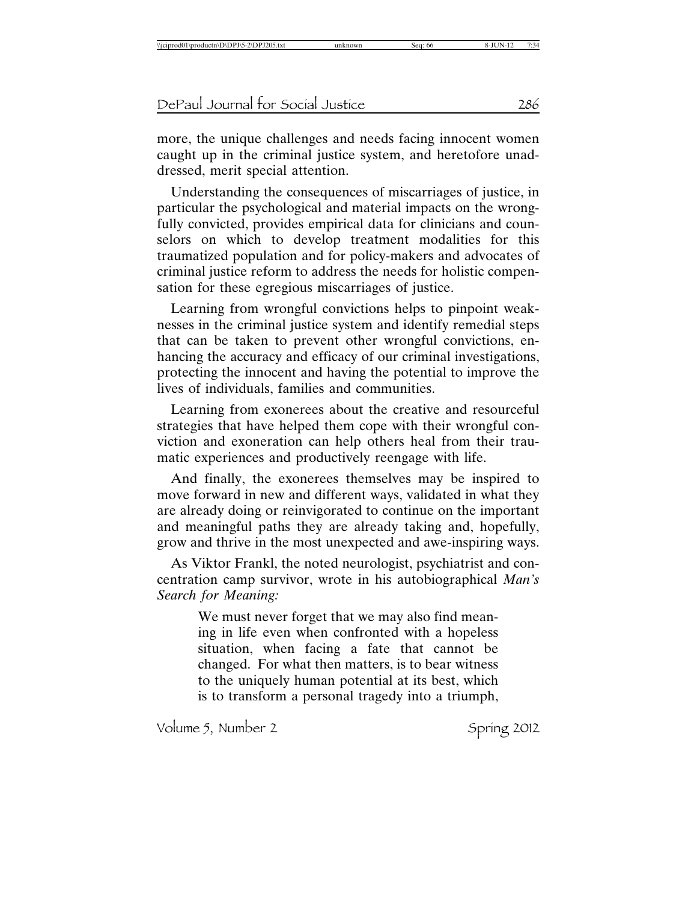more, the unique challenges and needs facing innocent women caught up in the criminal justice system, and heretofore unaddressed, merit special attention.

Understanding the consequences of miscarriages of justice, in particular the psychological and material impacts on the wrongfully convicted, provides empirical data for clinicians and counselors on which to develop treatment modalities for this traumatized population and for policy-makers and advocates of criminal justice reform to address the needs for holistic compensation for these egregious miscarriages of justice.

Learning from wrongful convictions helps to pinpoint weaknesses in the criminal justice system and identify remedial steps that can be taken to prevent other wrongful convictions, enhancing the accuracy and efficacy of our criminal investigations, protecting the innocent and having the potential to improve the lives of individuals, families and communities.

Learning from exonerees about the creative and resourceful strategies that have helped them cope with their wrongful conviction and exoneration can help others heal from their traumatic experiences and productively reengage with life.

And finally, the exonerees themselves may be inspired to move forward in new and different ways, validated in what they are already doing or reinvigorated to continue on the important and meaningful paths they are already taking and, hopefully, grow and thrive in the most unexpected and awe-inspiring ways.

As Viktor Frankl, the noted neurologist, psychiatrist and concentration camp survivor, wrote in his autobiographical *Man's Search for Meaning:*

> We must never forget that we may also find meaning in life even when confronted with a hopeless situation, when facing a fate that cannot be changed. For what then matters, is to bear witness to the uniquely human potential at its best, which is to transform a personal tragedy into a triumph,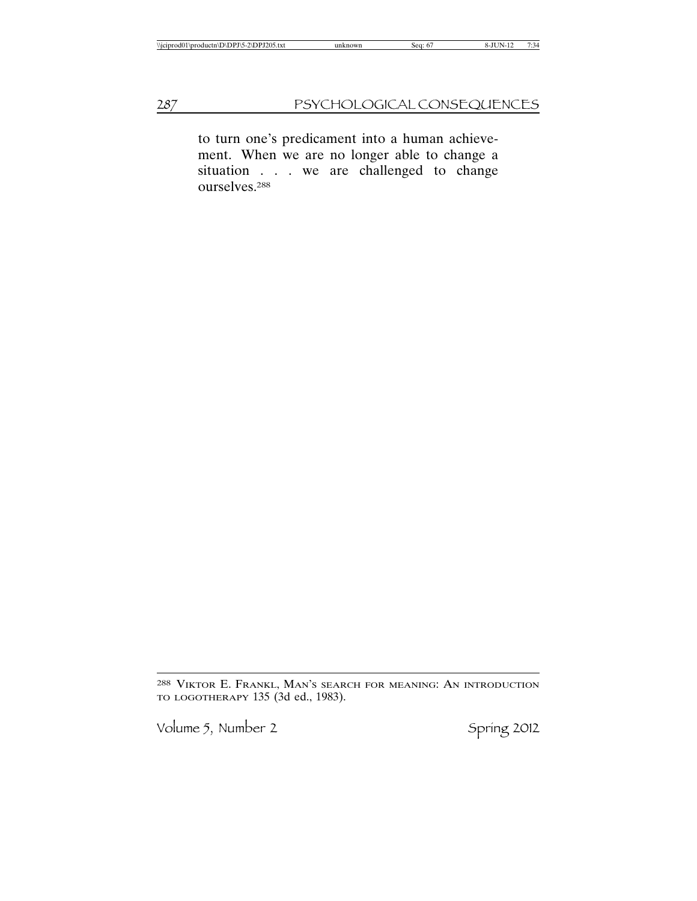to turn one's predicament into a human achievement. When we are no longer able to change a situation . . . we are challenged to change ourselves.288

288 VIKTOR E. FRANKL, MAN'S SEARCH FOR MEANING: AN INTRODUCTION TO LOGOTHERAPY 135 (3d ed., 1983).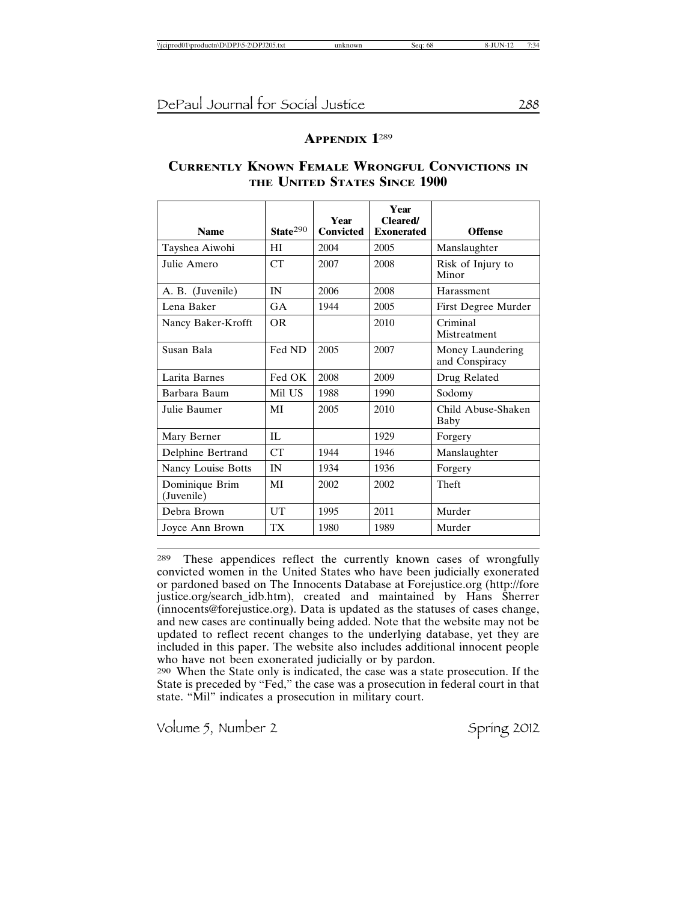### **APPENDIX 1**<sup>289</sup>

### **CURRENTLY KNOWN FEMALE WRONGFUL CONVICTIONS IN THE UNITED STATES SINCE 1900**

| <b>Name</b>                  | State <sup>290</sup> | Year<br><b>Convicted</b> | Year<br><b>Cleared/</b><br><b>Exonerated</b> | <b>Offense</b>                     |
|------------------------------|----------------------|--------------------------|----------------------------------------------|------------------------------------|
| Tayshea Aiwohi               | HI                   | 2004                     | 2005                                         | Manslaughter                       |
| Julie Amero                  | CT                   | 2007                     | 2008                                         | Risk of Injury to<br>Minor         |
| A. B. (Juvenile)             | IN                   | 2006                     | 2008                                         | Harassment                         |
| Lena Baker                   | GA                   | 1944                     | 2005                                         | First Degree Murder                |
| Nancy Baker-Krofft           | OR.                  |                          | 2010                                         | Criminal<br>Mistreatment           |
| Susan Bala                   | Fed ND               | 2005                     | 2007                                         | Money Laundering<br>and Conspiracy |
| Larita Barnes                | Fed OK               | 2008                     | 2009                                         | Drug Related                       |
| Barbara Baum                 | Mil US               | 1988                     | 1990                                         | Sodomy                             |
| Julie Baumer                 | MI                   | 2005                     | 2010                                         | Child Abuse-Shaken<br>Baby         |
| Mary Berner                  | IL                   |                          | 1929                                         | Forgery                            |
| Delphine Bertrand            | CT                   | 1944                     | 1946                                         | Manslaughter                       |
| Nancy Louise Botts           | IN                   | 1934                     | 1936                                         | Forgery                            |
| Dominique Brim<br>(Juvenile) | MI                   | 2002                     | 2002                                         | Theft                              |
| Debra Brown                  | UT                   | 1995                     | 2011                                         | Murder                             |
| Joyce Ann Brown              | TX                   | 1980                     | 1989                                         | Murder                             |

289 These appendices reflect the currently known cases of wrongfully convicted women in the United States who have been judicially exonerated or pardoned based on The Innocents Database at Forejustice.org (http://fore justice.org/search\_idb.htm), created and maintained by Hans Sherrer (innocents@forejustice.org). Data is updated as the statuses of cases change, and new cases are continually being added. Note that the website may not be updated to reflect recent changes to the underlying database, yet they are included in this paper. The website also includes additional innocent people who have not been exonerated judicially or by pardon.

290 When the State only is indicated, the case was a state prosecution. If the State is preceded by "Fed," the case was a prosecution in federal court in that state. "Mil" indicates a prosecution in military court.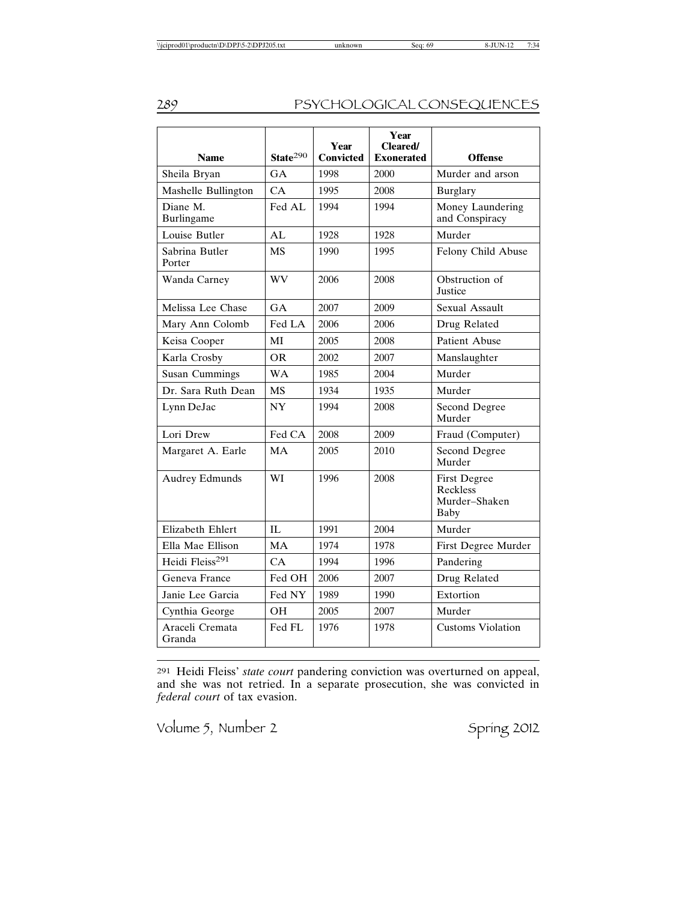| <b>Name</b>                 | State <sup>290</sup> | Year<br><b>Convicted</b> | Year<br><b>Cleared/</b><br><b>Exonerated</b> | <b>Offense</b>                                                  |
|-----------------------------|----------------------|--------------------------|----------------------------------------------|-----------------------------------------------------------------|
| Sheila Bryan                | GA                   | 1998                     | 2000                                         | Murder and arson                                                |
| Mashelle Bullington         | CA                   | 1995                     | 2008                                         | <b>Burglary</b>                                                 |
| Diane M.<br>Burlingame      | Fed AL               | 1994                     | 1994                                         | Money Laundering<br>and Conspiracy                              |
| Louise Butler               | AI                   | 1928                     | 1928                                         | Murder                                                          |
| Sabrina Butler<br>Porter    | <b>MS</b>            | 1990                     | 1995                                         | Felony Child Abuse                                              |
| Wanda Carney                | WV                   | 2006                     | 2008                                         | Obstruction of<br><b>Justice</b>                                |
| Melissa Lee Chase           | GA                   | 2007                     | 2009                                         | Sexual Assault                                                  |
| Mary Ann Colomb             | Fed LA               | 2006                     | 2006                                         | Drug Related                                                    |
| Keisa Cooper                | MI                   | 2005                     | 2008                                         | <b>Patient Abuse</b>                                            |
| Karla Crosby                | <b>OR</b>            | 2002                     | 2007                                         | Manslaughter                                                    |
| <b>Susan Cummings</b>       | <b>WA</b>            | 1985                     | 2004                                         | Murder                                                          |
| Dr. Sara Ruth Dean          | <b>MS</b>            | 1934                     | 1935                                         | Murder                                                          |
| Lynn DeJac                  | <b>NY</b>            | 1994                     | 2008                                         | Second Degree<br>Murder                                         |
| Lori Drew                   | Fed CA               | 2008                     | 2009                                         | Fraud (Computer)                                                |
| Margaret A. Earle           | <b>MA</b>            | 2005                     | 2010                                         | Second Degree<br>Murder                                         |
| <b>Audrey Edmunds</b>       | WI                   | 1996                     | 2008                                         | <b>First Degree</b><br>Reckless<br>Murder-Shaken<br><b>Baby</b> |
| <b>Elizabeth Ehlert</b>     | IL                   | 1991                     | 2004                                         | Murder                                                          |
| Ella Mae Ellison            | <b>MA</b>            | 1974                     | 1978                                         | First Degree Murder                                             |
| Heidi Fleiss <sup>291</sup> | CA.                  | 1994                     | 1996                                         | Pandering                                                       |
| Geneva France               | Fed OH               | 2006                     | 2007                                         | Drug Related                                                    |
| Janie Lee Garcia            | Fed NY               | 1989                     | 1990                                         | Extortion                                                       |
| Cynthia George              | <b>OH</b>            | 2005                     | 2007                                         | Murder                                                          |
| Araceli Cremata<br>Granda   | Fed FL               | 1976                     | 1978                                         | Customs Violation                                               |

291 Heidi Fleiss' *state court* pandering conviction was overturned on appeal, and she was not retried. In a separate prosecution, she was convicted in *federal court* of tax evasion.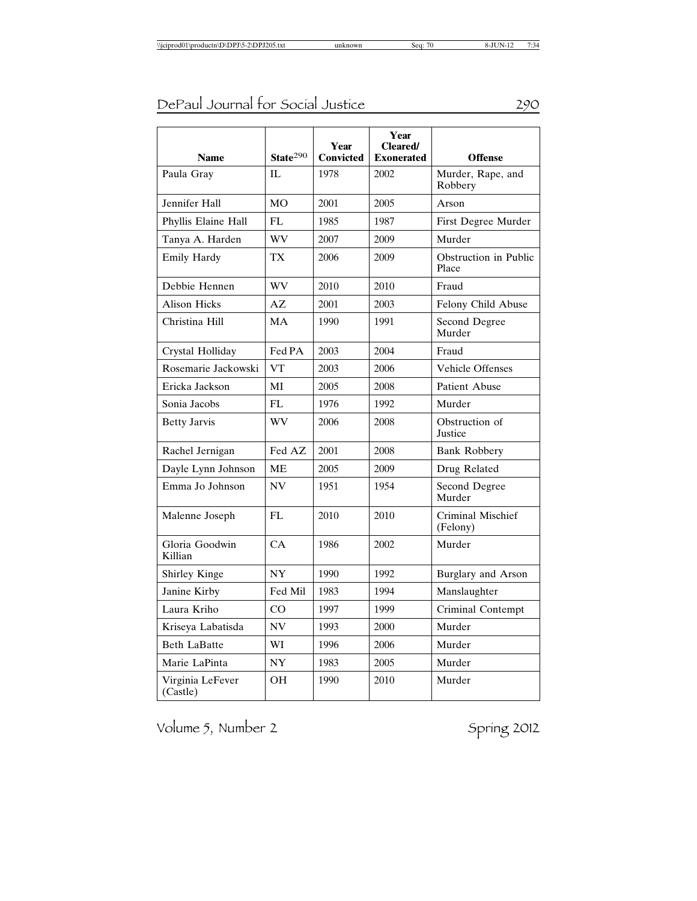|                              |                      | Year             | Year<br><b>Cleared/</b> |                                |
|------------------------------|----------------------|------------------|-------------------------|--------------------------------|
| <b>Name</b>                  | State <sup>290</sup> | <b>Convicted</b> | <b>Exonerated</b>       | <b>Offense</b>                 |
| Paula Gray                   | IL                   | 1978             | 2002                    | Murder, Rape, and<br>Robbery   |
| Jennifer Hall                | <b>MO</b>            | 2001             | 2005                    | Arson                          |
| Phyllis Elaine Hall          | FL                   | 1985             | 1987                    | First Degree Murder            |
| Tanya A. Harden              | WV                   | 2007             | 2009                    | Murder                         |
| Emily Hardy                  | TX                   | 2006             | 2009                    | Obstruction in Public<br>Place |
| Debbie Hennen                | WV                   | 2010             | 2010                    | Fraud                          |
| <b>Alison Hicks</b>          | AZ                   | 2001             | 2003                    | Felony Child Abuse             |
| Christina Hill               | <b>MA</b>            | 1990             | 1991                    | Second Degree<br>Murder        |
| Crystal Holliday             | Fed PA               | 2003             | 2004                    | Fraud                          |
| Rosemarie Jackowski          | <b>VT</b>            | 2003             | 2006                    | <b>Vehicle Offenses</b>        |
| Ericka Jackson               | MI                   | 2005             | 2008                    | <b>Patient Abuse</b>           |
| Sonia Jacobs                 | FL.                  | 1976             | 1992                    | Murder                         |
| <b>Betty Jarvis</b>          | WV                   | 2006             | 2008                    | Obstruction of<br>Justice      |
| Rachel Jernigan              | Fed AZ               | 2001             | 2008                    | Bank Robbery                   |
| Dayle Lynn Johnson           | <b>ME</b>            | 2005             | 2009                    | Drug Related                   |
| Emma Jo Johnson              | <b>NV</b>            | 1951             | 1954                    | Second Degree<br>Murder        |
| Malenne Joseph               | FL.                  | 2010             | 2010                    | Criminal Mischief<br>(Felony)  |
| Gloria Goodwin<br>Killian    | CA                   | 1986             | 2002                    | Murder                         |
| Shirley Kinge                | <b>NY</b>            | 1990             | 1992                    | Burglary and Arson             |
| Janine Kirby                 | Fed Mil              | 1983             | 1994                    | Manslaughter                   |
| Laura Kriho                  | CO                   | 1997             | 1999                    | Criminal Contempt              |
| Kriseya Labatisda            | <b>NV</b>            | 1993             | 2000                    | Murder                         |
| <b>Beth LaBatte</b>          | WI                   | 1996             | 2006                    | Murder                         |
| Marie LaPinta                | <b>NY</b>            | 1983             | 2005                    | Murder                         |
| Virginia LeFever<br>(Castle) | OН                   | 1990             | 2010                    | Murder                         |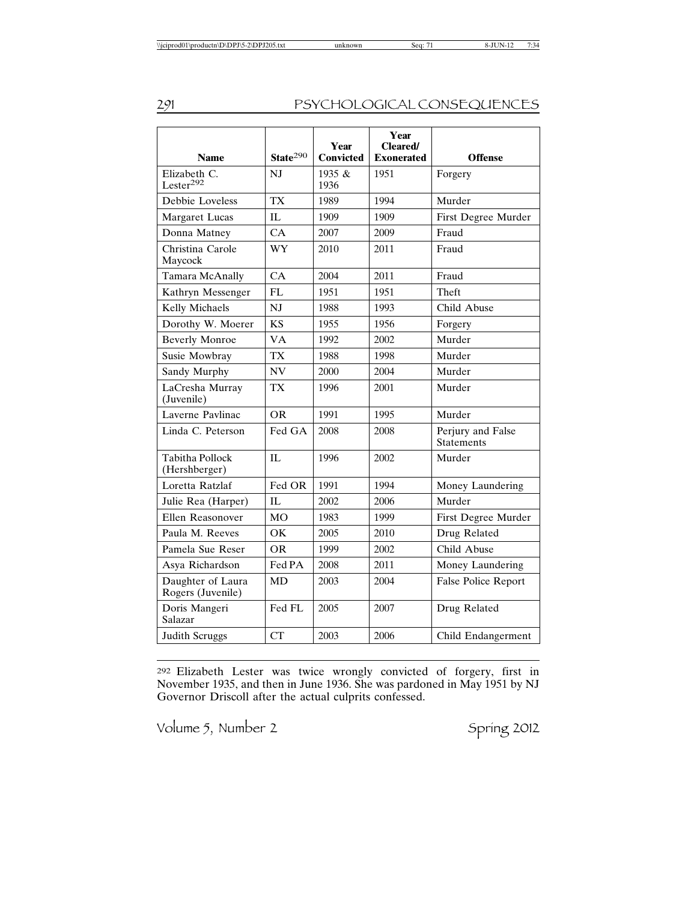| <b>Name</b>                             | State $290$     | Year<br><b>Convicted</b> | Year<br><b>Cleared</b> /<br><b>Exonerated</b> | <b>Offense</b>                         |
|-----------------------------------------|-----------------|--------------------------|-----------------------------------------------|----------------------------------------|
| Elizabeth C.<br>Lester <sup>292</sup>   | NJ              | 1935 $\&$<br>1936        | 1951                                          | Forgery                                |
| Debbie Loveless                         | <b>TX</b>       | 1989                     | 1994                                          | Murder                                 |
| <b>Margaret Lucas</b>                   | IL.             | 1909                     | 1909                                          | First Degree Murder                    |
| Donna Matney                            | CA              | 2007                     | 2009                                          | Fraud                                  |
| Christina Carole<br>Maycock             | WY              | 2010                     | 2011                                          | Fraud                                  |
| Tamara McAnally                         | CA              | 2004                     | 2011                                          | Fraud                                  |
| Kathryn Messenger                       | FL.             | 1951                     | 1951                                          | Theft                                  |
| Kelly Michaels                          | NJ              | 1988                     | 1993                                          | Child Abuse                            |
| Dorothy W. Moerer                       | <b>KS</b>       | 1955                     | 1956                                          | Forgery                                |
| <b>Beverly Monroe</b>                   | <b>VA</b>       | 1992                     | 2002                                          | Murder                                 |
| Susie Mowbray                           | <b>TX</b>       | 1988                     | 1998                                          | Murder                                 |
| Sandy Murphy                            | <b>NV</b>       | 2000                     | 2004                                          | Murder                                 |
| LaCresha Murray<br>(Juvenile)           | <b>TX</b>       | 1996                     | 2001                                          | Murder                                 |
| Laverne Pavlinac                        | <b>OR</b>       | 1991                     | 1995                                          | Murder                                 |
| Linda C. Peterson                       | Fed GA          | 2008                     | 2008                                          | Perjury and False<br><b>Statements</b> |
| <b>Tabitha Pollock</b><br>(Hershberger) | IL              | 1996                     | 2002                                          | Murder                                 |
| Loretta Ratzlaf                         | Fed OR          | 1991                     | 1994                                          | Money Laundering                       |
| Julie Rea (Harper)                      | IL.             | 2002                     | 2006                                          | Murder                                 |
| Ellen Reasonover                        | M <sub>O</sub>  | 1983                     | 1999                                          | First Degree Murder                    |
| Paula M. Reeves                         | $\overline{OK}$ | 2005                     | 2010                                          | Drug Related                           |
| Pamela Sue Reser                        | <b>OR</b>       | 1999                     | 2002                                          | Child Abuse                            |
| Asya Richardson                         | Fed PA          | 2008                     | 2011                                          | Money Laundering                       |
| Daughter of Laura<br>Rogers (Juvenile)  | <b>MD</b>       | 2003                     | 2004                                          | False Police Report                    |
| Doris Mangeri<br>Salazar                | Fed FL          | 2005                     | 2007                                          | Drug Related                           |
| <b>Judith Scruggs</b>                   | <b>CT</b>       | 2003                     | 2006                                          | Child Endangerment                     |

292 Elizabeth Lester was twice wrongly convicted of forgery, first in November 1935, and then in June 1936. She was pardoned in May 1951 by NJ Governor Driscoll after the actual culprits confessed.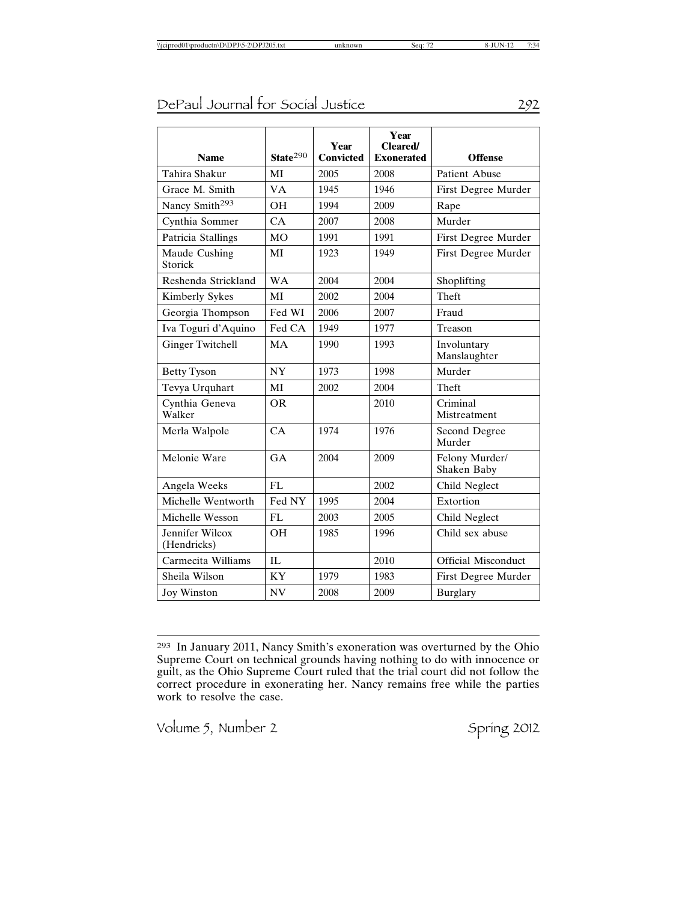| <b>Name</b>                    | State $290$ | Year<br><b>Convicted</b> | Year<br><b>Cleared/</b><br><b>Exonerated</b> | <b>Offense</b>                |
|--------------------------------|-------------|--------------------------|----------------------------------------------|-------------------------------|
| Tahira Shakur                  | MI          | 2005                     | 2008                                         | Patient Abuse                 |
| Grace M. Smith                 | <b>VA</b>   | 1945                     | 1946                                         | First Degree Murder           |
| Nancy Smith <sup>293</sup>     | <b>OH</b>   | 1994                     | 2009                                         | Rape                          |
| Cynthia Sommer                 | CA          | 2007                     | 2008                                         | Murder                        |
| Patricia Stallings             | <b>MO</b>   | 1991                     | 1991                                         | First Degree Murder           |
| Maude Cushing<br>Storick       | MI          | 1923                     | 1949                                         | First Degree Murder           |
| Reshenda Strickland            | <b>WA</b>   | 2004                     | 2004                                         | Shoplifting                   |
| Kimberly Sykes                 | MI          | 2002                     | 2004                                         | Theft                         |
| Georgia Thompson               | Fed WI      | 2006                     | 2007                                         | Fraud                         |
| Iva Toguri d'Aquino            | Fed CA      | 1949                     | 1977                                         | Treason                       |
| <b>Ginger Twitchell</b>        | <b>MA</b>   | 1990                     | 1993                                         | Involuntary<br>Manslaughter   |
| <b>Betty Tyson</b>             | <b>NY</b>   | 1973                     | 1998                                         | Murder                        |
| Tevya Urquhart                 | MI          | 2002                     | 2004                                         | Theft                         |
| Cynthia Geneva<br>Walker       | <b>OR</b>   |                          | 2010                                         | Criminal<br>Mistreatment      |
| Merla Walpole                  | CA          | 1974                     | 1976                                         | Second Degree<br>Murder       |
| Melonie Ware                   | GA          | 2004                     | 2009                                         | Felony Murder/<br>Shaken Baby |
| Angela Weeks                   | FI.         |                          | 2002                                         | Child Neglect                 |
| Michelle Wentworth             | Fed NY      | 1995                     | 2004                                         | Extortion                     |
| Michelle Wesson                | FL          | 2003                     | 2005                                         | Child Neglect                 |
| Jennifer Wilcox<br>(Hendricks) | <b>OH</b>   | 1985                     | 1996                                         | Child sex abuse               |
| Carmecita Williams             | IL          |                          | 2010                                         | <b>Official Misconduct</b>    |
| Sheila Wilson                  | <b>KY</b>   | 1979                     | 1983                                         | First Degree Murder           |
| Joy Winston                    | <b>NV</b>   | 2008                     | 2009                                         | <b>Burglary</b>               |

<sup>293</sup> In January 2011, Nancy Smith's exoneration was overturned by the Ohio Supreme Court on technical grounds having nothing to do with innocence or guilt, as the Ohio Supreme Court ruled that the trial court did not follow the correct procedure in exonerating her. Nancy remains free while the parties work to resolve the case.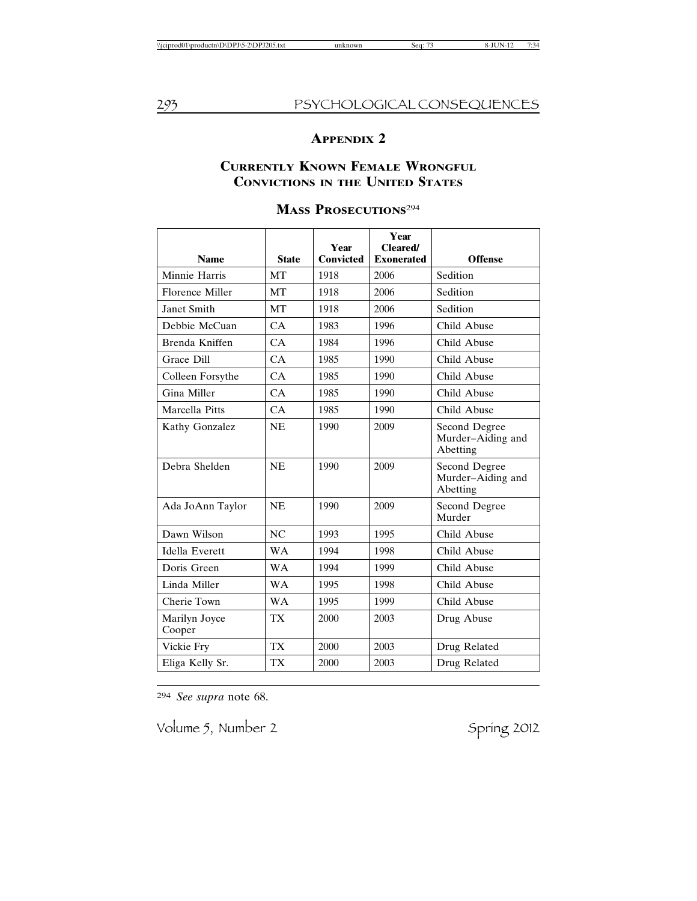## **APPENDIX 2**

## **CURRENTLY KNOWN FEMALE WRONGFUL CONVICTIONS IN THE UNITED STATES**

| <b>Name</b>             | <b>State</b> | Year<br><b>Convicted</b> | Year<br><b>Cleared/</b><br><b>Exonerated</b> | <b>Offense</b>                                 |
|-------------------------|--------------|--------------------------|----------------------------------------------|------------------------------------------------|
| Minnie Harris           | <b>MT</b>    | 1918                     | 2006                                         | Sedition                                       |
| Florence Miller         | <b>MT</b>    | 1918                     | 2006                                         | Sedition                                       |
| Janet Smith             | <b>MT</b>    | 1918                     | 2006                                         | Sedition                                       |
| Debbie McCuan           | CA           | 1983                     | 1996                                         | Child Abuse                                    |
| Brenda Kniffen          | CA           | 1984                     | 1996                                         | Child Abuse                                    |
| Grace Dill              | CA           | 1985                     | 1990                                         | Child Abuse                                    |
| Colleen Forsythe        | CA           | 1985                     | 1990                                         | Child Abuse                                    |
| Gina Miller             | CA           | 1985                     | 1990                                         | Child Abuse                                    |
| Marcella Pitts          | CA           | 1985                     | 1990                                         | Child Abuse                                    |
| Kathy Gonzalez          | <b>NE</b>    | 1990                     | 2009                                         | Second Degree<br>Murder-Aiding and<br>Abetting |
| Debra Shelden           | <b>NE</b>    | 1990                     | 2009                                         | Second Degree<br>Murder-Aiding and<br>Abetting |
| Ada JoAnn Taylor        | <b>NE</b>    | 1990                     | 2009                                         | Second Degree<br>Murder                        |
| Dawn Wilson             | NC           | 1993                     | 1995                                         | Child Abuse                                    |
| Idella Everett          | <b>WA</b>    | 1994                     | 1998                                         | Child Abuse                                    |
| Doris Green             | <b>WA</b>    | 1994                     | 1999                                         | Child Abuse                                    |
| Linda Miller            | <b>WA</b>    | 1995                     | 1998                                         | Child Abuse                                    |
| Cherie Town             | <b>WA</b>    | 1995                     | 1999                                         | Child Abuse                                    |
| Marilyn Joyce<br>Cooper | <b>TX</b>    | 2000                     | 2003                                         | Drug Abuse                                     |
| Vickie Fry              | <b>TX</b>    | 2000                     | 2003                                         | Drug Related                                   |
| Eliga Kelly Sr.         | <b>TX</b>    | 2000                     | 2003                                         | Drug Related                                   |

## **MASS PROSECUTIONS**<sup>294</sup>

294 *See supra* note 68.

Volume 5, Number 2 Spring 2012